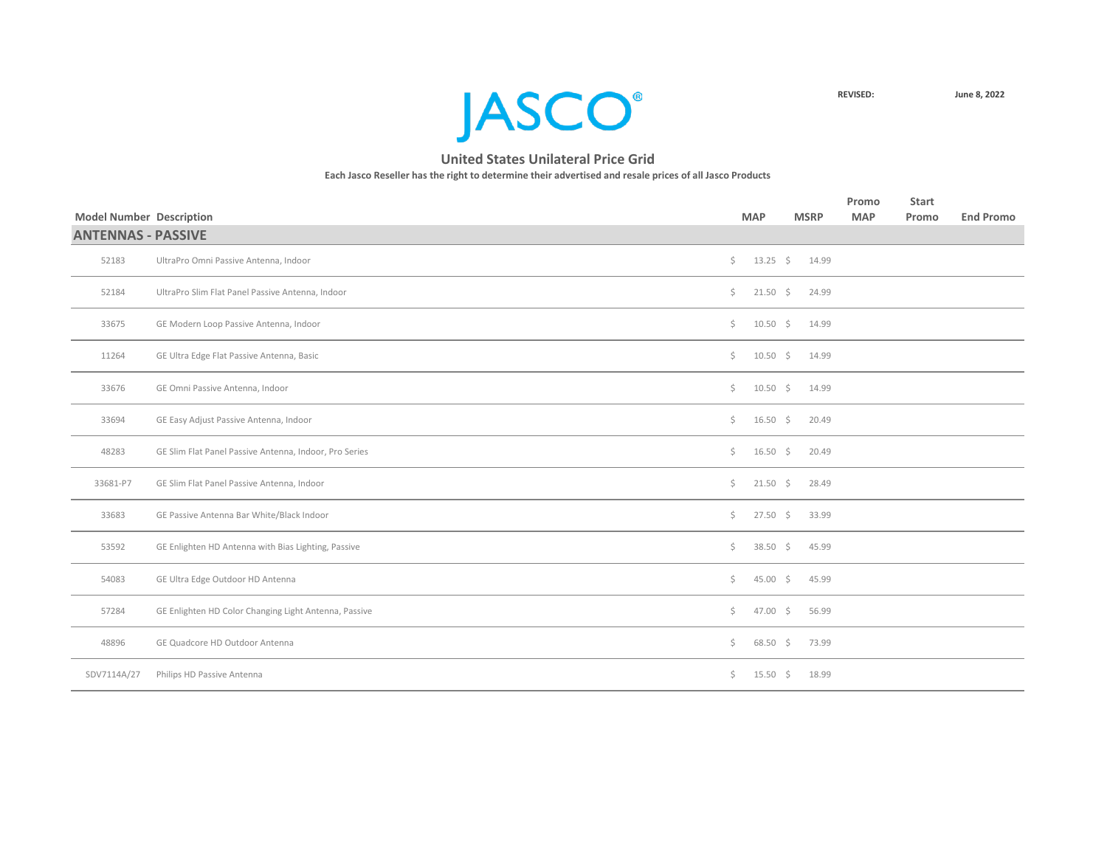

| <b>Model Number Description</b> |                                                        |     | <b>MAP</b>         | <b>MSRP</b> | Promo<br><b>MAP</b> | <b>Start</b><br>Promo | <b>End Promo</b> |
|---------------------------------|--------------------------------------------------------|-----|--------------------|-------------|---------------------|-----------------------|------------------|
| <b>ANTENNAS - PASSIVE</b>       |                                                        |     |                    |             |                     |                       |                  |
| 52183                           | UltraPro Omni Passive Antenna, Indoor                  | \$  | $13.25$ \$         | 14.99       |                     |                       |                  |
| 52184                           | UltraPro Slim Flat Panel Passive Antenna, Indoor       | \$  | $21.50 \div$       | 24.99       |                     |                       |                  |
| 33675                           | GE Modern Loop Passive Antenna, Indoor                 | \$  | $10.50 \div$       | 14.99       |                     |                       |                  |
| 11264                           | GE Ultra Edge Flat Passive Antenna, Basic              | \$. | $10.50 \div$       | 14.99       |                     |                       |                  |
| 33676                           | GE Omni Passive Antenna, Indoor                        | \$  | $10.50 \div$       | 14.99       |                     |                       |                  |
| 33694                           | GE Easy Adjust Passive Antenna, Indoor                 | \$  | $16.50 \div$       | 20.49       |                     |                       |                  |
| 48283                           | GE Slim Flat Panel Passive Antenna, Indoor, Pro Series | \$  | $16.50 \div$       | 20.49       |                     |                       |                  |
| 33681-P7                        | GE Slim Flat Panel Passive Antenna, Indoor             | \$  | $21.50 \div$       | 28.49       |                     |                       |                  |
| 33683                           | GE Passive Antenna Bar White/Black Indoor              | \$  | $27.50\frac{1}{5}$ | 33.99       |                     |                       |                  |
| 53592                           | GE Enlighten HD Antenna with Bias Lighting, Passive    | \$. | $38.50$ \$         | 45.99       |                     |                       |                  |
| 54083                           | GE Ultra Edge Outdoor HD Antenna                       | \$  | $45.00 \div$       | 45.99       |                     |                       |                  |
| 57284                           | GE Enlighten HD Color Changing Light Antenna, Passive  | Ś.  | $47.00 \div$       | 56.99       |                     |                       |                  |
| 48896                           | GE Quadcore HD Outdoor Antenna                         | \$  | $68.50\frac{2}{5}$ | 73.99       |                     |                       |                  |
| SDV7114A/27                     | Philips HD Passive Antenna                             | \$. | $15.50 \div$       | 18.99       |                     |                       |                  |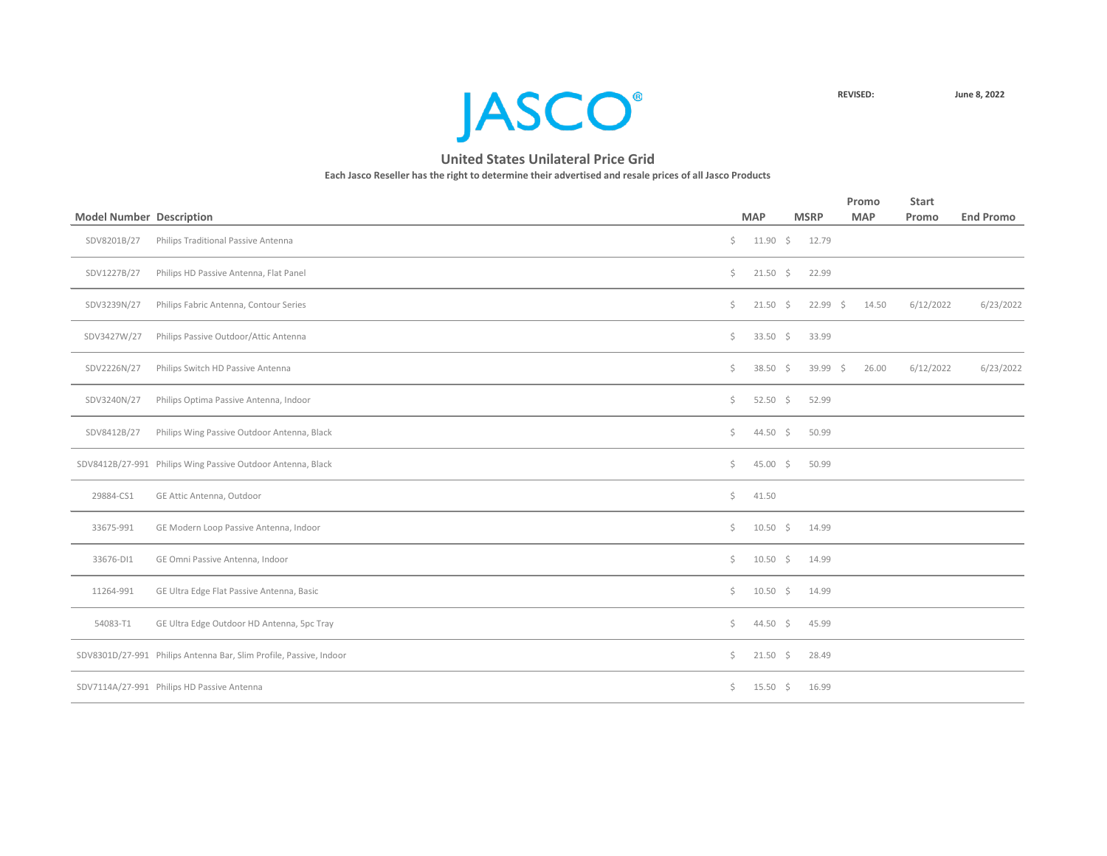

|                                 |                                                                    |         |              |             | Promo      | <b>Start</b> |                  |
|---------------------------------|--------------------------------------------------------------------|---------|--------------|-------------|------------|--------------|------------------|
| <b>Model Number Description</b> |                                                                    |         | <b>MAP</b>   | <b>MSRP</b> | <b>MAP</b> | Promo        | <b>End Promo</b> |
| SDV8201B/27                     | Philips Traditional Passive Antenna                                | $\zeta$ | $11.90 \div$ | 12.79       |            |              |                  |
| SDV1227B/27                     | Philips HD Passive Antenna, Flat Panel                             | \$      | $21.50 \div$ | 22.99       |            |              |                  |
| SDV3239N/27                     | Philips Fabric Antenna, Contour Series                             | \$      | $21.50 \div$ | $22.99$ \$  | 14.50      | 6/12/2022    | 6/23/2022        |
| SDV3427W/27                     | Philips Passive Outdoor/Attic Antenna                              | \$      | 33.50 \$     | 33.99       |            |              |                  |
| SDV2226N/27                     | Philips Switch HD Passive Antenna                                  | \$      | 38.50 \$     | $39.99$ \$  | 26.00      | 6/12/2022    | 6/23/2022        |
| SDV3240N/27                     | Philips Optima Passive Antenna, Indoor                             | \$      | 52.50 \$     | 52.99       |            |              |                  |
| SDV8412B/27                     | Philips Wing Passive Outdoor Antenna, Black                        | \$      | 44.50 \$     | 50.99       |            |              |                  |
|                                 | SDV8412B/27-991 Philips Wing Passive Outdoor Antenna, Black        | \$      | $45.00$ \$   | 50.99       |            |              |                  |
| 29884-CS1                       | GE Attic Antenna, Outdoor                                          | \$      | 41.50        |             |            |              |                  |
| 33675-991                       | GE Modern Loop Passive Antenna, Indoor                             | \$      | $10.50 \div$ | 14.99       |            |              |                  |
| 33676-DI1                       | GE Omni Passive Antenna, Indoor                                    | \$      | $10.50 \div$ | 14.99       |            |              |                  |
| 11264-991                       | GE Ultra Edge Flat Passive Antenna, Basic                          | \$      | $10.50 \div$ | 14.99       |            |              |                  |
| 54083-T1                        | GE Ultra Edge Outdoor HD Antenna, 5pc Tray                         | \$      | 44.50 \$     | 45.99       |            |              |                  |
|                                 | SDV8301D/27-991 Philips Antenna Bar, Slim Profile, Passive, Indoor | \$      | $21.50 \div$ | 28.49       |            |              |                  |
|                                 | SDV7114A/27-991 Philips HD Passive Antenna                         | \$      | $15.50 \div$ | 16.99       |            |              |                  |
|                                 |                                                                    |         |              |             |            |              |                  |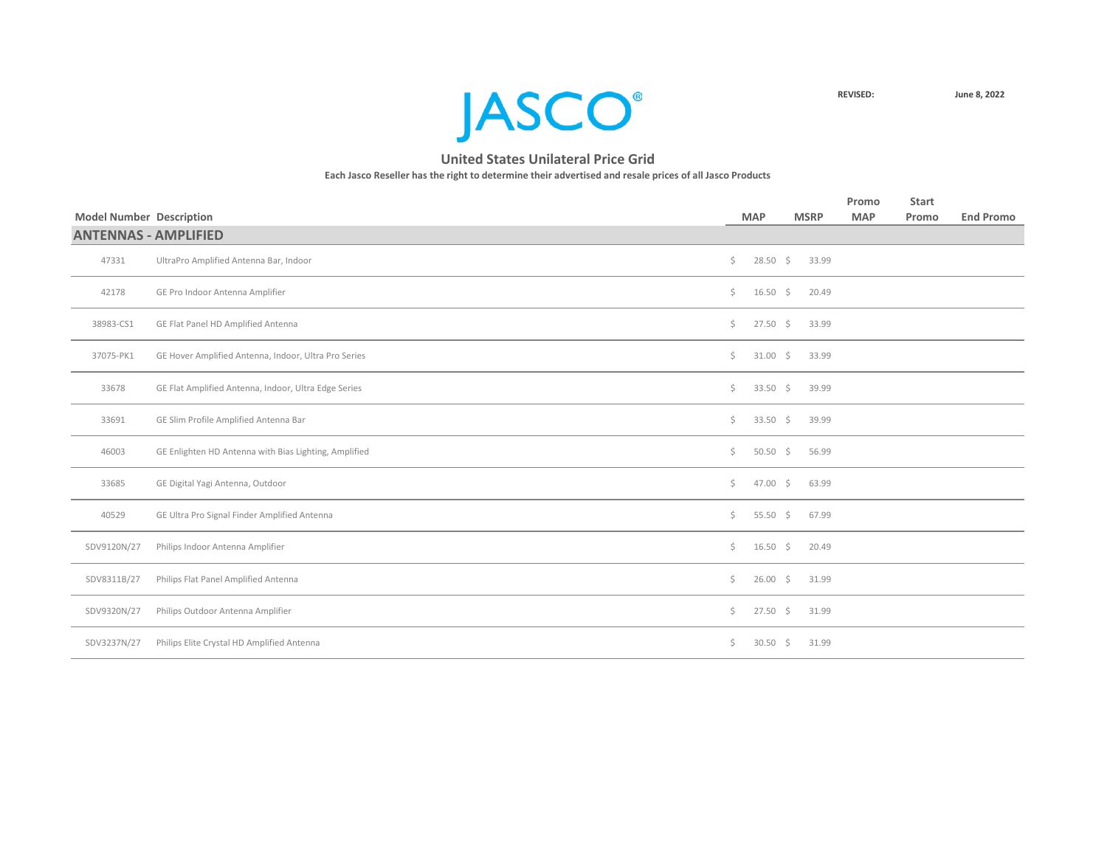

|                                 |                                                       |     |                    |             |       | Promo      | <b>Start</b> |                  |
|---------------------------------|-------------------------------------------------------|-----|--------------------|-------------|-------|------------|--------------|------------------|
| <b>Model Number Description</b> |                                                       |     | <b>MAP</b>         | <b>MSRP</b> |       | <b>MAP</b> | Promo        | <b>End Promo</b> |
| <b>ANTENNAS - AMPLIFIED</b>     |                                                       |     |                    |             |       |            |              |                  |
| 47331                           | UltraPro Amplified Antenna Bar, Indoor                | \$  | $28.50\frac{1}{5}$ |             | 33.99 |            |              |                  |
| 42178                           | GE Pro Indoor Antenna Amplifier                       | \$  | $16.50 \div$       |             | 20.49 |            |              |                  |
| 38983-CS1                       | GE Flat Panel HD Amplified Antenna                    | \$  | $27.50\frac{1}{5}$ |             | 33.99 |            |              |                  |
| 37075-PK1                       | GE Hover Amplified Antenna, Indoor, Ultra Pro Series  | \$  | $31.00 \div$       |             | 33.99 |            |              |                  |
| 33678                           | GE Flat Amplified Antenna, Indoor, Ultra Edge Series  | \$  | $33.50$ \$         |             | 39.99 |            |              |                  |
| 33691                           | GE Slim Profile Amplified Antenna Bar                 | \$  | $33.50$ \$         |             | 39.99 |            |              |                  |
| 46003                           | GE Enlighten HD Antenna with Bias Lighting, Amplified | \$. | $50.50\frac{2}{5}$ |             | 56.99 |            |              |                  |
| 33685                           | GE Digital Yagi Antenna, Outdoor                      | \$  | $47.00 \div$       |             | 63.99 |            |              |                  |
| 40529                           | GE Ultra Pro Signal Finder Amplified Antenna          | \$  | 55.50 \$           |             | 67.99 |            |              |                  |
| SDV9120N/27                     | Philips Indoor Antenna Amplifier                      | \$  | $16.50 \div$       |             | 20.49 |            |              |                  |
| SDV8311B/27                     | Philips Flat Panel Amplified Antenna                  | \$. | $26.00$ \$         |             | 31.99 |            |              |                  |
| SDV9320N/27                     | Philips Outdoor Antenna Amplifier                     | \$. | $27.50$ \$         |             | 31.99 |            |              |                  |
| SDV3237N/27                     | Philips Elite Crystal HD Amplified Antenna            | \$. | $30.50$ \$         |             | 31.99 |            |              |                  |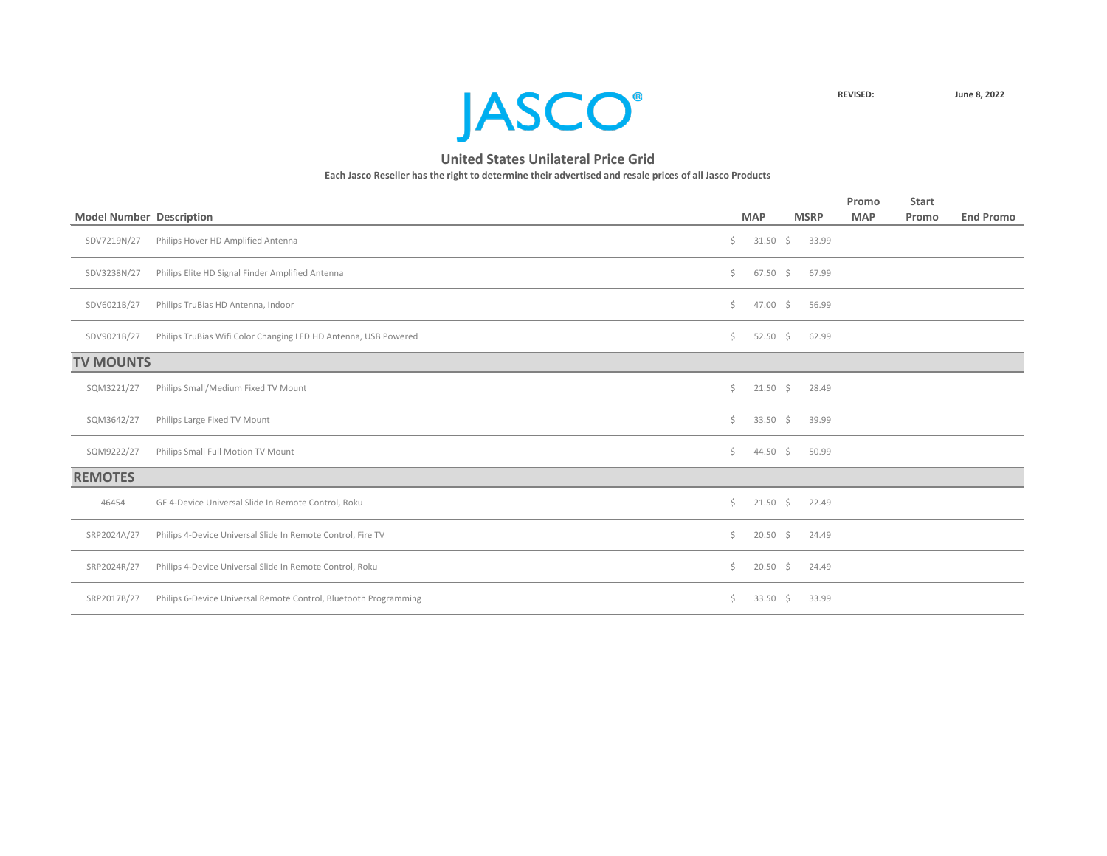

|                                                                  |                                                     |            |                                                                                                                                                            | Promo       | <b>Start</b> |                  |
|------------------------------------------------------------------|-----------------------------------------------------|------------|------------------------------------------------------------------------------------------------------------------------------------------------------------|-------------|--------------|------------------|
|                                                                  |                                                     |            |                                                                                                                                                            | <b>MAP</b>  | Promo        | <b>End Promo</b> |
| Philips Hover HD Amplified Antenna                               | \$                                                  |            | 33.99                                                                                                                                                      |             |              |                  |
| Philips Elite HD Signal Finder Amplified Antenna                 | Ś.                                                  |            | 67.99                                                                                                                                                      |             |              |                  |
| Philips TruBias HD Antenna, Indoor                               | \$.                                                 |            | 56.99                                                                                                                                                      |             |              |                  |
| Philips TruBias Wifi Color Changing LED HD Antenna, USB Powered  | \$.                                                 |            | 62.99                                                                                                                                                      |             |              |                  |
|                                                                  |                                                     |            |                                                                                                                                                            |             |              |                  |
| Philips Small/Medium Fixed TV Mount                              | \$                                                  |            | 28.49                                                                                                                                                      |             |              |                  |
| Philips Large Fixed TV Mount                                     | \$                                                  |            | 39.99                                                                                                                                                      |             |              |                  |
| Philips Small Full Motion TV Mount                               | \$                                                  |            | 50.99                                                                                                                                                      |             |              |                  |
|                                                                  |                                                     |            |                                                                                                                                                            |             |              |                  |
| GE 4-Device Universal Slide In Remote Control, Roku              | Ś.                                                  |            | 22.49                                                                                                                                                      |             |              |                  |
| Philips 4-Device Universal Slide In Remote Control, Fire TV      | \$                                                  |            | 24.49                                                                                                                                                      |             |              |                  |
| Philips 4-Device Universal Slide In Remote Control, Roku         | \$.                                                 |            | 24.49                                                                                                                                                      |             |              |                  |
| Philips 6-Device Universal Remote Control, Bluetooth Programming | \$.                                                 |            | 33.99                                                                                                                                                      |             |              |                  |
|                                                                  | <b>Model Number Description</b><br><b>TV MOUNTS</b> | <b>MAP</b> | $31.50 \div$<br>$67.50$ \$<br>47.00 \$<br>$52.50$ \$<br>$21.50 \div$<br>$33.50 \div$<br>44.50 \$<br>$21.50 \div$<br>$20.50$ \$<br>$20.50$ \$<br>$33.50$ \$ | <b>MSRP</b> |              |                  |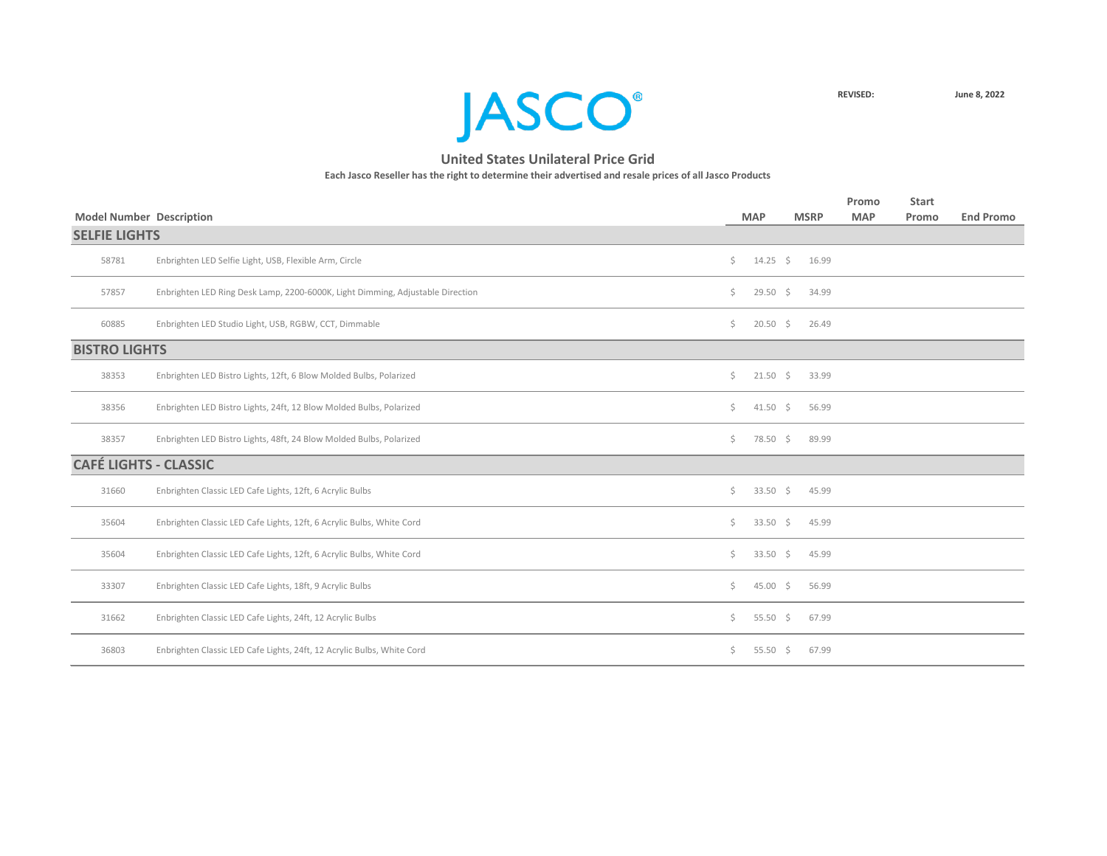

|                                 |                                                                                |    |              |             | Promo      | <b>Start</b> |                  |
|---------------------------------|--------------------------------------------------------------------------------|----|--------------|-------------|------------|--------------|------------------|
| <b>Model Number Description</b> |                                                                                |    | <b>MAP</b>   | <b>MSRP</b> | <b>MAP</b> | Promo        | <b>End Promo</b> |
| <b>SELFIE LIGHTS</b>            |                                                                                |    |              |             |            |              |                  |
| 58781                           | Enbrighten LED Selfie Light, USB, Flexible Arm, Circle                         | Ŝ. | $14.25 \div$ | 16.99       |            |              |                  |
| 57857                           | Enbrighten LED Ring Desk Lamp, 2200-6000K, Light Dimming, Adjustable Direction | Ŝ. | $29.50$ \$   | 34.99       |            |              |                  |
| 60885                           | Enbrighten LED Studio Light, USB, RGBW, CCT, Dimmable                          | Ŝ. | $20.50$ \$   | 26.49       |            |              |                  |
| <b>BISTRO LIGHTS</b>            |                                                                                |    |              |             |            |              |                  |
| 38353                           | Enbrighten LED Bistro Lights, 12ft, 6 Blow Molded Bulbs, Polarized             | \$ | $21.50 \div$ | 33.99       |            |              |                  |
| 38356                           | Enbrighten LED Bistro Lights, 24ft, 12 Blow Molded Bulbs, Polarized            | Ŝ. | $41.50 \div$ | 56.99       |            |              |                  |
| 38357                           | Enbrighten LED Bistro Lights, 48ft, 24 Blow Molded Bulbs, Polarized            | Ś. | 78.50 \$     | 89.99       |            |              |                  |
| <b>CAFÉ LIGHTS - CLASSIC</b>    |                                                                                |    |              |             |            |              |                  |
| 31660                           | Enbrighten Classic LED Cafe Lights, 12ft, 6 Acrylic Bulbs                      | Ŝ. | 33.50 \$     | 45.99       |            |              |                  |
| 35604                           | Enbrighten Classic LED Cafe Lights, 12ft, 6 Acrylic Bulbs, White Cord          | Ś. | 33.50 \$     | 45.99       |            |              |                  |
| 35604                           | Enbrighten Classic LED Cafe Lights, 12ft, 6 Acrylic Bulbs, White Cord          | Ś. | 33.50 \$     | 45.99       |            |              |                  |
| 33307                           | Enbrighten Classic LED Cafe Lights, 18ft, 9 Acrylic Bulbs                      | \$ | $45.00 \div$ | 56.99       |            |              |                  |
| 31662                           | Enbrighten Classic LED Cafe Lights, 24ft, 12 Acrylic Bulbs                     | \$ | 55.50 \$     | 67.99       |            |              |                  |
| 36803                           | Enbrighten Classic LED Cafe Lights, 24ft, 12 Acrylic Bulbs, White Cord         | Ś. | 55.50 \$     | 67.99       |            |              |                  |
|                                 |                                                                                |    |              |             |            |              |                  |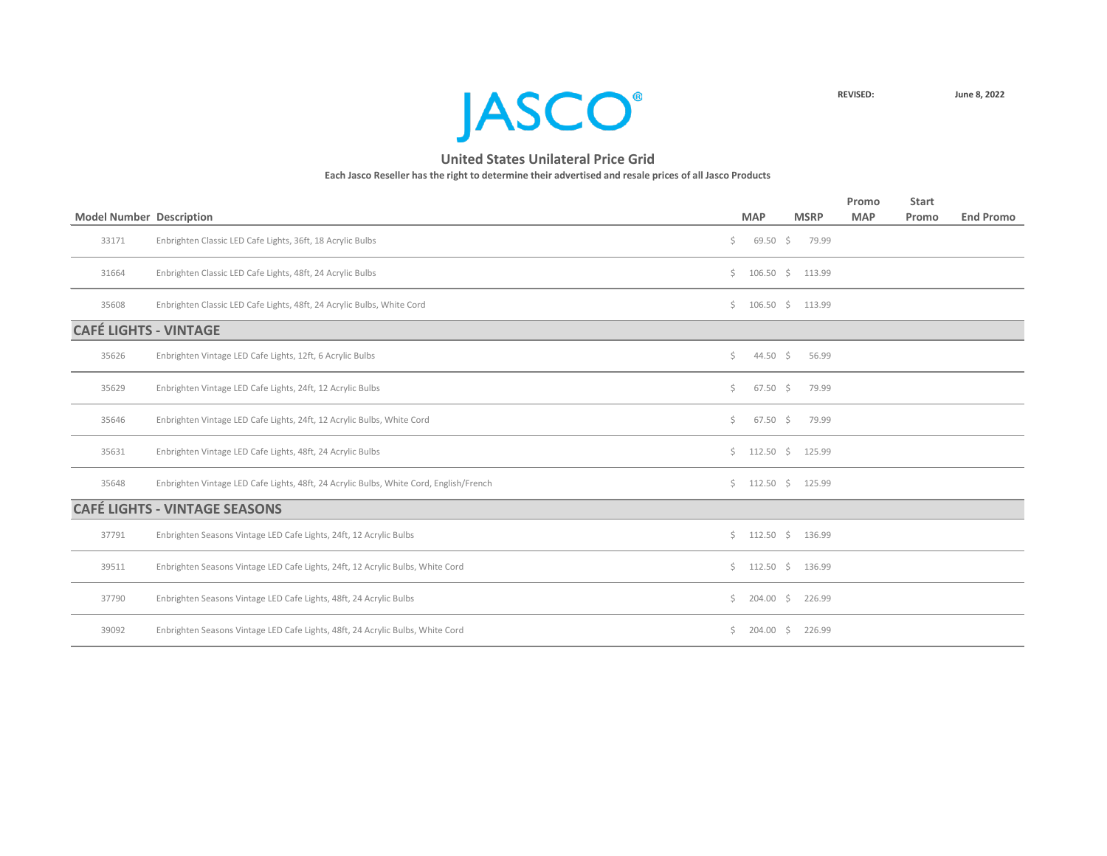

| <b>Model Number Description</b> |                                                                                        |    | <b>MAP</b>                   | <b>MSRP</b> | Promo<br><b>MAP</b> | <b>Start</b><br>Promo | <b>End Promo</b> |
|---------------------------------|----------------------------------------------------------------------------------------|----|------------------------------|-------------|---------------------|-----------------------|------------------|
| 33171                           | Enbrighten Classic LED Cafe Lights, 36ft, 18 Acrylic Bulbs                             | \$ | $69.50 \div$                 | 79.99       |                     |                       |                  |
| 31664                           | Enbrighten Classic LED Cafe Lights, 48ft, 24 Acrylic Bulbs                             |    | \$106.50\$                   | 113.99      |                     |                       |                  |
| 35608                           | Enbrighten Classic LED Cafe Lights, 48ft, 24 Acrylic Bulbs, White Cord                 | Ś. | $106.50 \div$                | 113.99      |                     |                       |                  |
| <b>CAFÉ LIGHTS - VINTAGE</b>    |                                                                                        |    |                              |             |                     |                       |                  |
| 35626                           | Enbrighten Vintage LED Cafe Lights, 12ft, 6 Acrylic Bulbs                              | \$ | 44.50 \$                     | 56.99       |                     |                       |                  |
| 35629                           | Enbrighten Vintage LED Cafe Lights, 24ft, 12 Acrylic Bulbs                             | Ś. | $67.50 \div$                 | 79.99       |                     |                       |                  |
| 35646                           | Enbrighten Vintage LED Cafe Lights, 24ft, 12 Acrylic Bulbs, White Cord                 | Ś. | $67.50$ \$                   | 79.99       |                     |                       |                  |
| 35631                           | Enbrighten Vintage LED Cafe Lights, 48ft, 24 Acrylic Bulbs                             |    | $\frac{112.50}{5}$           | 125.99      |                     |                       |                  |
| 35648                           | Enbrighten Vintage LED Cafe Lights, 48ft, 24 Acrylic Bulbs, White Cord, English/French |    | $\frac{112.50}{9}$ \$ 125.99 |             |                     |                       |                  |
|                                 | <b>CAFÉ LIGHTS - VINTAGE SEASONS</b>                                                   |    |                              |             |                     |                       |                  |
| 37791                           | Enbrighten Seasons Vintage LED Cafe Lights, 24ft, 12 Acrylic Bulbs                     |    | \$112.50\$                   | 136.99      |                     |                       |                  |
| 39511                           | Enbrighten Seasons Vintage LED Cafe Lights, 24ft, 12 Acrylic Bulbs, White Cord         |    | \$112.50\$                   | 136.99      |                     |                       |                  |
| 37790                           | Enbrighten Seasons Vintage LED Cafe Lights, 48ft, 24 Acrylic Bulbs                     | Ś. | $204.00$ \$                  | 226.99      |                     |                       |                  |
| 39092                           | Enbrighten Seasons Vintage LED Cafe Lights, 48ft, 24 Acrylic Bulbs, White Cord         | S. | $204.00$ \$                  | 226.99      |                     |                       |                  |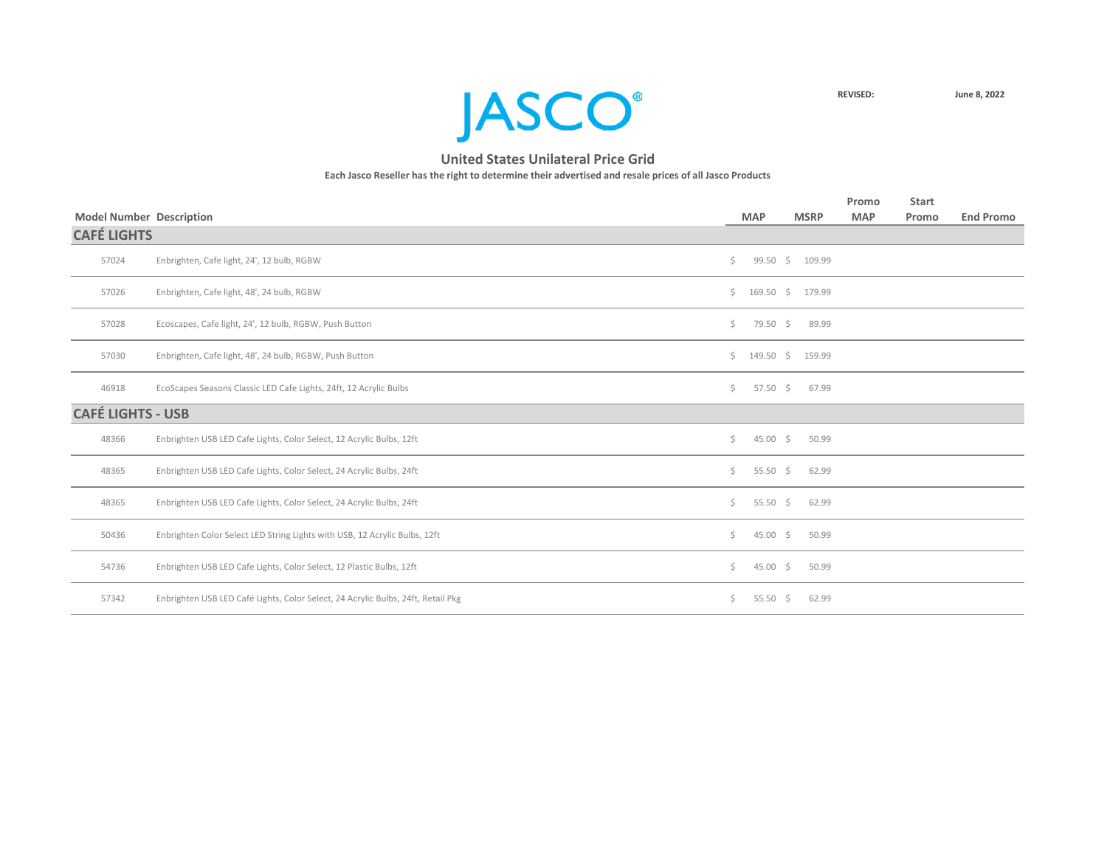

|                                 |                                                                                  |     |                         |             | Promo      | <b>Start</b> |                  |
|---------------------------------|----------------------------------------------------------------------------------|-----|-------------------------|-------------|------------|--------------|------------------|
| <b>Model Number Description</b> |                                                                                  |     | <b>MAP</b>              | <b>MSRP</b> | <b>MAP</b> | Promo        | <b>End Promo</b> |
| <b>CAFÉ LIGHTS</b>              |                                                                                  |     |                         |             |            |              |                  |
| 57024                           | Enbrighten, Cafe light, 24', 12 bulb, RGBW                                       | Ś.  | $99.50 \div$            | 109.99      |            |              |                  |
| 57026                           | Enbrighten, Cafe light, 48', 24 bulb, RGBW                                       |     | $$169.50$$ \$ 179.99    |             |            |              |                  |
| 57028                           | Ecoscapes, Cafe light, 24', 12 bulb, RGBW, Push Button                           | Ś.  | 79.50 \$                | 89.99       |            |              |                  |
| 57030                           | Enbrighten, Cafe light, 48', 24 bulb, RGBW, Push Button                          |     | $$149.50 \quad $159.99$ |             |            |              |                  |
| 46918                           | EcoScapes Seasons Classic LED Cafe Lights, 24ft, 12 Acrylic Bulbs                | Ś.  | $57.50 \div$            | 67.99       |            |              |                  |
| <b>CAFÉ LIGHTS - USB</b>        |                                                                                  |     |                         |             |            |              |                  |
| 48366                           | Enbrighten USB LED Cafe Lights, Color Select, 12 Acrylic Bulbs, 12ft             | Ś.  | $45.00\frac{1}{5}$      | 50.99       |            |              |                  |
| 48365                           | Enbrighten USB LED Cafe Lights, Color Select, 24 Acrylic Bulbs, 24ft             | Ś.  | 55.50 \$                | 62.99       |            |              |                  |
| 48365                           | Enbrighten USB LED Cafe Lights, Color Select, 24 Acrylic Bulbs, 24ft             | Ś.  | 55.50 \$                | 62.99       |            |              |                  |
| 50436                           | Enbrighten Color Select LED String Lights with USB, 12 Acrylic Bulbs, 12ft       | Ś.  | $45.00 \div$            | 50.99       |            |              |                  |
| 54736                           | Enbrighten USB LED Cafe Lights, Color Select, 12 Plastic Bulbs, 12ft             | Ś.  | $45.00 \div$            | 50.99       |            |              |                  |
| 57342                           | Enbrighten USB LED Café Lights, Color Select, 24 Acrylic Bulbs, 24ft, Retail Pkg | \$. | 55.50 \$                | 62.99       |            |              |                  |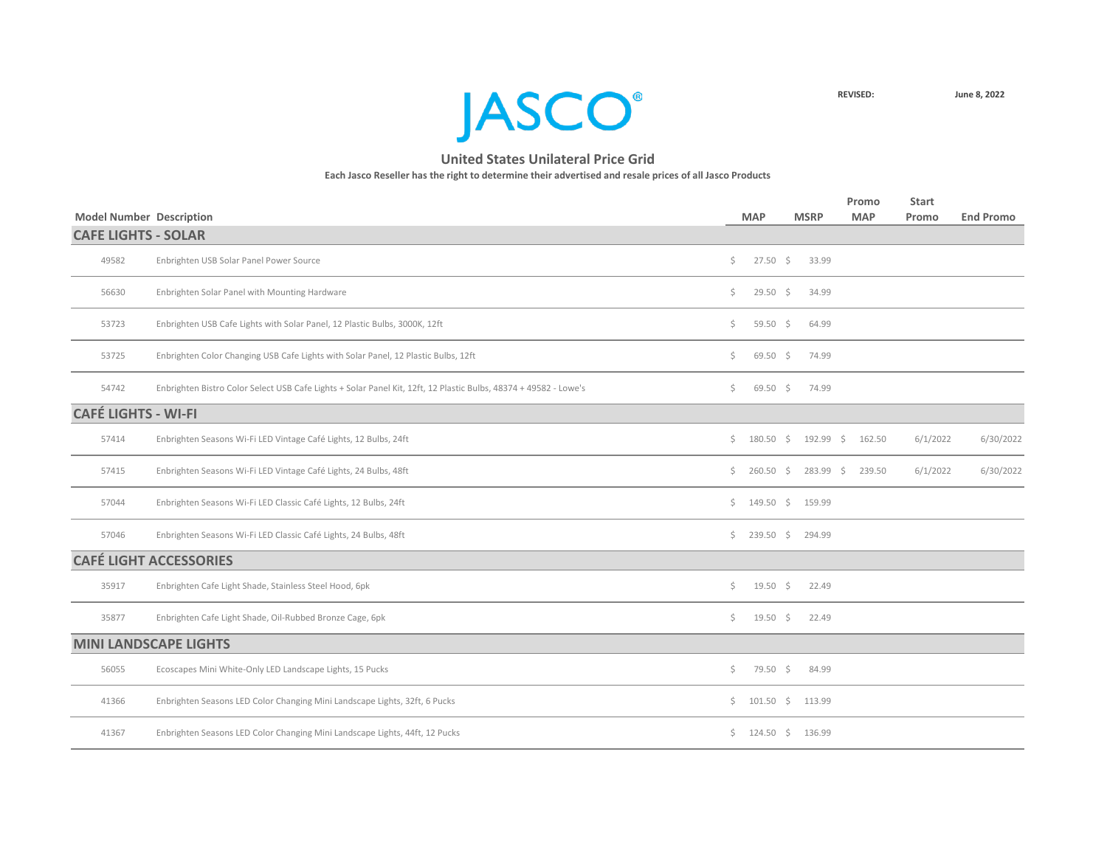**JASCO**<sup>®</sup>

| <b>Model Number Description</b> |                                                                                                                  |                | <b>MAP</b>              | <b>MSRP</b> | Promo<br><b>MAP</b> | <b>Start</b><br>Promo | <b>End Promo</b> |
|---------------------------------|------------------------------------------------------------------------------------------------------------------|----------------|-------------------------|-------------|---------------------|-----------------------|------------------|
| <b>CAFE LIGHTS - SOLAR</b>      |                                                                                                                  |                |                         |             |                     |                       |                  |
| 49582                           | Enbrighten USB Solar Panel Power Source                                                                          | Ś.             | $27.50$ \$              | 33.99       |                     |                       |                  |
| 56630                           | Enbrighten Solar Panel with Mounting Hardware                                                                    | Ś.             | $29.50 \div$            | 34.99       |                     |                       |                  |
| 53723                           | Enbrighten USB Cafe Lights with Solar Panel, 12 Plastic Bulbs, 3000K, 12ft                                       | Ś.             | 59.50 \$                | 64.99       |                     |                       |                  |
| 53725                           | Enbrighten Color Changing USB Cafe Lights with Solar Panel, 12 Plastic Bulbs, 12ft                               | \$             | $69.50 \div$            | 74.99       |                     |                       |                  |
| 54742                           | Enbrighten Bistro Color Select USB Cafe Lights + Solar Panel Kit, 12ft, 12 Plastic Bulbs, 48374 + 49582 - Lowe's | $\mathsf{S}^-$ | $69.50 \div$            | 74.99       |                     |                       |                  |
| <b>CAFÉ LIGHTS - WI-FI</b>      |                                                                                                                  |                |                         |             |                     |                       |                  |
| 57414                           | Enbrighten Seasons Wi-Fi LED Vintage Café Lights, 12 Bulbs, 24ft                                                 |                | \$180.50\$              |             | 192.99 \$ 162.50    | 6/1/2022              | 6/30/2022        |
| 57415                           | Enbrighten Seasons Wi-Fi LED Vintage Café Lights, 24 Bulbs, 48ft                                                 | Ś.             | $260.50$ \$             | $283.99$ \$ | 239.50              | 6/1/2022              | 6/30/2022        |
| 57044                           | Enbrighten Seasons Wi-Fi LED Classic Café Lights, 12 Bulbs, 24ft                                                 |                | \$149.50\$              | 159.99      |                     |                       |                  |
| 57046                           | Enbrighten Seasons Wi-Fi LED Classic Café Lights, 24 Bulbs, 48ft                                                 |                | $\frac{1}{2}$ 239.50 \$ | 294.99      |                     |                       |                  |
|                                 | <b>CAFÉ LIGHT ACCESSORIES</b>                                                                                    |                |                         |             |                     |                       |                  |
| 35917                           | Enbrighten Cafe Light Shade, Stainless Steel Hood, 6pk                                                           | \$             | $19.50 \pm 5$           | 22.49       |                     |                       |                  |
| 35877                           | Enbrighten Cafe Light Shade, Oil-Rubbed Bronze Cage, 6pk                                                         | \$             | $19.50 \div$            | 22.49       |                     |                       |                  |
|                                 | <b>MINI LANDSCAPE LIGHTS</b>                                                                                     |                |                         |             |                     |                       |                  |
| 56055                           | Ecoscapes Mini White-Only LED Landscape Lights, 15 Pucks                                                         | \$             | 79.50 \$                | 84.99       |                     |                       |                  |
| 41366                           | Enbrighten Seasons LED Color Changing Mini Landscape Lights, 32ft, 6 Pucks                                       |                | $\frac{101.50}{5}$      | 113.99      |                     |                       |                  |
| 41367                           | Enbrighten Seasons LED Color Changing Mini Landscape Lights, 44ft, 12 Pucks                                      | Ś.             | $124.50 \pm 5$          | 136.99      |                     |                       |                  |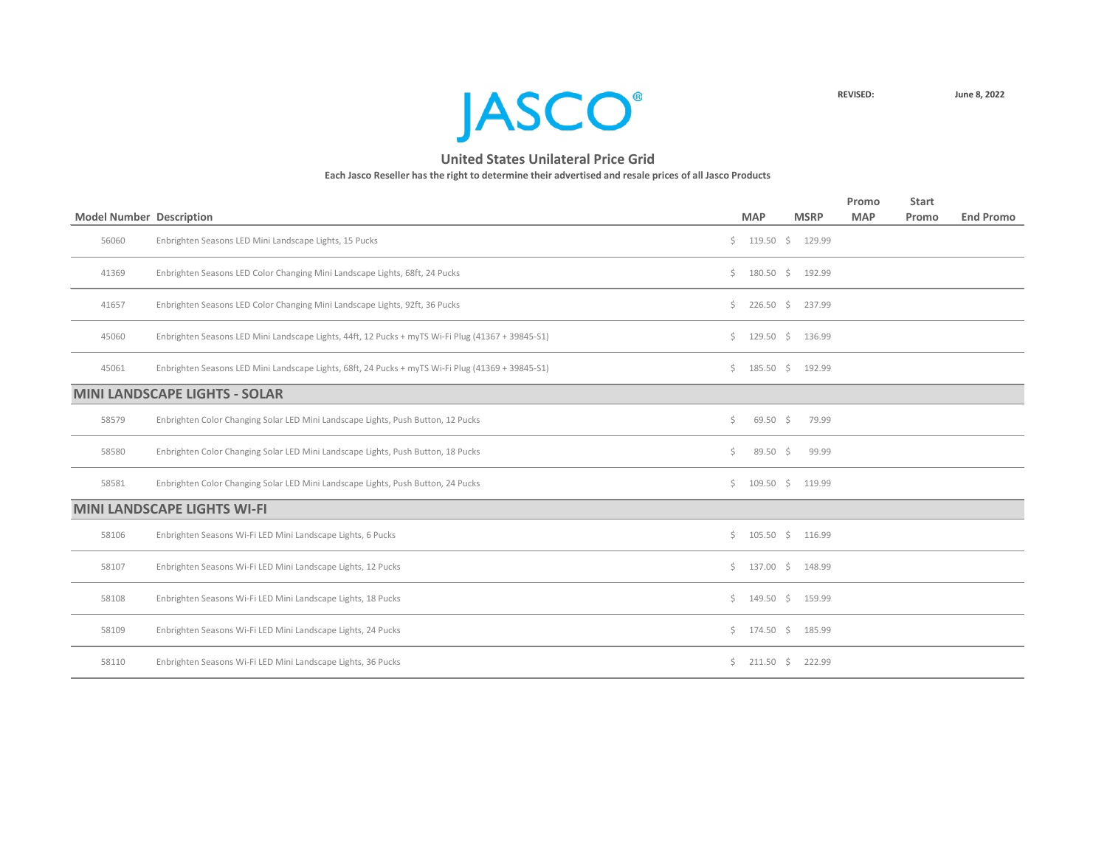

|                                 |                                                                                                   |     |                     |             | Promo      | <b>Start</b> |                  |
|---------------------------------|---------------------------------------------------------------------------------------------------|-----|---------------------|-------------|------------|--------------|------------------|
| <b>Model Number Description</b> |                                                                                                   |     | <b>MAP</b>          | <b>MSRP</b> | <b>MAP</b> | Promo        | <b>End Promo</b> |
| 56060                           | Enbrighten Seasons LED Mini Landscape Lights, 15 Pucks                                            |     | \$119.50\$          | 129.99      |            |              |                  |
| 41369                           | Enbrighten Seasons LED Color Changing Mini Landscape Lights, 68ft, 24 Pucks                       | Ś.  | $180.50\frac{1}{5}$ | 192.99      |            |              |                  |
| 41657                           | Enbrighten Seasons LED Color Changing Mini Landscape Lights, 92ft, 36 Pucks                       | Ś.  | $226.50$ \$         | 237.99      |            |              |                  |
| 45060                           | Enbrighten Seasons LED Mini Landscape Lights, 44ft, 12 Pucks + myTS Wi-Fi Plug (41367 + 39845-S1) | Ś.  | $129.50 \div$       | 136.99      |            |              |                  |
| 45061                           | Enbrighten Seasons LED Mini Landscape Lights, 68ft, 24 Pucks + myTS Wi-Fi Plug (41369 + 39845-S1) |     | \$185.50\$          | 192.99      |            |              |                  |
|                                 | <b>MINI LANDSCAPE LIGHTS - SOLAR</b>                                                              |     |                     |             |            |              |                  |
| 58579                           | Enbrighten Color Changing Solar LED Mini Landscape Lights, Push Button, 12 Pucks                  | Ś.  | $69.50$ \$          | 79.99       |            |              |                  |
| 58580                           | Enbrighten Color Changing Solar LED Mini Landscape Lights, Push Button, 18 Pucks                  | \$. | $89.50 \div$        | 99.99       |            |              |                  |
| 58581                           | Enbrighten Color Changing Solar LED Mini Landscape Lights, Push Button, 24 Pucks                  |     | \$109.50\$          | 119.99      |            |              |                  |
|                                 | <b>MINI LANDSCAPE LIGHTS WI-FI</b>                                                                |     |                     |             |            |              |                  |
| 58106                           | Enbrighten Seasons Wi-Fi LED Mini Landscape Lights, 6 Pucks                                       |     | $$105.50 \t$116.99$ |             |            |              |                  |
| 58107                           | Enbrighten Seasons Wi-Fi LED Mini Landscape Lights, 12 Pucks                                      | Ś.  | $137.00 \div$       | 148.99      |            |              |                  |
| 58108                           | Enbrighten Seasons Wi-Fi LED Mini Landscape Lights, 18 Pucks                                      | Ś.  | $149.50 \div$       | 159.99      |            |              |                  |
| 58109                           | Enbrighten Seasons Wi-Fi LED Mini Landscape Lights, 24 Pucks                                      |     | $$174.50$ \$        | 185.99      |            |              |                  |
| 58110                           | Enbrighten Seasons Wi-Fi LED Mini Landscape Lights, 36 Pucks                                      | Ś.  | $211.50 \pm 5$      | 222.99      |            |              |                  |
|                                 |                                                                                                   |     |                     |             |            |              |                  |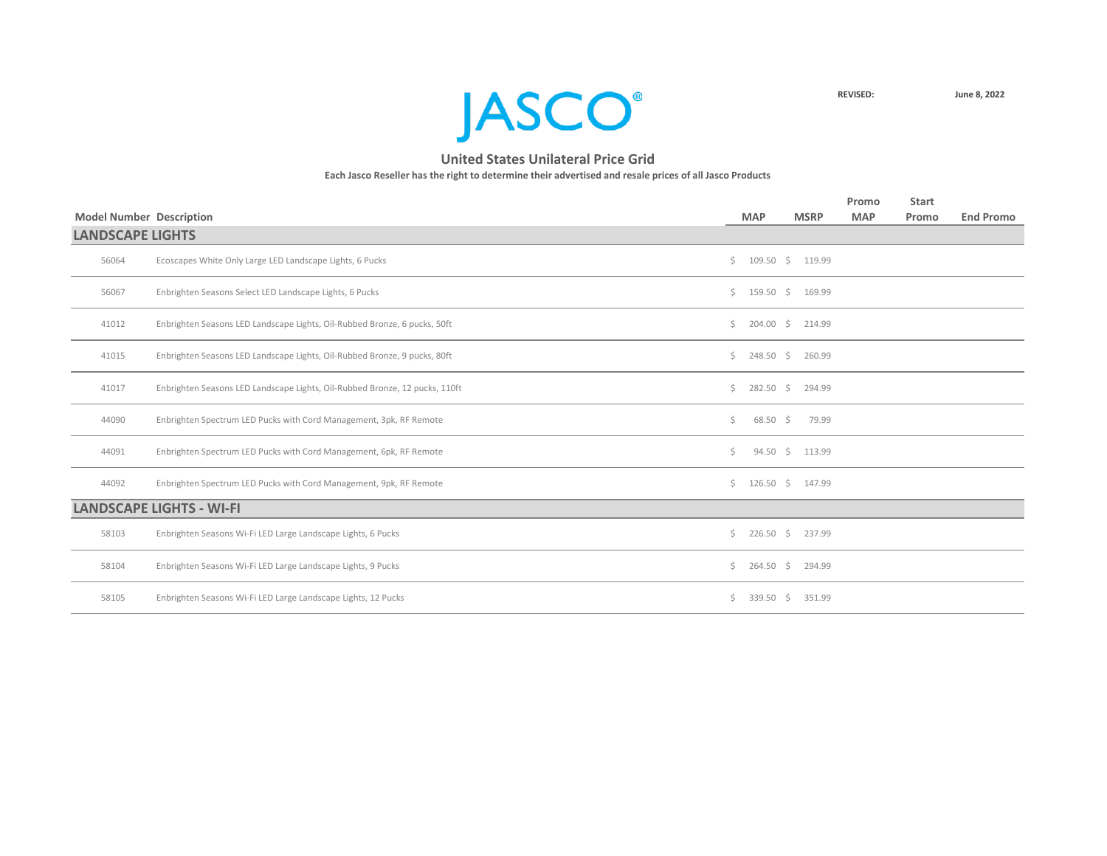

| <b>Model Number Description</b><br><b>LANDSCAPE LIGHTS</b> |                                                                             |    | <b>MAP</b>          | <b>MSRP</b>          | Promo<br><b>MAP</b> | <b>Start</b><br>Promo | <b>End Promo</b> |
|------------------------------------------------------------|-----------------------------------------------------------------------------|----|---------------------|----------------------|---------------------|-----------------------|------------------|
|                                                            |                                                                             |    |                     |                      |                     |                       |                  |
| 56064                                                      | Ecoscapes White Only Large LED Landscape Lights, 6 Pucks                    | Ś. |                     | 109.50 \$ 119.99     |                     |                       |                  |
| 56067                                                      | Enbrighten Seasons Select LED Landscape Lights, 6 Pucks                     |    |                     | $$159.50$$ \$ 169.99 |                     |                       |                  |
| 41012                                                      | Enbrighten Seasons LED Landscape Lights, Oil-Rubbed Bronze, 6 pucks, 50ft   | Ś. |                     | 204.00 \$ 214.99     |                     |                       |                  |
| 41015                                                      | Enbrighten Seasons LED Landscape Lights, Oil-Rubbed Bronze, 9 pucks, 80ft   | Ś. | $248.50\frac{1}{5}$ | 260.99               |                     |                       |                  |
| 41017                                                      | Enbrighten Seasons LED Landscape Lights, Oil-Rubbed Bronze, 12 pucks, 110ft | Ś. | $282.50$ \$         | 294.99               |                     |                       |                  |
| 44090                                                      | Enbrighten Spectrum LED Pucks with Cord Management, 3pk, RF Remote          | \$ | $68.50\frac{2}{5}$  | 79.99                |                     |                       |                  |
| 44091                                                      | Enbrighten Spectrum LED Pucks with Cord Management, 6pk, RF Remote          | Ś. | $94.50 \div$        | 113.99               |                     |                       |                  |
| 44092                                                      | Enbrighten Spectrum LED Pucks with Cord Management, 9pk, RF Remote          |    | \$126.50\$          | 147.99               |                     |                       |                  |
|                                                            | <b>LANDSCAPE LIGHTS - WI-FI</b>                                             |    |                     |                      |                     |                       |                  |
| 58103                                                      | Enbrighten Seasons Wi-Fi LED Large Landscape Lights, 6 Pucks                | Ś. | $226.50$ \$         | 237.99               |                     |                       |                  |
| 58104                                                      | Enbrighten Seasons Wi-Fi LED Large Landscape Lights, 9 Pucks                | Ś. | $264.50$ \$         | 294.99               |                     |                       |                  |
| 58105                                                      | Enbrighten Seasons Wi-Fi LED Large Landscape Lights, 12 Pucks               | Ś. | $339.50$ \$         | 351.99               |                     |                       |                  |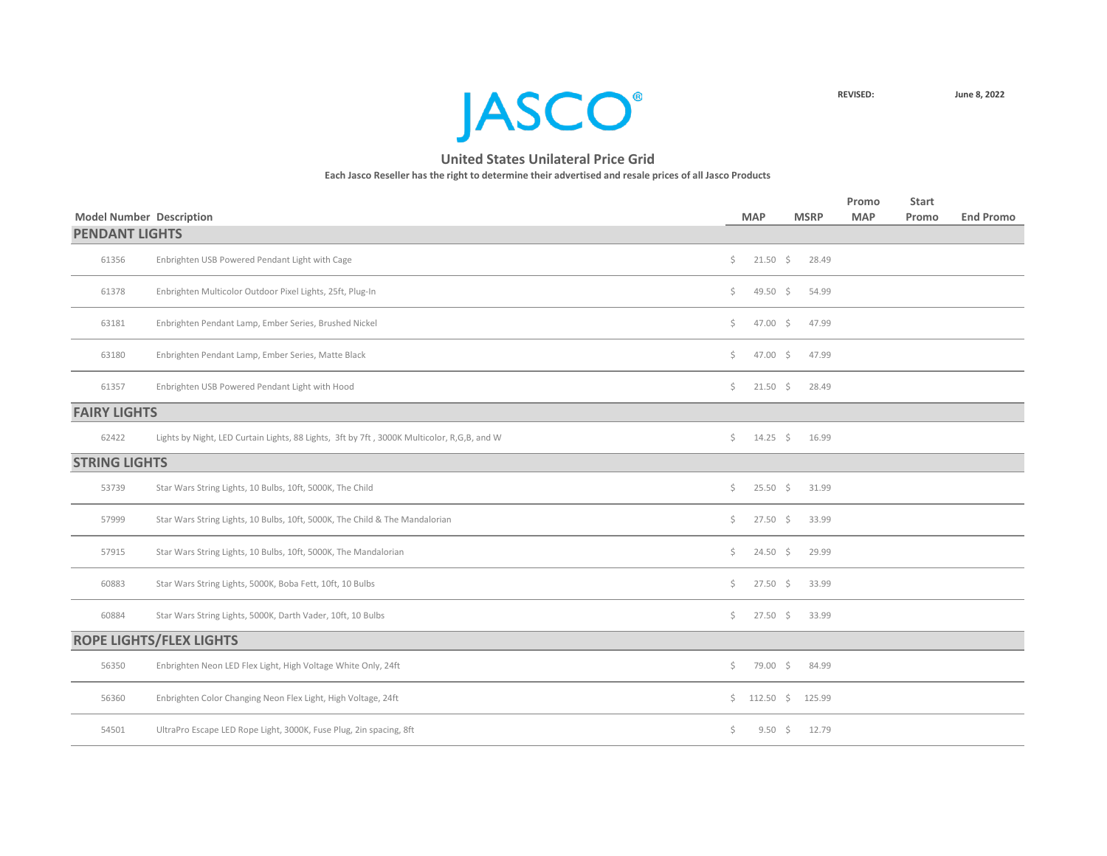

| <b>Model Number Description</b> |                                                                                            |         | <b>MAP</b>       | <b>MSRP</b> | Promo<br><b>MAP</b> | <b>Start</b><br>Promo | <b>End Promo</b> |
|---------------------------------|--------------------------------------------------------------------------------------------|---------|------------------|-------------|---------------------|-----------------------|------------------|
| <b>PENDANT LIGHTS</b>           |                                                                                            |         |                  |             |                     |                       |                  |
| 61356                           | Enbrighten USB Powered Pendant Light with Cage                                             | S.      | $21.50 \div$     | 28.49       |                     |                       |                  |
| 61378                           | Enbrighten Multicolor Outdoor Pixel Lights, 25ft, Plug-In                                  | $\zeta$ | 49.50 \$         | 54.99       |                     |                       |                  |
| 63181                           | Enbrighten Pendant Lamp, Ember Series, Brushed Nickel                                      | Ś.      | $47.00 \div$     | 47.99       |                     |                       |                  |
| 63180                           | Enbrighten Pendant Lamp, Ember Series, Matte Black                                         | Ś.      | $47.00 \div$     | 47.99       |                     |                       |                  |
| 61357                           | Enbrighten USB Powered Pendant Light with Hood                                             | Ś.      | $21.50 \pm 5$    | 28.49       |                     |                       |                  |
| <b>FAIRY LIGHTS</b>             |                                                                                            |         |                  |             |                     |                       |                  |
| 62422                           | Lights by Night, LED Curtain Lights, 88 Lights, 3ft by 7ft, 3000K Multicolor, R,G,B, and W | Ś.      | $14.25 \quad$ \$ | 16.99       |                     |                       |                  |
| <b>STRING LIGHTS</b>            |                                                                                            |         |                  |             |                     |                       |                  |
| 53739                           | Star Wars String Lights, 10 Bulbs, 10ft, 5000K, The Child                                  | S.      | $25.50 \div$     | 31.99       |                     |                       |                  |
| 57999                           | Star Wars String Lights, 10 Bulbs, 10ft, 5000K, The Child & The Mandalorian                | Ŝ.      | $27.50 \div$     | 33.99       |                     |                       |                  |
| 57915                           | Star Wars String Lights, 10 Bulbs, 10ft, 5000K, The Mandalorian                            | S.      | $24.50 \pm 5$    | 29.99       |                     |                       |                  |
| 60883                           | Star Wars String Lights, 5000K, Boba Fett, 10ft, 10 Bulbs                                  | Ŝ.      | $27.50$ \$       | 33.99       |                     |                       |                  |
| 60884                           | Star Wars String Lights, 5000K, Darth Vader, 10ft, 10 Bulbs                                | Ś.      | $27.50 \pm 5$    | 33.99       |                     |                       |                  |
|                                 | <b>ROPE LIGHTS/FLEX LIGHTS</b>                                                             |         |                  |             |                     |                       |                  |
| 56350                           | Enbrighten Neon LED Flex Light, High Voltage White Only, 24ft                              | \$      | 79.00 \$         | 84.99       |                     |                       |                  |
| 56360                           | Enbrighten Color Changing Neon Flex Light, High Voltage, 24ft                              |         | \$112.50\$       | 125.99      |                     |                       |                  |
| 54501                           | UltraPro Escape LED Rope Light, 3000K, Fuse Plug, 2in spacing, 8ft                         | \$      | $9.50 \div$      | 12.79       |                     |                       |                  |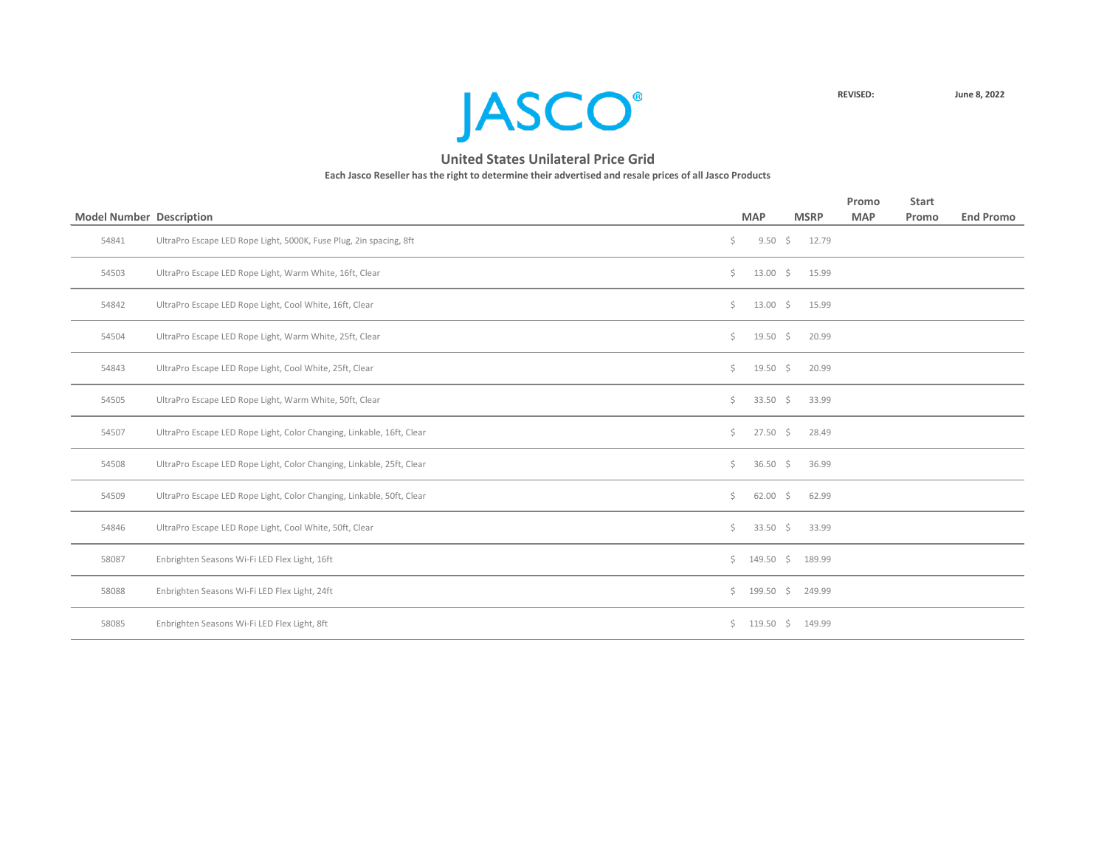

| <b>Model Number Description</b> |                                                                       |     | <b>MAP</b>    | <b>MSRP</b>       | Promo<br><b>MAP</b> | <b>Start</b><br>Promo | <b>End Promo</b> |
|---------------------------------|-----------------------------------------------------------------------|-----|---------------|-------------------|---------------------|-----------------------|------------------|
| 54841                           | UltraPro Escape LED Rope Light, 5000K, Fuse Plug, 2in spacing, 8ft    | \$. |               | $9.50 \div 12.79$ |                     |                       |                  |
|                                 |                                                                       |     |               |                   |                     |                       |                  |
| 54503                           | UltraPro Escape LED Rope Light, Warm White, 16ft, Clear               | \$  | $13.00 \div$  | 15.99             |                     |                       |                  |
| 54842                           | UltraPro Escape LED Rope Light, Cool White, 16ft, Clear               | \$. | $13.00 \div$  | 15.99             |                     |                       |                  |
| 54504                           | UltraPro Escape LED Rope Light, Warm White, 25ft, Clear               | \$. | $19.50 \div$  | 20.99             |                     |                       |                  |
| 54843                           | UltraPro Escape LED Rope Light, Cool White, 25ft, Clear               | Ś.  | $19.50 \div$  | 20.99             |                     |                       |                  |
| 54505                           | UltraPro Escape LED Rope Light, Warm White, 50ft, Clear               | \$. | 33.50 \$      | 33.99             |                     |                       |                  |
| 54507                           | UltraPro Escape LED Rope Light, Color Changing, Linkable, 16ft, Clear | \$  | $27.50 \div$  | 28.49             |                     |                       |                  |
| 54508                           | UltraPro Escape LED Rope Light, Color Changing, Linkable, 25ft, Clear | \$. | 36.50 \$      | 36.99             |                     |                       |                  |
| 54509                           | UltraPro Escape LED Rope Light, Color Changing, Linkable, 50ft, Clear | \$. | $62.00$ \$    | 62.99             |                     |                       |                  |
| 54846                           | UltraPro Escape LED Rope Light, Cool White, 50ft, Clear               | \$  | 33.50 \$      | 33.99             |                     |                       |                  |
| 58087                           | Enbrighten Seasons Wi-Fi LED Flex Light, 16ft                         |     | $$149.50$ \$  | 189.99            |                     |                       |                  |
| 58088                           | Enbrighten Seasons Wi-Fi LED Flex Light, 24ft                         |     | \$199.50\$    | 249.99            |                     |                       |                  |
| 58085                           | Enbrighten Seasons Wi-Fi LED Flex Light, 8ft                          | Ś.  | $119.50 \div$ | 149.99            |                     |                       |                  |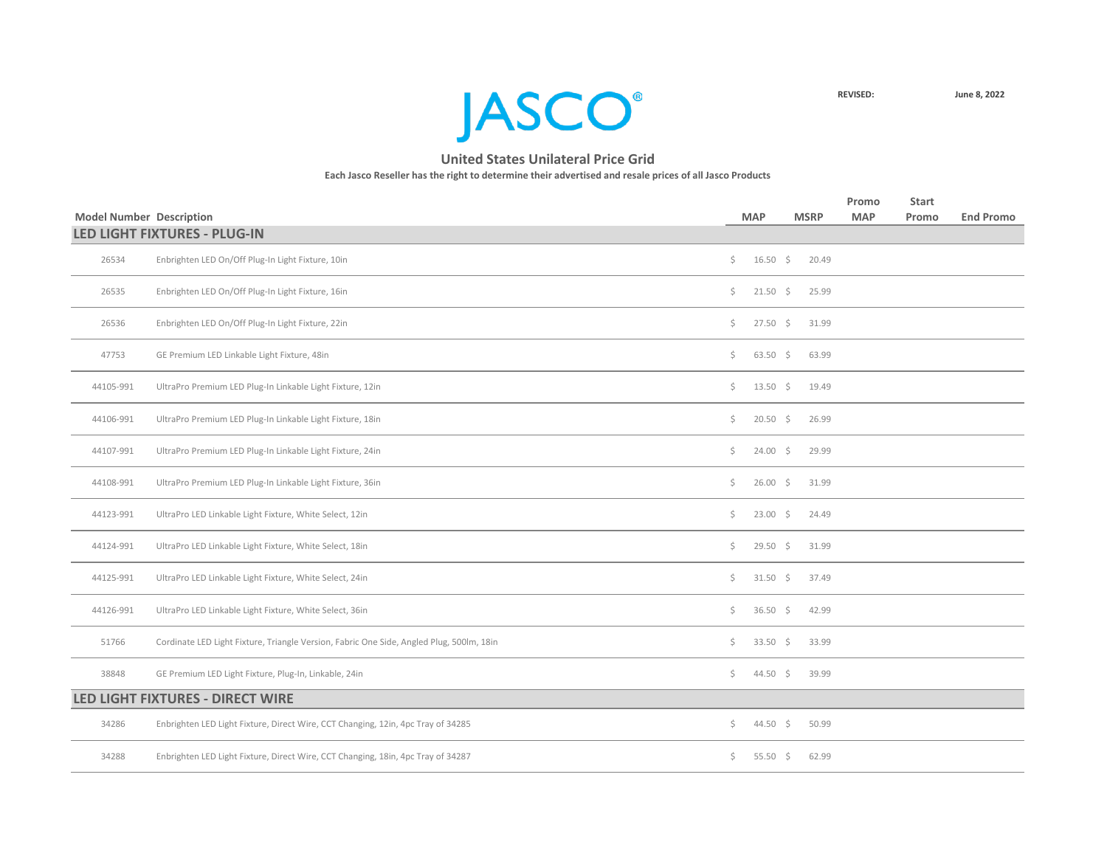

|                                 |                                                                                          |         |                     |                | Promo      | <b>Start</b> |                  |
|---------------------------------|------------------------------------------------------------------------------------------|---------|---------------------|----------------|------------|--------------|------------------|
| <b>Model Number Description</b> | <b>LED LIGHT FIXTURES - PLUG-IN</b>                                                      |         | <b>MAP</b>          | <b>MSRP</b>    | <b>MAP</b> | Promo        | <b>End Promo</b> |
|                                 |                                                                                          |         |                     |                |            |              |                  |
| 26534                           | Enbrighten LED On/Off Plug-In Light Fixture, 10in                                        | \$      | $16.50 \div$        | 20.49          |            |              |                  |
| 26535                           | Enbrighten LED On/Off Plug-In Light Fixture, 16in                                        | \$      | $21.50$ \$          | 25.99          |            |              |                  |
| 26536                           | Enbrighten LED On/Off Plug-In Light Fixture, 22in                                        | \$.     | $27.50 \div$        | 31.99          |            |              |                  |
| 47753                           | GE Premium LED Linkable Light Fixture, 48in                                              | \$.     | $63.50$ \$          | 63.99          |            |              |                  |
| 44105-991                       | UltraPro Premium LED Plug-In Linkable Light Fixture, 12in                                | \$.     |                     | 13.50 \$ 19.49 |            |              |                  |
| 44106-991                       | UltraPro Premium LED Plug-In Linkable Light Fixture, 18in                                | \$.     | $20.50$ \$          | 26.99          |            |              |                  |
| 44107-991                       | UltraPro Premium LED Plug-In Linkable Light Fixture, 24in                                | \$.     | $24.00 \div$        | 29.99          |            |              |                  |
| 44108-991                       | UltraPro Premium LED Plug-In Linkable Light Fixture, 36in                                | \$.     | $26.00$ \$          | 31.99          |            |              |                  |
| 44123-991                       | UltraPro LED Linkable Light Fixture, White Select, 12in                                  | \$.     | $23.00$ \$          | 24.49          |            |              |                  |
| 44124-991                       | UltraPro LED Linkable Light Fixture, White Select, 18in                                  | \$.     | $29.50$ \$          | 31.99          |            |              |                  |
| 44125-991                       | UltraPro LED Linkable Light Fixture, White Select, 24in                                  | \$.     | $31.50 \div$        | 37.49          |            |              |                  |
| 44126-991                       | UltraPro LED Linkable Light Fixture, White Select, 36in                                  | \$.     | $36.50$ \$          | 42.99          |            |              |                  |
| 51766                           | Cordinate LED Light Fixture, Triangle Version, Fabric One Side, Angled Plug, 500lm, 18in | \$      | $33.50 \div$        | 33.99          |            |              |                  |
| 38848                           | GE Premium LED Light Fixture, Plug-In, Linkable, 24in                                    | \$.     | 44.50 \$            | 39.99          |            |              |                  |
|                                 | LED LIGHT FIXTURES - DIRECT WIRE                                                         |         |                     |                |            |              |                  |
| 34286                           | Enbrighten LED Light Fixture, Direct Wire, CCT Changing, 12in, 4pc Tray of 34285         | $\zeta$ | 44.50 \$            | 50.99          |            |              |                  |
| 34288                           | Enbrighten LED Light Fixture, Direct Wire, CCT Changing, 18in, 4pc Tray of 34287         | \$      | 55.50 $\frac{2}{5}$ | 62.99          |            |              |                  |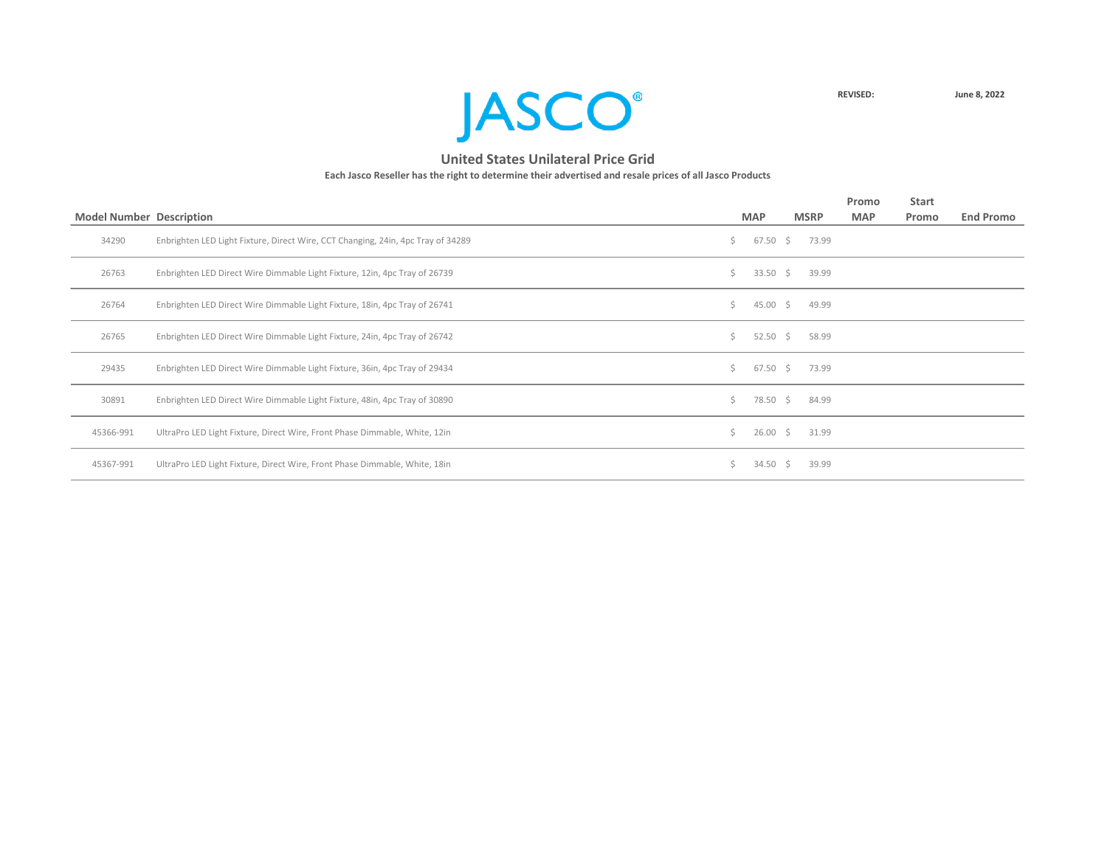

|                                 |                                                                                  |    |               |    |             | Promo      | <b>Start</b> |                  |
|---------------------------------|----------------------------------------------------------------------------------|----|---------------|----|-------------|------------|--------------|------------------|
| <b>Model Number Description</b> |                                                                                  |    | <b>MAP</b>    |    | <b>MSRP</b> | <b>MAP</b> | Promo        | <b>End Promo</b> |
| 34290                           | Enbrighten LED Light Fixture, Direct Wire, CCT Changing, 24in, 4pc Tray of 34289 | S. | $67.50 \pm 5$ |    | 73.99       |            |              |                  |
| 26763                           | Enbrighten LED Direct Wire Dimmable Light Fixture, 12in, 4pc Tray of 26739       | Ś. | 33.50 \$      |    | 39.99       |            |              |                  |
| 26764                           | Enbrighten LED Direct Wire Dimmable Light Fixture, 18in, 4pc Tray of 26741       | Ś. | 45.00         | S. | 49.99       |            |              |                  |
| 26765                           | Enbrighten LED Direct Wire Dimmable Light Fixture, 24in, 4pc Tray of 26742       | Ś. | 52.50         | S. | 58.99       |            |              |                  |
| 29435                           | Enbrighten LED Direct Wire Dimmable Light Fixture, 36in, 4pc Tray of 29434       | Ś. | $67.50 \pm 5$ |    | 73.99       |            |              |                  |
| 30891                           | Enbrighten LED Direct Wire Dimmable Light Fixture, 48in, 4pc Tray of 30890       | Ś. | 78.50         | \$ | 84.99       |            |              |                  |
| 45366-991                       | UltraPro LED Light Fixture, Direct Wire, Front Phase Dimmable, White, 12in       | Ś. | 26.00         | \$ | 31.99       |            |              |                  |
| 45367-991                       | UltraPro LED Light Fixture, Direct Wire, Front Phase Dimmable, White, 18in       |    | 34.50         | S  | 39.99       |            |              |                  |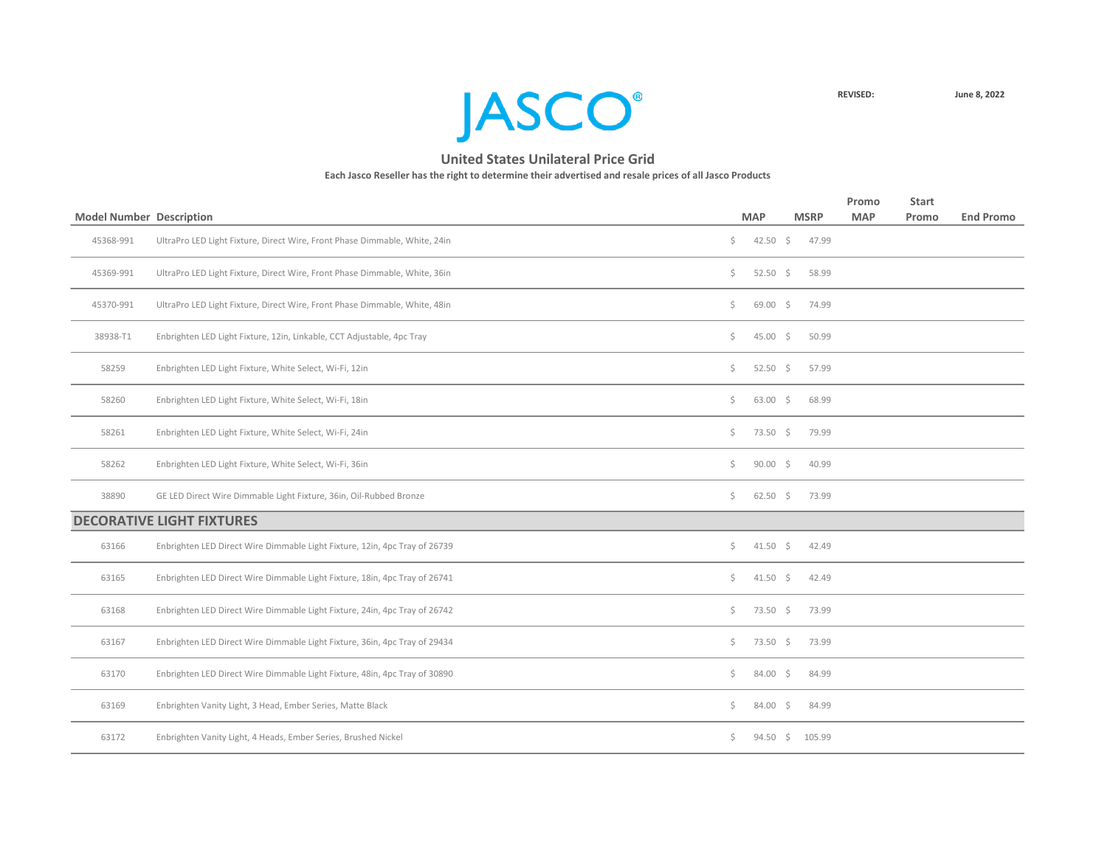

| <b>Model Number Description</b> |                                                                            |     | <b>MAP</b>         | <b>MSRP</b> | Promo<br><b>MAP</b> | <b>Start</b><br>Promo | <b>End Promo</b> |
|---------------------------------|----------------------------------------------------------------------------|-----|--------------------|-------------|---------------------|-----------------------|------------------|
| 45368-991                       | UltraPro LED Light Fixture, Direct Wire, Front Phase Dimmable, White, 24in | \$  | 42.50 \$           | 47.99       |                     |                       |                  |
|                                 |                                                                            |     |                    |             |                     |                       |                  |
| 45369-991                       | UltraPro LED Light Fixture, Direct Wire, Front Phase Dimmable, White, 36in | \$  | 52.50 \$           | 58.99       |                     |                       |                  |
| 45370-991                       | UltraPro LED Light Fixture, Direct Wire, Front Phase Dimmable, White, 48in | \$  | $69.00$ \$         | 74.99       |                     |                       |                  |
| 38938-T1                        | Enbrighten LED Light Fixture, 12in, Linkable, CCT Adjustable, 4pc Tray     | \$  | $45.00 \div$       | 50.99       |                     |                       |                  |
| 58259                           | Enbrighten LED Light Fixture, White Select, Wi-Fi, 12in                    | \$  | $52.50$ \$         | 57.99       |                     |                       |                  |
| 58260                           | Enbrighten LED Light Fixture, White Select, Wi-Fi, 18in                    | \$  | $63.00 \quad $$    | 68.99       |                     |                       |                  |
| 58261                           | Enbrighten LED Light Fixture, White Select, Wi-Fi, 24in                    | Ś.  | 73.50 \$           | 79.99       |                     |                       |                  |
| 58262                           | Enbrighten LED Light Fixture, White Select, Wi-Fi, 36in                    | \$  | $90.00$ \$         | 40.99       |                     |                       |                  |
| 38890                           | GE LED Direct Wire Dimmable Light Fixture, 36in, Oil-Rubbed Bronze         | \$  | $62.50$ \$         | 73.99       |                     |                       |                  |
|                                 | <b>DECORATIVE LIGHT FIXTURES</b>                                           |     |                    |             |                     |                       |                  |
| 63166                           | Enbrighten LED Direct Wire Dimmable Light Fixture, 12in, 4pc Tray of 26739 | \$  | $41.50 \pm 5$      | 42.49       |                     |                       |                  |
| 63165                           | Enbrighten LED Direct Wire Dimmable Light Fixture, 18in, 4pc Tray of 26741 | Ś.  | $41.50 \div$       | 42.49       |                     |                       |                  |
| 63168                           | Enbrighten LED Direct Wire Dimmable Light Fixture, 24in, 4pc Tray of 26742 | \$  | $73.50\frac{1}{5}$ | 73.99       |                     |                       |                  |
| 63167                           | Enbrighten LED Direct Wire Dimmable Light Fixture, 36in, 4pc Tray of 29434 | \$  | $73.50 \pm 5$      | 73.99       |                     |                       |                  |
| 63170                           | Enbrighten LED Direct Wire Dimmable Light Fixture, 48in, 4pc Tray of 30890 | \$  | $84.00 \pm 5$      | 84.99       |                     |                       |                  |
| 63169                           | Enbrighten Vanity Light, 3 Head, Ember Series, Matte Black                 | \$  | 84.00 \$           | 84.99       |                     |                       |                  |
| 63172                           | Enbrighten Vanity Light, 4 Heads, Ember Series, Brushed Nickel             | \$. | $94.50 \div$       | 105.99      |                     |                       |                  |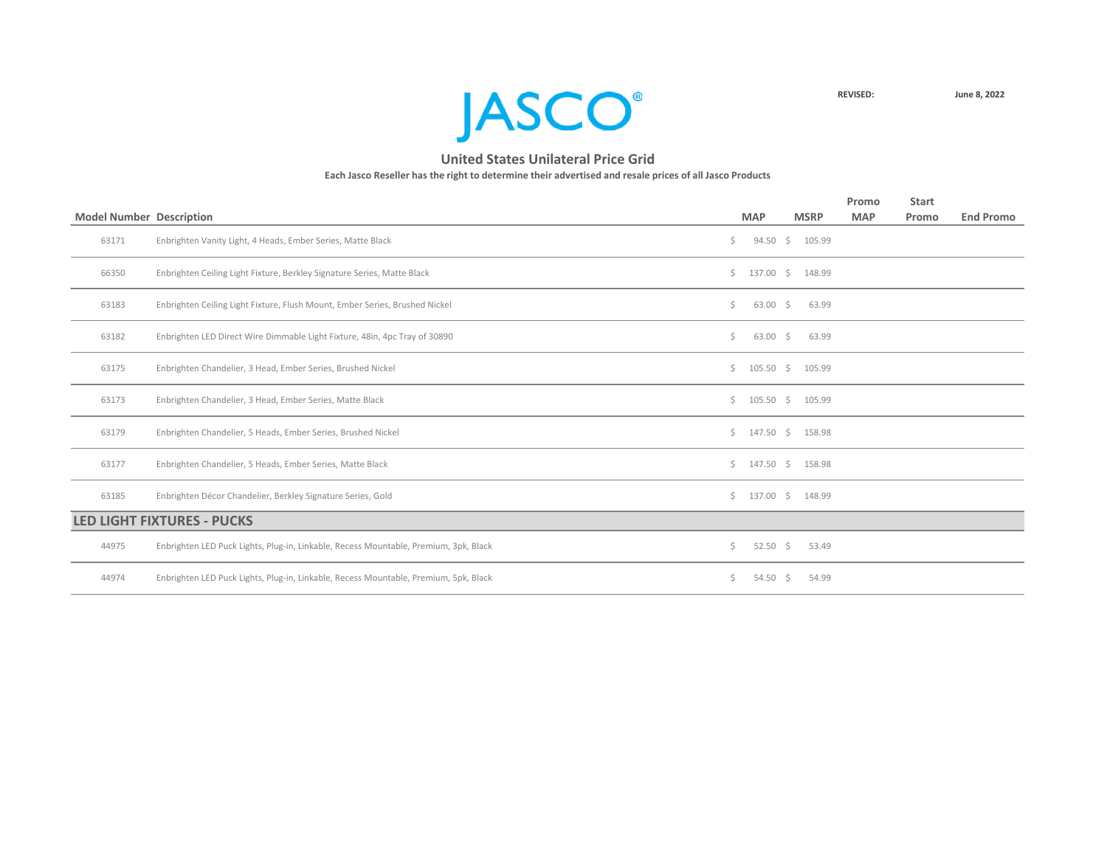

|                                 |                                                                                      |    |                         |                 | Promo      | <b>Start</b> |                  |
|---------------------------------|--------------------------------------------------------------------------------------|----|-------------------------|-----------------|------------|--------------|------------------|
| <b>Model Number Description</b> |                                                                                      |    | <b>MAP</b>              | <b>MSRP</b>     | <b>MAP</b> | Promo        | <b>End Promo</b> |
| 63171                           | Enbrighten Vanity Light, 4 Heads, Ember Series, Matte Black                          | Ś. |                         | 94.50 \$ 105.99 |            |              |                  |
| 66350                           | Enbrighten Ceiling Light Fixture, Berkley Signature Series, Matte Black              |    | $$137.00 \t$148.99$     |                 |            |              |                  |
| 63183                           | Enbrighten Ceiling Light Fixture, Flush Mount, Ember Series, Brushed Nickel          | Ś. | $63.00 \div$            | 63.99           |            |              |                  |
| 63182                           | Enbrighten LED Direct Wire Dimmable Light Fixture, 48in, 4pc Tray of 30890           | \$ | $63.00 \div$            | 63.99           |            |              |                  |
| 63175                           | Enbrighten Chandelier, 3 Head, Ember Series, Brushed Nickel                          |    | \$105.50\$              | 105.99          |            |              |                  |
| 63173                           | Enbrighten Chandelier, 3 Head, Ember Series, Matte Black                             |    | \$105.50\$              | 105.99          |            |              |                  |
| 63179                           | Enbrighten Chandelier, 5 Heads, Ember Series, Brushed Nickel                         |    | $\frac{1}{2}$ 147.50 \$ | 158.98          |            |              |                  |
| 63177                           | Enbrighten Chandelier, 5 Heads, Ember Series, Matte Black                            |    | $\frac{1}{2}$ 147.50 \$ | 158.98          |            |              |                  |
| 63185                           | Enbrighten Décor Chandelier, Berkley Signature Series, Gold                          |    | $$137.00$$ \$ 148.99    |                 |            |              |                  |
|                                 | <b>LED LIGHT FIXTURES - PUCKS</b>                                                    |    |                         |                 |            |              |                  |
| 44975                           | Enbrighten LED Puck Lights, Plug-in, Linkable, Recess Mountable, Premium, 3pk, Black | Ś. | $52.50 \div$            | 53.49           |            |              |                  |
| 44974                           | Enbrighten LED Puck Lights, Plug-in, Linkable, Recess Mountable, Premium, 5pk, Black | S. | $54.50 \div$            | 54.99           |            |              |                  |
|                                 |                                                                                      |    |                         |                 |            |              |                  |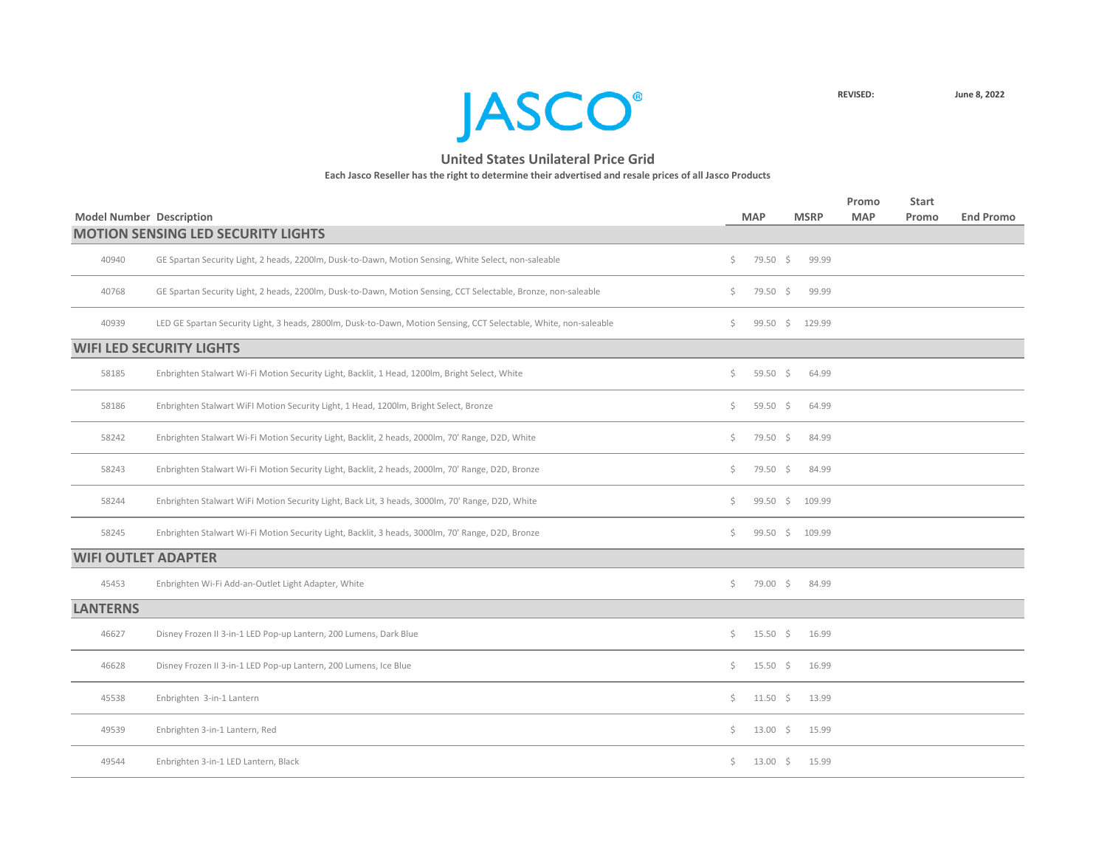

|                                 |                                                                                                                   |         |                 |             |        | Promo      | <b>Start</b> |                  |
|---------------------------------|-------------------------------------------------------------------------------------------------------------------|---------|-----------------|-------------|--------|------------|--------------|------------------|
| <b>Model Number Description</b> | <b>MOTION SENSING LED SECURITY LIGHTS</b>                                                                         |         | <b>MAP</b>      | <b>MSRP</b> |        | <b>MAP</b> | Promo        | <b>End Promo</b> |
| 40940                           | GE Spartan Security Light, 2 heads, 2200lm, Dusk-to-Dawn, Motion Sensing, White Select, non-saleable              | \$.     | 79.50 \$        |             | 99.99  |            |              |                  |
| 40768                           | GE Spartan Security Light, 2 heads, 2200lm, Dusk-to-Dawn, Motion Sensing, CCT Selectable, Bronze, non-saleable    | S.      | 79.50 \$        |             | 99.99  |            |              |                  |
| 40939                           | LED GE Spartan Security Light, 3 heads, 2800lm, Dusk-to-Dawn, Motion Sensing, CCT Selectable, White, non-saleable | Ş.      | $99.50 \quad $$ |             | 129.99 |            |              |                  |
|                                 | <b>WIFI LED SECURITY LIGHTS</b>                                                                                   |         |                 |             |        |            |              |                  |
| 58185                           | Enbrighten Stalwart Wi-Fi Motion Security Light, Backlit, 1 Head, 1200lm, Bright Select, White                    | \$      | 59.50 \$        |             | 64.99  |            |              |                  |
| 58186                           | Enbrighten Stalwart WiFI Motion Security Light, 1 Head, 1200lm, Bright Select, Bronze                             | \$      | 59.50 \$        |             | 64.99  |            |              |                  |
| 58242                           | Enbrighten Stalwart Wi-Fi Motion Security Light, Backlit, 2 heads, 2000lm, 70' Range, D2D, White                  | \$      | 79.50 \$        |             | 84.99  |            |              |                  |
| 58243                           | Enbrighten Stalwart Wi-Fi Motion Security Light, Backlit, 2 heads, 2000lm, 70' Range, D2D, Bronze                 | \$      | 79.50 \$        |             | 84.99  |            |              |                  |
| 58244                           | Enbrighten Stalwart WiFi Motion Security Light, Back Lit, 3 heads, 3000lm, 70' Range, D2D, White                  | \$      | $99.50$ \$      |             | 109.99 |            |              |                  |
| 58245                           | Enbrighten Stalwart Wi-Fi Motion Security Light, Backlit, 3 heads, 3000lm, 70' Range, D2D, Bronze                 | Ś.      | $99.50 \quad $$ |             | 109.99 |            |              |                  |
| <b>WIFI OUTLET ADAPTER</b>      |                                                                                                                   |         |                 |             |        |            |              |                  |
| 45453                           | Enbrighten Wi-Fi Add-an-Outlet Light Adapter, White                                                               | \$      | 79.00 \$        |             | 84.99  |            |              |                  |
| <b>LANTERNS</b>                 |                                                                                                                   |         |                 |             |        |            |              |                  |
| 46627                           | Disney Frozen II 3-in-1 LED Pop-up Lantern, 200 Lumens, Dark Blue                                                 | \$.     | $15.50 \div$    |             | 16.99  |            |              |                  |
| 46628                           | Disney Frozen II 3-in-1 LED Pop-up Lantern, 200 Lumens, Ice Blue                                                  | S.      | $15.50 \div$    |             | 16.99  |            |              |                  |
| 45538                           | Enbrighten 3-in-1 Lantern                                                                                         | $\zeta$ | 11.50 \$ 13.99  |             |        |            |              |                  |
| 49539                           | Enbrighten 3-in-1 Lantern, Red                                                                                    | $\zeta$ | 13.00 \$ 15.99  |             |        |            |              |                  |
| 49544                           | Enbrighten 3-in-1 LED Lantern, Black                                                                              | \$      | 13.00 \$ 15.99  |             |        |            |              |                  |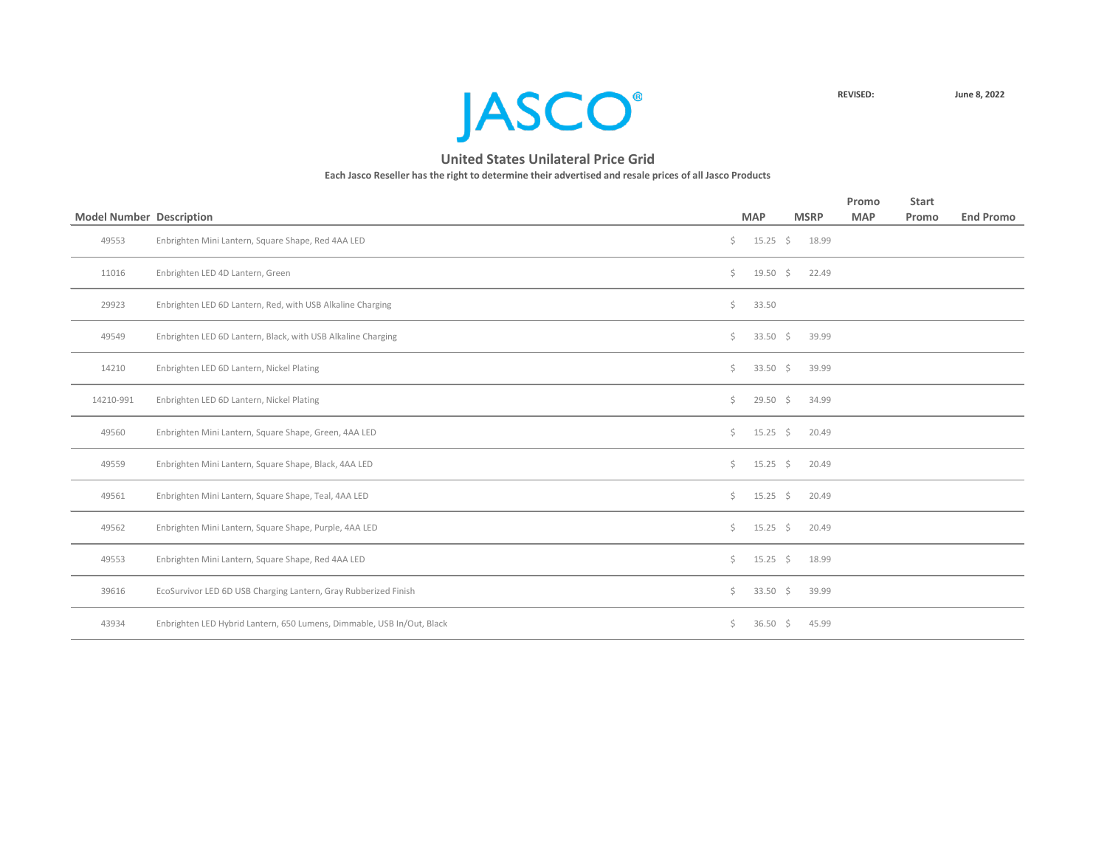

|                                 |                                                                        |     |                  |             | Promo      | <b>Start</b> |                  |
|---------------------------------|------------------------------------------------------------------------|-----|------------------|-------------|------------|--------------|------------------|
| <b>Model Number Description</b> |                                                                        |     | <b>MAP</b>       | <b>MSRP</b> | <b>MAP</b> | Promo        | <b>End Promo</b> |
| 49553                           | Enbrighten Mini Lantern, Square Shape, Red 4AA LED                     | \$. | $15.25$ \$       | 18.99       |            |              |                  |
| 11016                           | Enbrighten LED 4D Lantern, Green                                       | \$. | $19.50$ \$       | 22.49       |            |              |                  |
| 29923                           | Enbrighten LED 6D Lantern, Red, with USB Alkaline Charging             | \$  | 33.50            |             |            |              |                  |
| 49549                           | Enbrighten LED 6D Lantern, Black, with USB Alkaline Charging           | Ś.  | 33.50 \$         | 39.99       |            |              |                  |
| 14210                           | Enbrighten LED 6D Lantern, Nickel Plating                              | \$. | 33.50 \$         | 39.99       |            |              |                  |
| 14210-991                       | Enbrighten LED 6D Lantern, Nickel Plating                              | \$. | $29.50$ \$       | 34.99       |            |              |                  |
| 49560                           | Enbrighten Mini Lantern, Square Shape, Green, 4AA LED                  | Ś.  | $15.25 \div$     | 20.49       |            |              |                  |
| 49559                           | Enbrighten Mini Lantern, Square Shape, Black, 4AA LED                  | \$. | $15.25 \quad$ \$ | 20.49       |            |              |                  |
| 49561                           | Enbrighten Mini Lantern, Square Shape, Teal, 4AA LED                   | \$  | $15.25$ \$       | 20.49       |            |              |                  |
| 49562                           | Enbrighten Mini Lantern, Square Shape, Purple, 4AA LED                 | \$. | $15.25$ \$       | 20.49       |            |              |                  |
| 49553                           | Enbrighten Mini Lantern, Square Shape, Red 4AA LED                     | \$. | $15.25$ \$       | 18.99       |            |              |                  |
| 39616                           | EcoSurvivor LED 6D USB Charging Lantern, Gray Rubberized Finish        | \$. | $33.50 \div$     | 39.99       |            |              |                  |
| 43934                           | Enbrighten LED Hybrid Lantern, 650 Lumens, Dimmable, USB In/Out, Black | S.  | 36.50 \$         | 45.99       |            |              |                  |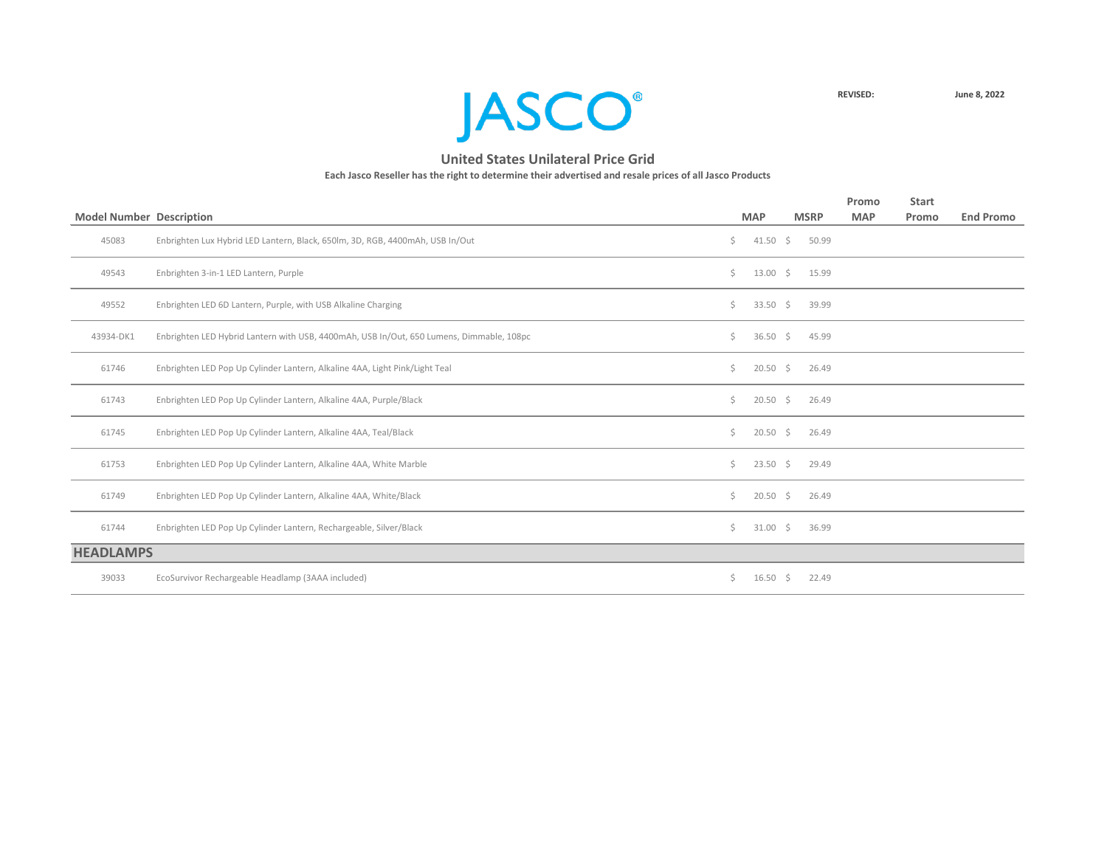

|                                 |                                                                                          |    |                    |    |             | Promo      | <b>Start</b> |                  |
|---------------------------------|------------------------------------------------------------------------------------------|----|--------------------|----|-------------|------------|--------------|------------------|
| <b>Model Number Description</b> |                                                                                          |    | <b>MAP</b>         |    | <b>MSRP</b> | <b>MAP</b> | Promo        | <b>End Promo</b> |
| 45083                           | Enbrighten Lux Hybrid LED Lantern, Black, 650lm, 3D, RGB, 4400mAh, USB In/Out            | \$ | $41.50 \div$       |    | 50.99       |            |              |                  |
| 49543                           | Enbrighten 3-in-1 LED Lantern, Purple                                                    | Ś. | $13.00 \div$       |    | 15.99       |            |              |                  |
| 49552                           | Enbrighten LED 6D Lantern, Purple, with USB Alkaline Charging                            | Ś. | 33.50 \$           |    | 39.99       |            |              |                  |
| 43934-DK1                       | Enbrighten LED Hybrid Lantern with USB, 4400mAh, USB In/Out, 650 Lumens, Dimmable, 108pc | \$ | 36.50 \$           |    | 45.99       |            |              |                  |
| 61746                           | Enbrighten LED Pop Up Cylinder Lantern, Alkaline 4AA, Light Pink/Light Teal              | \$ | $20.50\frac{1}{5}$ |    | 26.49       |            |              |                  |
| 61743                           | Enbrighten LED Pop Up Cylinder Lantern, Alkaline 4AA, Purple/Black                       | Ś. | $20.50$ \$         |    | 26.49       |            |              |                  |
| 61745                           | Enbrighten LED Pop Up Cylinder Lantern, Alkaline 4AA, Teal/Black                         | Ś. | $20.50\frac{1}{5}$ |    | 26.49       |            |              |                  |
| 61753                           | Enbrighten LED Pop Up Cylinder Lantern, Alkaline 4AA, White Marble                       | Ś. | $23.50 \div$       |    | 29.49       |            |              |                  |
| 61749                           | Enbrighten LED Pop Up Cylinder Lantern, Alkaline 4AA, White/Black                        | Ś. | $20.50\frac{1}{5}$ |    | 26.49       |            |              |                  |
| 61744                           | Enbrighten LED Pop Up Cylinder Lantern, Rechargeable, Silver/Black                       | Ś. | $31.00 \div$       |    | 36.99       |            |              |                  |
| <b>HEADLAMPS</b>                |                                                                                          |    |                    |    |             |            |              |                  |
| 39033                           | EcoSurvivor Rechargeable Headlamp (3AAA included)                                        | Ś. | 16.50              | S. | 22.49       |            |              |                  |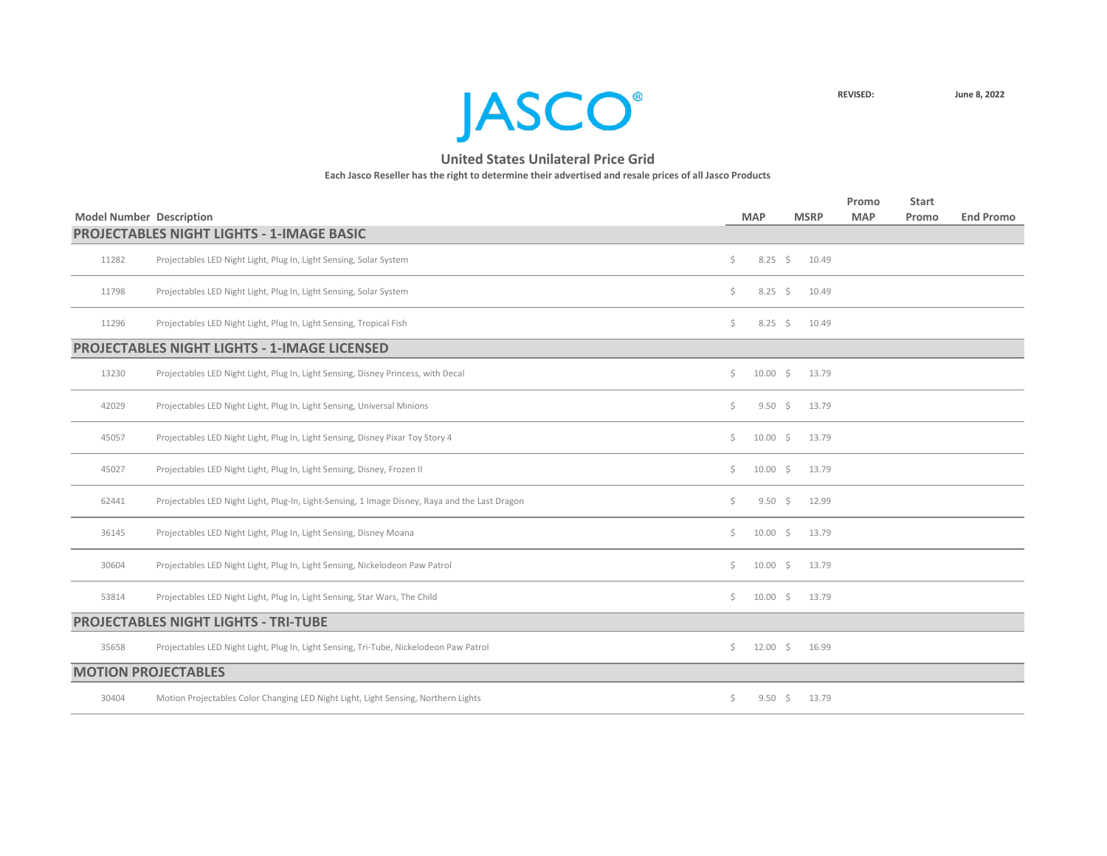**JASCO®** 

|       |                                                                                                |    |              |                |             | Promo      | <b>Start</b> |                  |
|-------|------------------------------------------------------------------------------------------------|----|--------------|----------------|-------------|------------|--------------|------------------|
|       | <b>Model Number Description</b>                                                                |    | <b>MAP</b>   |                | <b>MSRP</b> | <b>MAP</b> | Promo        | <b>End Promo</b> |
|       | <b>PROJECTABLES NIGHT LIGHTS - 1-IMAGE BASIC</b>                                               |    |              |                |             |            |              |                  |
| 11282 | Projectables LED Night Light, Plug In, Light Sensing, Solar System                             | \$ |              | $8.25$ \$      | 10.49       |            |              |                  |
| 11798 | Projectables LED Night Light, Plug In, Light Sensing, Solar System                             | \$ |              | $8.25$ \$      | 10.49       |            |              |                  |
| 11296 | Projectables LED Night Light, Plug In, Light Sensing, Tropical Fish                            | Ś. |              | $8.25 \quad $$ | 10.49       |            |              |                  |
|       | <b>PROJECTABLES NIGHT LIGHTS - 1-IMAGE LICENSED</b>                                            |    |              |                |             |            |              |                  |
| 13230 | Projectables LED Night Light, Plug In, Light Sensing, Disney Princess, with Decal              | Ś. | $10.00 \div$ |                | 13.79       |            |              |                  |
| 42029 | Projectables LED Night Light, Plug In, Light Sensing, Universal Minions                        | Ŝ. |              | $9.50 \div$    | 13.79       |            |              |                  |
| 45057 | Projectables LED Night Light, Plug In, Light Sensing, Disney Pixar Toy Story 4                 | Ŝ. | $10.00 \div$ |                | 13.79       |            |              |                  |
| 45027 | Projectables LED Night Light, Plug In, Light Sensing, Disney, Frozen II                        | \$ | $10.00 \div$ |                | 13.79       |            |              |                  |
| 62441 | Projectables LED Night Light, Plug-In, Light-Sensing, 1 Image Disney, Raya and the Last Dragon | \$ |              | $9.50 \div$    | 12.99       |            |              |                  |
| 36145 | Projectables LED Night Light, Plug In, Light Sensing, Disney Moana                             | \$ | $10.00 \div$ |                | 13.79       |            |              |                  |
| 30604 | Projectables LED Night Light, Plug In, Light Sensing, Nickelodeon Paw Patrol                   | \$ | $10.00$ \$   |                | 13.79       |            |              |                  |
| 53814 | Projectables LED Night Light, Plug In, Light Sensing, Star Wars, The Child                     | Ś. | $10.00$ \$   |                | 13.79       |            |              |                  |
|       | <b>PROJECTABLES NIGHT LIGHTS - TRI-TUBE</b>                                                    |    |              |                |             |            |              |                  |
| 35658 | Projectables LED Night Light, Plug In, Light Sensing, Tri-Tube, Nickelodeon Paw Patrol         | Ś. | $12.00 \div$ |                | 16.99       |            |              |                  |
|       | <b>MOTION PROJECTABLES</b>                                                                     |    |              |                |             |            |              |                  |
| 30404 | Motion Projectables Color Changing LED Night Light, Light Sensing, Northern Lights             | \$ |              | $9.50 \div$    | 13.79       |            |              |                  |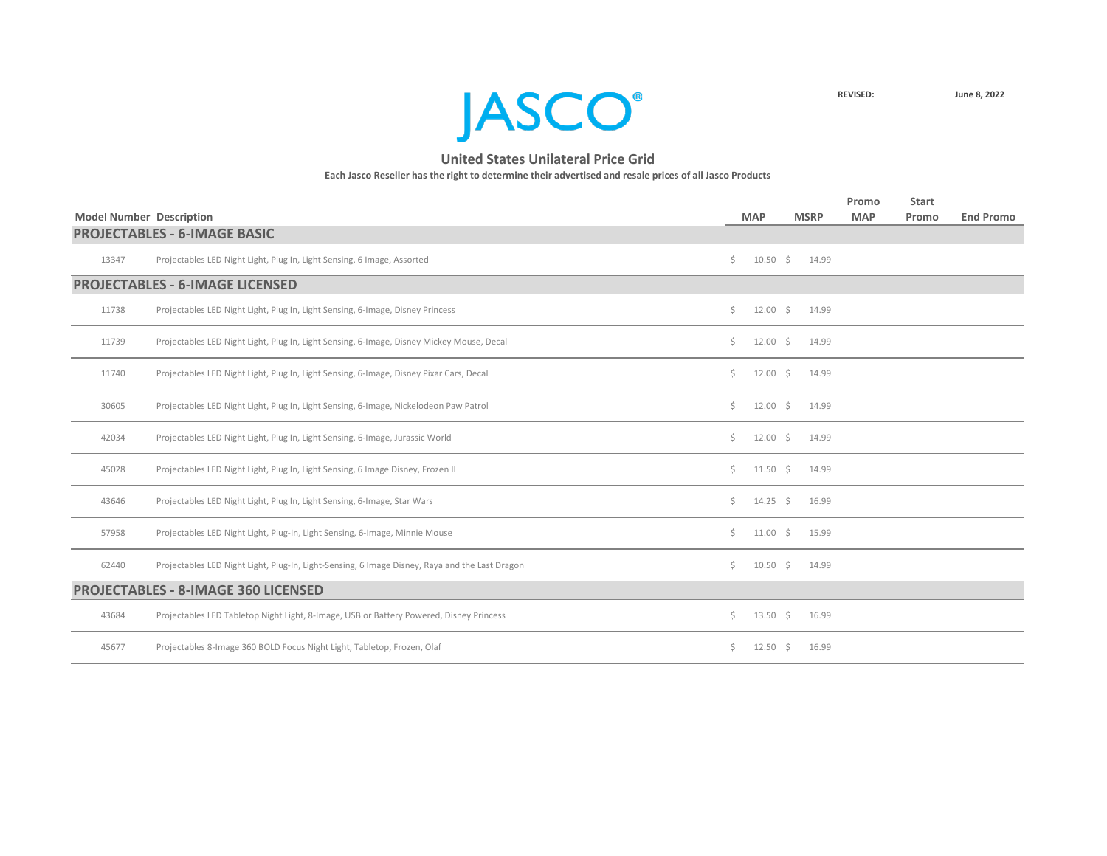**JASCO**<sup>®</sup>

|                                 |                                                                                                |    |                  |             | Promo      | <b>Start</b> |                  |
|---------------------------------|------------------------------------------------------------------------------------------------|----|------------------|-------------|------------|--------------|------------------|
| <b>Model Number Description</b> |                                                                                                |    | <b>MAP</b>       | <b>MSRP</b> | <b>MAP</b> | Promo        | <b>End Promo</b> |
|                                 | <b>PROJECTABLES - 6-IMAGE BASIC</b>                                                            |    |                  |             |            |              |                  |
| 13347                           | Projectables LED Night Light, Plug In, Light Sensing, 6 Image, Assorted                        | Ŝ. | $10.50 \div$     | 14.99       |            |              |                  |
|                                 | <b>PROJECTABLES - 6-IMAGE LICENSED</b>                                                         |    |                  |             |            |              |                  |
| 11738                           | Projectables LED Night Light, Plug In, Light Sensing, 6-Image, Disney Princess                 | Ś. | $12.00 \div$     | 14.99       |            |              |                  |
| 11739                           | Projectables LED Night Light, Plug In, Light Sensing, 6-Image, Disney Mickey Mouse, Decal      | Ś. | $12.00 \div$     | 14.99       |            |              |                  |
| 11740                           | Projectables LED Night Light, Plug In, Light Sensing, 6-Image, Disney Pixar Cars, Decal        | Ś. | $12.00 \div$     | 14.99       |            |              |                  |
| 30605                           | Projectables LED Night Light, Plug In, Light Sensing, 6-Image, Nickelodeon Paw Patrol          | Ś. | $12.00 \div$     | 14.99       |            |              |                  |
| 42034                           | Projectables LED Night Light, Plug In, Light Sensing, 6-Image, Jurassic World                  | Ś. | $12.00 \div$     | 14.99       |            |              |                  |
| 45028                           | Projectables LED Night Light, Plug In, Light Sensing, 6 Image Disney, Frozen II                | Ś. | $11.50 \pm 5$    | 14.99       |            |              |                  |
| 43646                           | Projectables LED Night Light, Plug In, Light Sensing, 6-Image, Star Wars                       | Ś. | $14.25 \quad$ \$ | 16.99       |            |              |                  |
| 57958                           | Projectables LED Night Light, Plug-In, Light Sensing, 6-Image, Minnie Mouse                    | Ś. | $11.00 \div$     | 15.99       |            |              |                  |
| 62440                           | Projectables LED Night Light, Plug-In, Light-Sensing, 6 Image Disney, Raya and the Last Dragon | Ś. | $10.50 \div$     | 14.99       |            |              |                  |
|                                 | <b>PROJECTABLES - 8-IMAGE 360 LICENSED</b>                                                     |    |                  |             |            |              |                  |
| 43684                           | Projectables LED Tabletop Night Light, 8-Image, USB or Battery Powered, Disney Princess        | \$ | $13.50 \div$     | 16.99       |            |              |                  |
| 45677                           | Projectables 8-Image 360 BOLD Focus Night Light, Tabletop, Frozen, Olaf                        | Ś. | $12.50 \div$     | 16.99       |            |              |                  |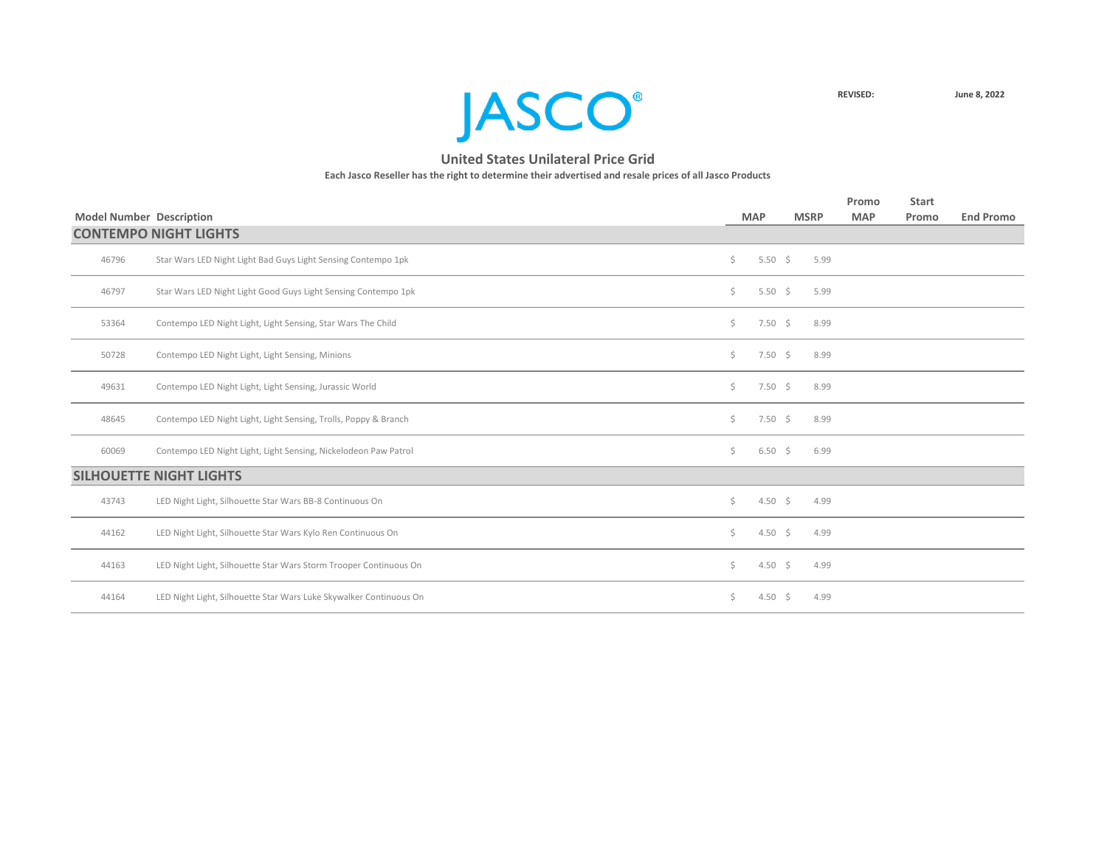

|                                 |                                                                    |     |                    |             |      | Promo      | <b>Start</b> |                  |
|---------------------------------|--------------------------------------------------------------------|-----|--------------------|-------------|------|------------|--------------|------------------|
| <b>Model Number Description</b> |                                                                    |     | <b>MAP</b>         | <b>MSRP</b> |      | <b>MAP</b> | Promo        | <b>End Promo</b> |
|                                 | <b>CONTEMPO NIGHT LIGHTS</b>                                       |     |                    |             |      |            |              |                  |
| 46796                           | Star Wars LED Night Light Bad Guys Light Sensing Contempo 1pk      | \$  | 5.50 \$            |             | 5.99 |            |              |                  |
| 46797                           | Star Wars LED Night Light Good Guys Light Sensing Contempo 1pk     | \$  | 5.50 $\frac{2}{3}$ |             | 5.99 |            |              |                  |
| 53364                           | Contempo LED Night Light, Light Sensing, Star Wars The Child       | \$  | $7.50 \div$        |             | 8.99 |            |              |                  |
| 50728                           | Contempo LED Night Light, Light Sensing, Minions                   | \$  | $7.50 \div$        |             | 8.99 |            |              |                  |
| 49631                           | Contempo LED Night Light, Light Sensing, Jurassic World            | \$  | $7.50 \div$        |             | 8.99 |            |              |                  |
| 48645                           | Contempo LED Night Light, Light Sensing, Trolls, Poppy & Branch    | \$  | $7.50 \div$        |             | 8.99 |            |              |                  |
| 60069                           | Contempo LED Night Light, Light Sensing, Nickelodeon Paw Patrol    | \$  | $6.50\frac{2}{3}$  |             | 6.99 |            |              |                  |
|                                 | <b>SILHOUETTE NIGHT LIGHTS</b>                                     |     |                    |             |      |            |              |                  |
| 43743                           | LED Night Light, Silhouette Star Wars BB-8 Continuous On           | Ś.  | 4.50 \$            |             | 4.99 |            |              |                  |
| 44162                           | LED Night Light, Silhouette Star Wars Kylo Ren Continuous On       | \$  | 4.50 \$            |             | 4.99 |            |              |                  |
| 44163                           | LED Night Light, Silhouette Star Wars Storm Trooper Continuous On  | \$  | 4.50 \$            |             | 4.99 |            |              |                  |
| 44164                           | LED Night Light, Silhouette Star Wars Luke Skywalker Continuous On | \$. | 4.50 \$            |             | 4.99 |            |              |                  |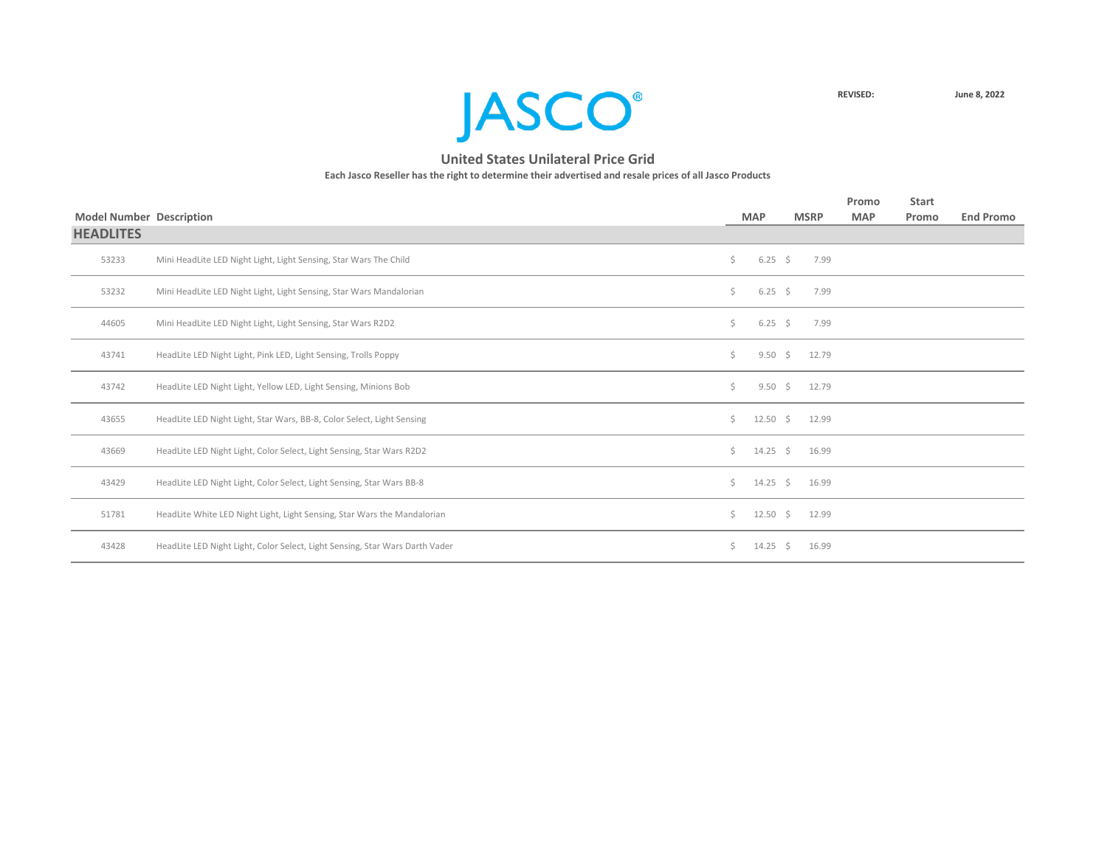

| <b>Model Number Description</b> |                                                                              |    | <b>MAP</b>       | <b>MSRP</b>       | Promo<br><b>MAP</b> | <b>Start</b><br>Promo | <b>End Promo</b> |
|---------------------------------|------------------------------------------------------------------------------|----|------------------|-------------------|---------------------|-----------------------|------------------|
| <b>HEADLITES</b>                |                                                                              |    |                  |                   |                     |                       |                  |
| 53233                           | Mini HeadLite LED Night Light, Light Sensing, Star Wars The Child            | \$ | $6.25$ \$        | 7.99              |                     |                       |                  |
| 53232                           | Mini HeadLite LED Night Light, Light Sensing, Star Wars Mandalorian          | \$ | $6.25$ \$        | 7.99              |                     |                       |                  |
| 44605                           | Mini HeadLite LED Night Light, Light Sensing, Star Wars R2D2                 | Ś. | $6.25 \quad$ \$  | 7.99              |                     |                       |                  |
| 43741                           | HeadLite LED Night Light, Pink LED, Light Sensing, Trolls Poppy              | Ś. |                  | $9.50 \div 12.79$ |                     |                       |                  |
| 43742                           | HeadLite LED Night Light, Yellow LED, Light Sensing, Minions Bob             | Ś. | $9.50 \div$      | 12.79             |                     |                       |                  |
| 43655                           | HeadLite LED Night Light, Star Wars, BB-8, Color Select, Light Sensing       | Ś. |                  | 12.50 \$ 12.99    |                     |                       |                  |
| 43669                           | HeadLite LED Night Light, Color Select, Light Sensing, Star Wars R2D2        | Ś. | $14.25 \div$     | 16.99             |                     |                       |                  |
| 43429                           | HeadLite LED Night Light, Color Select, Light Sensing, Star Wars BB-8        | Ś. | $14.25 \quad $$  | 16.99             |                     |                       |                  |
| 51781                           | HeadLite White LED Night Light, Light Sensing, Star Wars the Mandalorian     | Ś. | $12.50 \div$     | 12.99             |                     |                       |                  |
| 43428                           | HeadLite LED Night Light, Color Select, Light Sensing, Star Wars Darth Vader | Ś. | $14.25 \quad$ \$ | 16.99             |                     |                       |                  |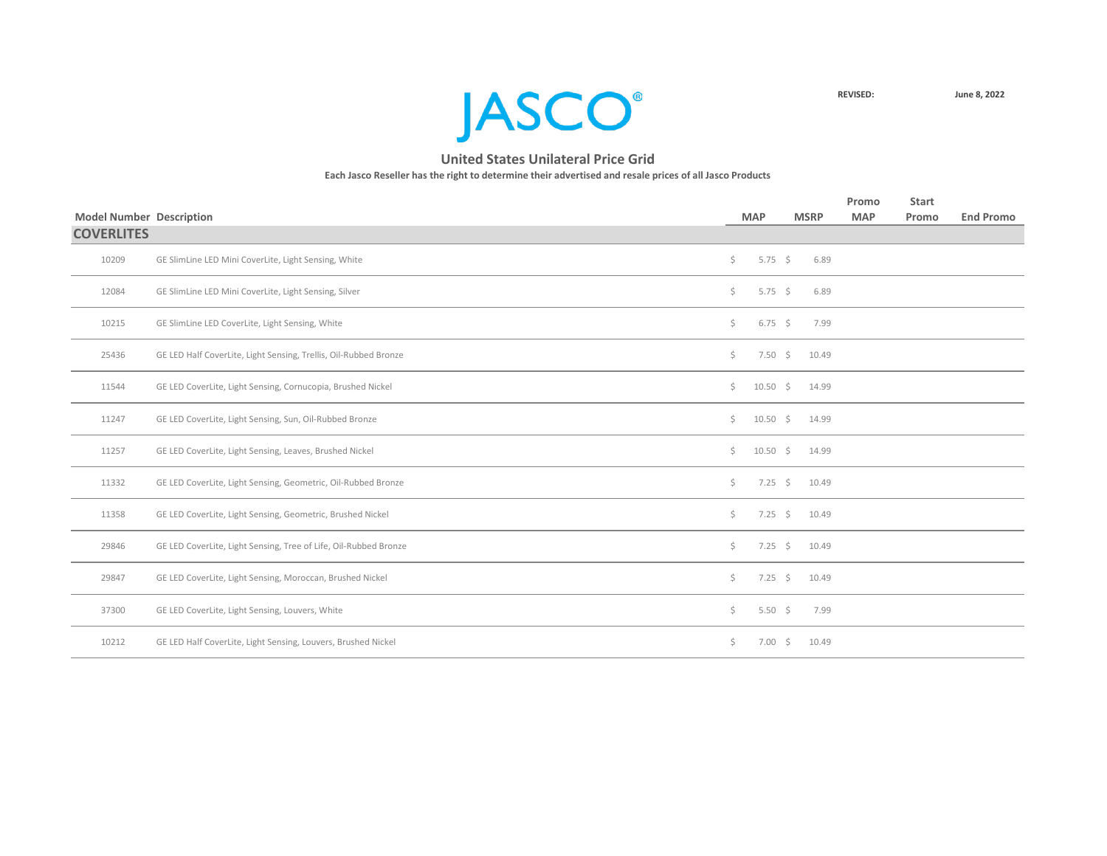

|                                 |                                                                  |     |                    |             | Promo      | <b>Start</b> |                  |
|---------------------------------|------------------------------------------------------------------|-----|--------------------|-------------|------------|--------------|------------------|
| <b>Model Number Description</b> |                                                                  |     | <b>MAP</b>         | <b>MSRP</b> | <b>MAP</b> | Promo        | <b>End Promo</b> |
| <b>COVERLITES</b>               |                                                                  |     |                    |             |            |              |                  |
| 10209                           | GE SlimLine LED Mini CoverLite, Light Sensing, White             | \$  | 5.75 \$            | 6.89        |            |              |                  |
| 12084                           | GE SlimLine LED Mini CoverLite, Light Sensing, Silver            | \$  | 5.75 \$            | 6.89        |            |              |                  |
| 10215                           | GE SlimLine LED CoverLite, Light Sensing, White                  | \$  | $6.75 \quad $$     | 7.99        |            |              |                  |
| 25436                           | GE LED Half CoverLite, Light Sensing, Trellis, Oil-Rubbed Bronze | \$  | $7.50 \div$        | 10.49       |            |              |                  |
| 11544                           | GE LED CoverLite, Light Sensing, Cornucopia, Brushed Nickel      | \$  | 10.50 \$ 14.99     |             |            |              |                  |
| 11247                           | GE LED CoverLite, Light Sensing, Sun, Oil-Rubbed Bronze          | \$. | $10.50 \div$       | 14.99       |            |              |                  |
| 11257                           | GE LED CoverLite, Light Sensing, Leaves, Brushed Nickel          | \$. | $10.50 \div 14.99$ |             |            |              |                  |
| 11332                           | GE LED CoverLite, Light Sensing, Geometric, Oil-Rubbed Bronze    | \$. | $7.25$ \$          | 10.49       |            |              |                  |
| 11358                           | GE LED CoverLite, Light Sensing, Geometric, Brushed Nickel       | \$  | $7.25$ \$          | 10.49       |            |              |                  |
| 29846                           | GE LED CoverLite, Light Sensing, Tree of Life, Oil-Rubbed Bronze | \$  | $7.25$ \$          | 10.49       |            |              |                  |
| 29847                           | GE LED CoverLite, Light Sensing, Moroccan, Brushed Nickel        | \$  | $7.25$ \$          | 10.49       |            |              |                  |
| 37300                           | GE LED CoverLite, Light Sensing, Louvers, White                  | \$  | 5.50 $\frac{2}{3}$ | 7.99        |            |              |                  |
| 10212                           | GE LED Half CoverLite, Light Sensing, Louvers, Brushed Nickel    | \$  | $7.00 \div$        | 10.49       |            |              |                  |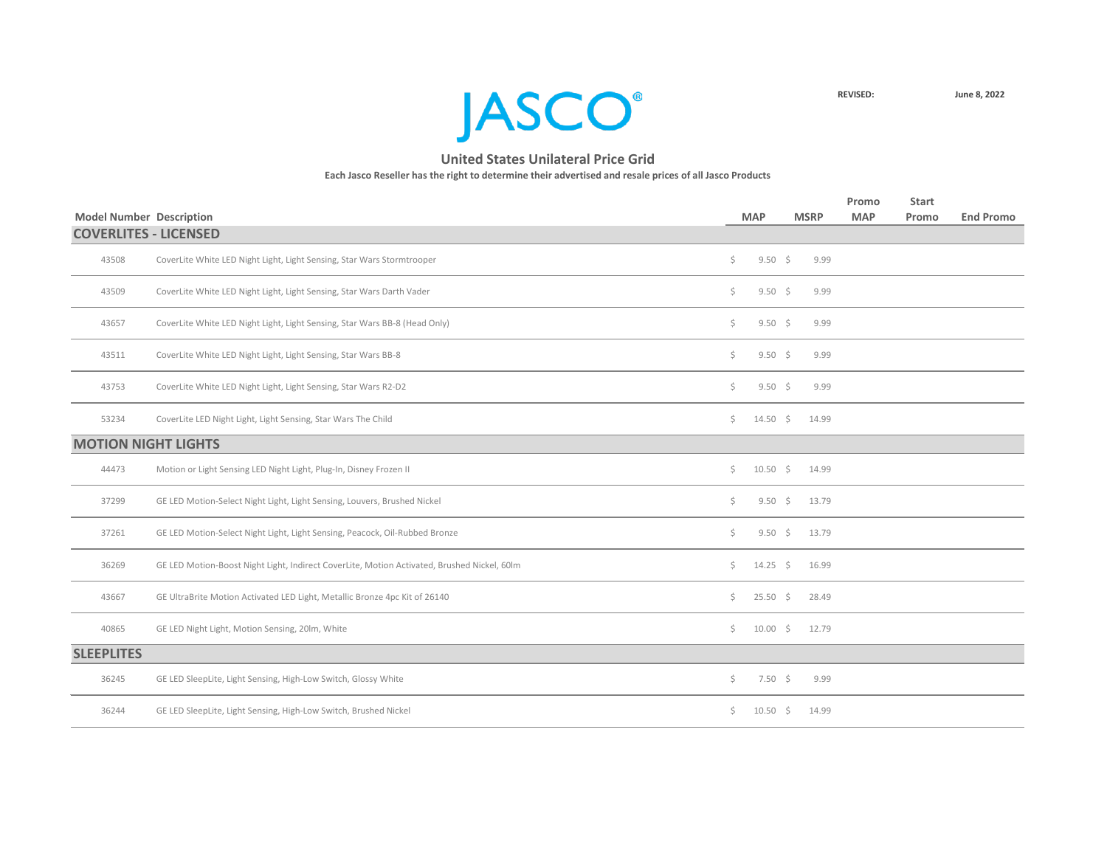

|                                 |                                                                                             |     |                    |             | Promo      | <b>Start</b> |                  |
|---------------------------------|---------------------------------------------------------------------------------------------|-----|--------------------|-------------|------------|--------------|------------------|
| <b>Model Number Description</b> |                                                                                             |     | <b>MAP</b>         | <b>MSRP</b> | <b>MAP</b> | Promo        | <b>End Promo</b> |
|                                 | <b>COVERLITES - LICENSED</b>                                                                |     |                    |             |            |              |                  |
| 43508                           | CoverLite White LED Night Light, Light Sensing, Star Wars Stormtrooper                      | \$  | $9.50 \div$        | 9.99        |            |              |                  |
| 43509                           | CoverLite White LED Night Light, Light Sensing, Star Wars Darth Vader                       | \$  | $9.50 \div$        | 9.99        |            |              |                  |
| 43657                           | CoverLite White LED Night Light, Light Sensing, Star Wars BB-8 (Head Only)                  | \$  | $9.50 \div$        | 9.99        |            |              |                  |
| 43511                           | CoverLite White LED Night Light, Light Sensing, Star Wars BB-8                              | \$. | $9.50 \div$        | 9.99        |            |              |                  |
| 43753                           | CoverLite White LED Night Light, Light Sensing, Star Wars R2-D2                             | \$  | $9.50 \div$        | 9.99        |            |              |                  |
| 53234                           | CoverLite LED Night Light, Light Sensing, Star Wars The Child                               | \$. | $14.50 \div$       | 14.99       |            |              |                  |
|                                 | <b>MOTION NIGHT LIGHTS</b>                                                                  |     |                    |             |            |              |                  |
| 44473                           | Motion or Light Sensing LED Night Light, Plug-In, Disney Frozen II                          | \$  | $10.50\frac{1}{5}$ | 14.99       |            |              |                  |
| 37299                           | GE LED Motion-Select Night Light, Light Sensing, Louvers, Brushed Nickel                    | \$  | $9.50 \div$        | 13.79       |            |              |                  |
| 37261                           | GE LED Motion-Select Night Light, Light Sensing, Peacock, Oil-Rubbed Bronze                 | \$  | $9.50 \div$        | 13.79       |            |              |                  |
| 36269                           | GE LED Motion-Boost Night Light, Indirect CoverLite, Motion Activated, Brushed Nickel, 60lm | \$  | $14.25 \div$       | 16.99       |            |              |                  |
| 43667                           | GE UltraBrite Motion Activated LED Light, Metallic Bronze 4pc Kit of 26140                  | Ś.  | $25.50$ \$         | 28.49       |            |              |                  |
| 40865                           | GE LED Night Light, Motion Sensing, 20lm, White                                             | \$  | $10.00 \div$       | 12.79       |            |              |                  |
| <b>SLEEPLITES</b>               |                                                                                             |     |                    |             |            |              |                  |
| 36245                           | GE LED SleepLite, Light Sensing, High-Low Switch, Glossy White                              | \$  | $7.50\frac{1}{5}$  | 9.99        |            |              |                  |
| 36244                           | GE LED SleepLite, Light Sensing, High-Low Switch, Brushed Nickel                            | Ś.  | $10.50 \div$       | 14.99       |            |              |                  |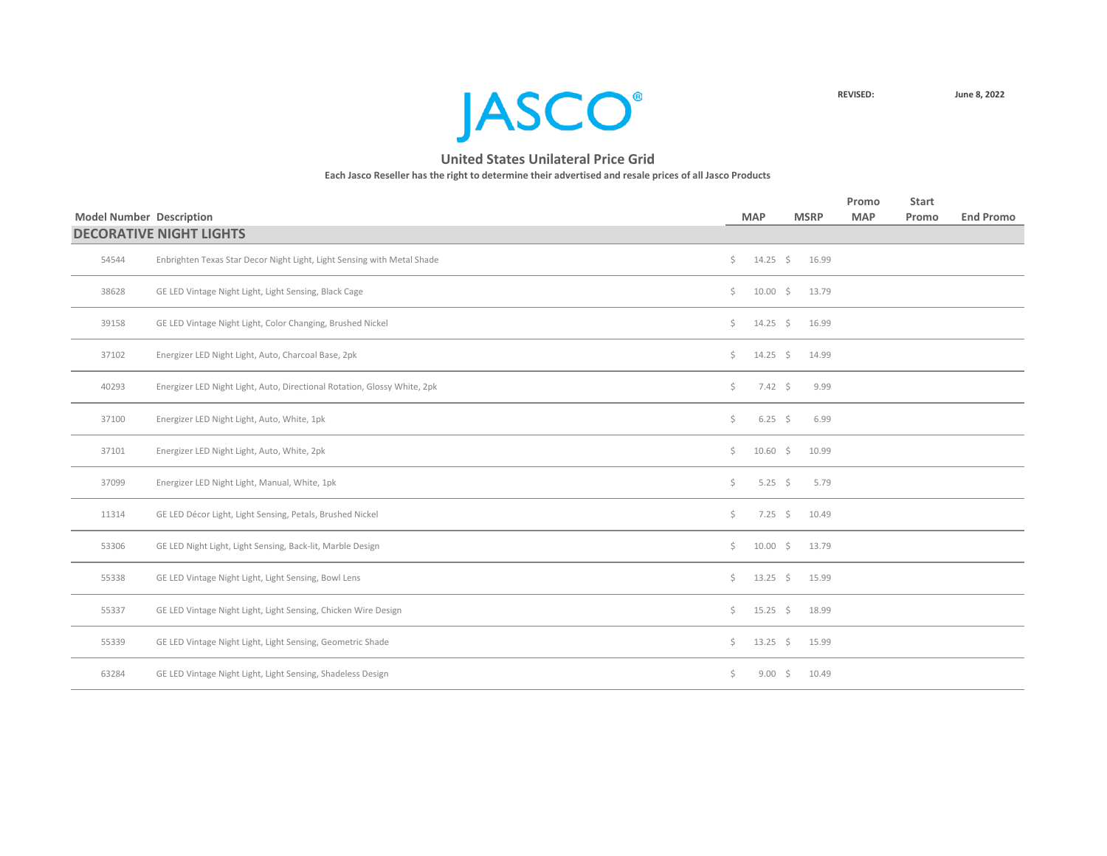

|                                 |                                                                          |              |                |             | Promo      | <b>Start</b> |                  |
|---------------------------------|--------------------------------------------------------------------------|--------------|----------------|-------------|------------|--------------|------------------|
| <b>Model Number Description</b> |                                                                          |              | <b>MAP</b>     | <b>MSRP</b> | <b>MAP</b> | Promo        | <b>End Promo</b> |
|                                 | <b>DECORATIVE NIGHT LIGHTS</b>                                           |              |                |             |            |              |                  |
| 54544                           | Enbrighten Texas Star Decor Night Light, Light Sensing with Metal Shade  | $\zeta$      | $14.25 \div$   | 16.99       |            |              |                  |
| 38628                           | GE LED Vintage Night Light, Light Sensing, Black Cage                    | Ś.           | $10.00 \div$   | 13.79       |            |              |                  |
| 39158                           | GE LED Vintage Night Light, Color Changing, Brushed Nickel               | \$           | $14.25 \div$   | 16.99       |            |              |                  |
| 37102                           | Energizer LED Night Light, Auto, Charcoal Base, 2pk                      | Ś.           | $14.25 \div$   | 14.99       |            |              |                  |
| 40293                           | Energizer LED Night Light, Auto, Directional Rotation, Glossy White, 2pk | \$           | $7.42 \div$    | 9.99        |            |              |                  |
| 37100                           | Energizer LED Night Light, Auto, White, 1pk                              | \$           | $6.25 \quad $$ | 6.99        |            |              |                  |
| 37101                           | Energizer LED Night Light, Auto, White, 2pk                              | \$           | $10.60 \div$   | 10.99       |            |              |                  |
| 37099                           | Energizer LED Night Light, Manual, White, 1pk                            | \$           | 5.25 \$        | 5.79        |            |              |                  |
| 11314                           | GE LED Décor Light, Light Sensing, Petals, Brushed Nickel                | \$           | $7.25$ \$      | 10.49       |            |              |                  |
| 53306                           | GE LED Night Light, Light Sensing, Back-lit, Marble Design               | Ś.           | $10.00 \div$   | 13.79       |            |              |                  |
| 55338                           | GE LED Vintage Night Light, Light Sensing, Bowl Lens                     | \$           | $13.25$ \$     | 15.99       |            |              |                  |
| 55337                           | GE LED Vintage Night Light, Light Sensing, Chicken Wire Design           | $\mathsf{S}$ | $15.25 \div$   | 18.99       |            |              |                  |
| 55339                           | GE LED Vintage Night Light, Light Sensing, Geometric Shade               | \$           | $13.25$ \$     | 15.99       |            |              |                  |
| 63284                           | GE LED Vintage Night Light, Light Sensing, Shadeless Design              | \$           | $9.00 \div$    | 10.49       |            |              |                  |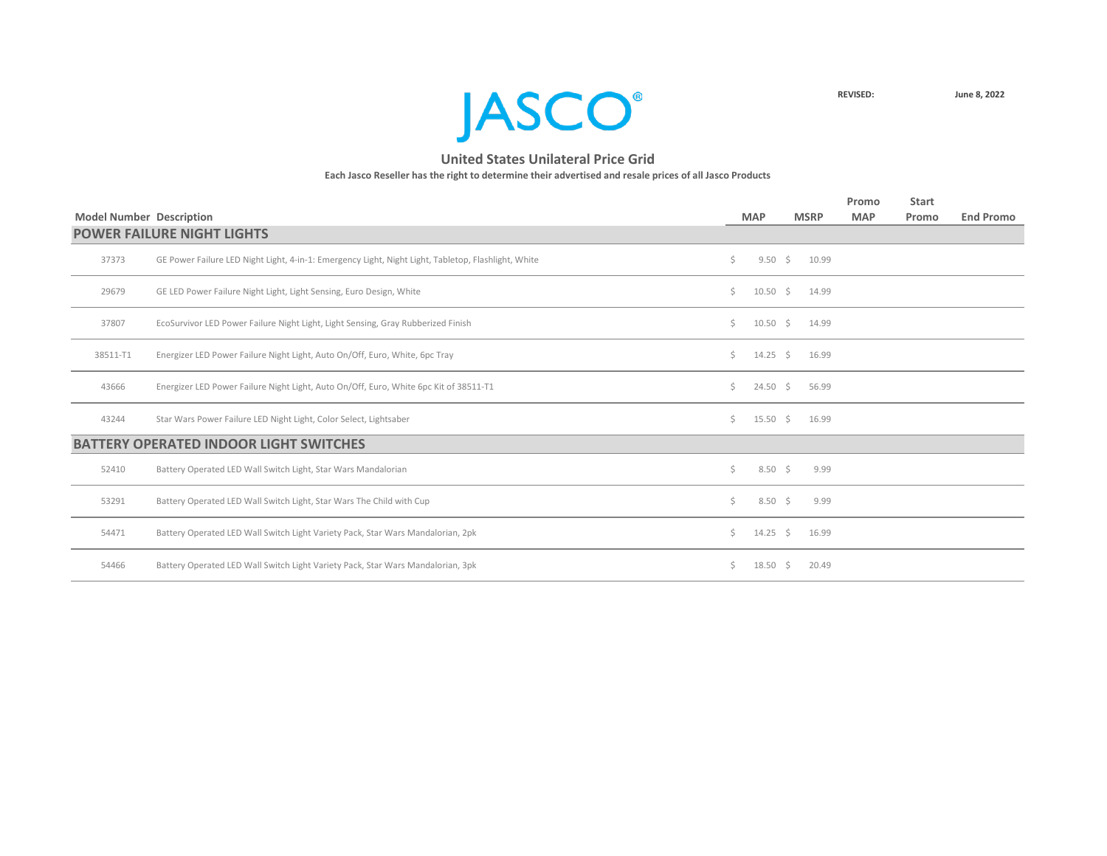

|                                 |                                                                                                     |    |                   |     |             | Promo      | <b>Start</b> |                  |
|---------------------------------|-----------------------------------------------------------------------------------------------------|----|-------------------|-----|-------------|------------|--------------|------------------|
| <b>Model Number Description</b> |                                                                                                     |    | <b>MAP</b>        |     | <b>MSRP</b> | <b>MAP</b> | Promo        | <b>End Promo</b> |
|                                 | <b>POWER FAILURE NIGHT LIGHTS</b>                                                                   |    |                   |     |             |            |              |                  |
| 37373                           | GE Power Failure LED Night Light, 4-in-1: Emergency Light, Night Light, Tabletop, Flashlight, White | Ś. | $9.50 \div$       |     | 10.99       |            |              |                  |
| 29679                           | GE LED Power Failure Night Light, Light Sensing, Euro Design, White                                 | Ś. | $10.50 \div$      |     | 14.99       |            |              |                  |
| 37807                           | EcoSurvivor LED Power Failure Night Light, Light Sensing, Gray Rubberized Finish                    | Ś. | $10.50 \div$      |     | 14.99       |            |              |                  |
| 38511-T1                        | Energizer LED Power Failure Night Light, Auto On/Off, Euro, White, 6pc Tray                         | Ś. | $14.25 \div$      |     | 16.99       |            |              |                  |
| 43666                           | Energizer LED Power Failure Night Light, Auto On/Off, Euro, White 6pc Kit of 38511-T1               | Ś. | $24.50 \div$      |     | 56.99       |            |              |                  |
| 43244                           | Star Wars Power Failure LED Night Light, Color Select, Lightsaber                                   | Ś. | $15.50 \div$      |     | 16.99       |            |              |                  |
|                                 | <b>BATTERY OPERATED INDOOR LIGHT SWITCHES</b>                                                       |    |                   |     |             |            |              |                  |
| 52410                           | Battery Operated LED Wall Switch Light, Star Wars Mandalorian                                       | Ś. | $8.50\frac{1}{5}$ |     | 9.99        |            |              |                  |
| 53291                           | Battery Operated LED Wall Switch Light, Star Wars The Child with Cup                                | Ś. | $8.50\quad$ \$    |     | 9.99        |            |              |                  |
| 54471                           | Battery Operated LED Wall Switch Light Variety Pack, Star Wars Mandalorian, 2pk                     | Ś. | $14.25 \quad$ \$  |     | 16.99       |            |              |                  |
| 54466                           | Battery Operated LED Wall Switch Light Variety Pack, Star Wars Mandalorian, 3pk                     | Ś. | 18.50             | - S | 20.49       |            |              |                  |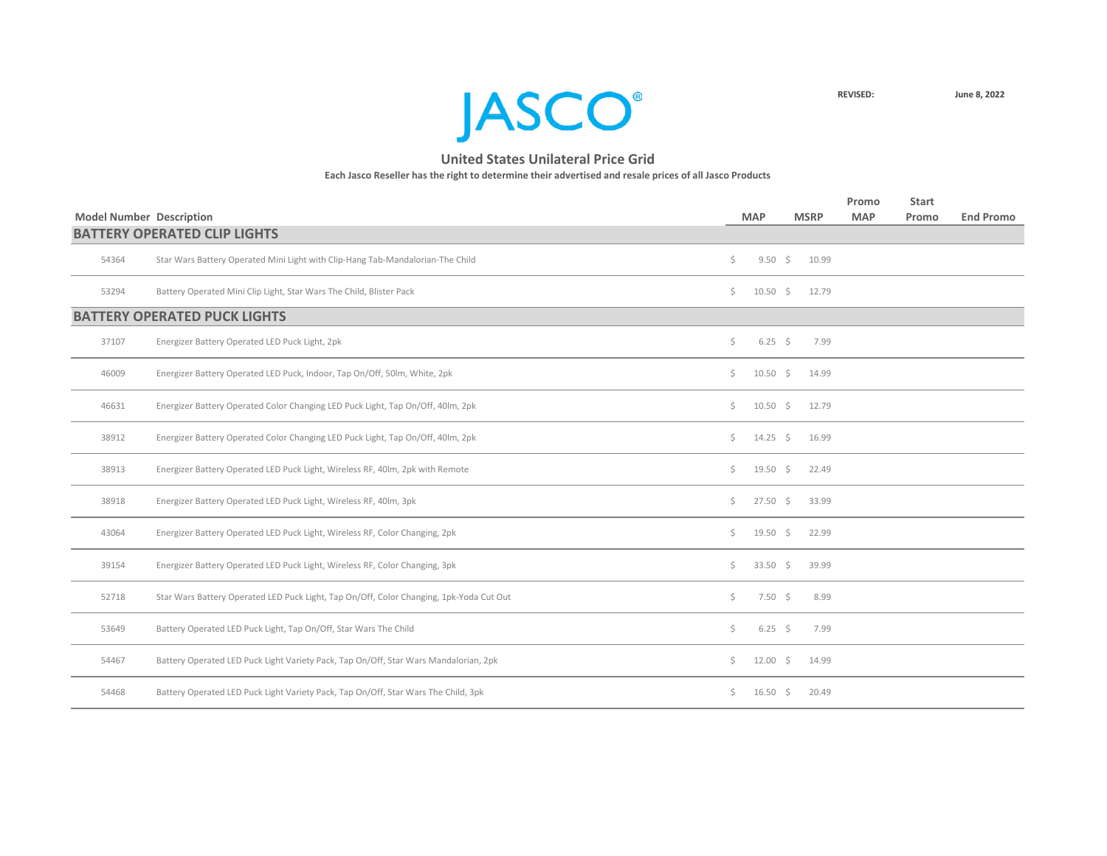

|       | <b>Model Number Description</b>                                                         |    | <b>MAP</b>       | <b>MSRP</b> |       | Promo<br><b>MAP</b> | <b>Start</b><br>Promo | <b>End Promo</b> |
|-------|-----------------------------------------------------------------------------------------|----|------------------|-------------|-------|---------------------|-----------------------|------------------|
|       | <b>BATTERY OPERATED CLIP LIGHTS</b>                                                     |    |                  |             |       |                     |                       |                  |
| 54364 | Star Wars Battery Operated Mini Light with Clip-Hang Tab-Mandalorian-The Child          | S. | $9.50 \div$      |             | 10.99 |                     |                       |                  |
| 53294 | Battery Operated Mini Clip Light, Star Wars The Child, Blister Pack                     | Ś. | $10.50 \div$     |             | 12.79 |                     |                       |                  |
|       | <b>BATTERY OPERATED PUCK LIGHTS</b>                                                     |    |                  |             |       |                     |                       |                  |
| 37107 | Energizer Battery Operated LED Puck Light, 2pk                                          | \$ | $6.25 \quad $$   |             | 7.99  |                     |                       |                  |
| 46009 | Energizer Battery Operated LED Puck, Indoor, Tap On/Off, 50lm, White, 2pk               | Ś. | $10.50 \div$     |             | 14.99 |                     |                       |                  |
| 46631 | Energizer Battery Operated Color Changing LED Puck Light, Tap On/Off, 40lm, 2pk         | \$ | $10.50 \div$     |             | 12.79 |                     |                       |                  |
| 38912 | Energizer Battery Operated Color Changing LED Puck Light, Tap On/Off, 40lm, 2pk         | Ś. | $14.25 \quad$ \$ |             | 16.99 |                     |                       |                  |
| 38913 | Energizer Battery Operated LED Puck Light, Wireless RF, 40lm, 2pk with Remote           | Ś. | $19.50 \quad$ \$ |             | 22.49 |                     |                       |                  |
| 38918 | Energizer Battery Operated LED Puck Light, Wireless RF, 40lm, 3pk                       | Ś. | $27.50 \div$     |             | 33.99 |                     |                       |                  |
| 43064 | Energizer Battery Operated LED Puck Light, Wireless RF, Color Changing, 2pk             | \$ | $19.50 \quad$ \$ |             | 22.99 |                     |                       |                  |
| 39154 | Energizer Battery Operated LED Puck Light, Wireless RF, Color Changing, 3pk             | Ś. | $33.50$ \$       |             | 39.99 |                     |                       |                  |
| 52718 | Star Wars Battery Operated LED Puck Light, Tap On/Off, Color Changing, 1pk-Yoda Cut Out | Ś. | $7.50 \div$      |             | 8.99  |                     |                       |                  |
| 53649 | Battery Operated LED Puck Light, Tap On/Off, Star Wars The Child                        | \$ | $6.25$ \$        |             | 7.99  |                     |                       |                  |
| 54467 | Battery Operated LED Puck Light Variety Pack, Tap On/Off, Star Wars Mandalorian, 2pk    | Ś. | $12.00$ \$       |             | 14.99 |                     |                       |                  |
| 54468 | Battery Operated LED Puck Light Variety Pack, Tap On/Off, Star Wars The Child, 3pk      | \$ | $16.50 \div$     |             | 20.49 |                     |                       |                  |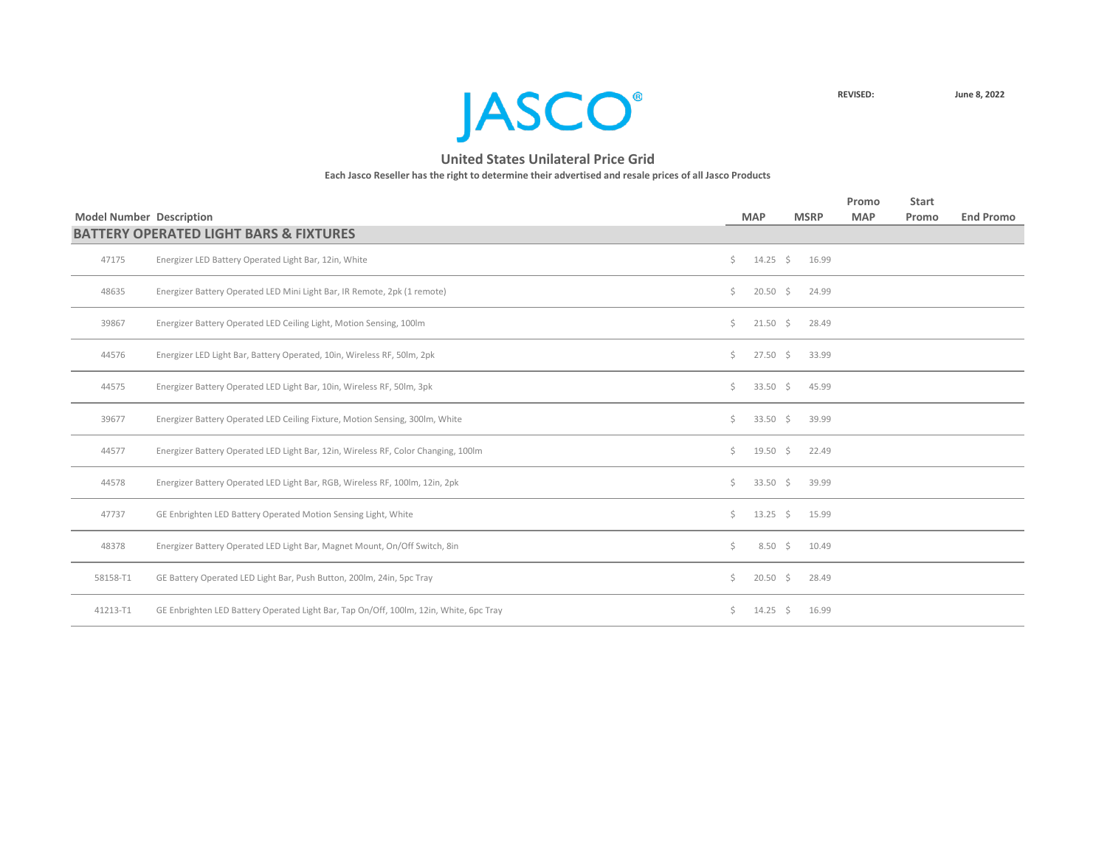

|                                 |                                                                                        |    |                   |             | Promo      | <b>Start</b> |                  |
|---------------------------------|----------------------------------------------------------------------------------------|----|-------------------|-------------|------------|--------------|------------------|
| <b>Model Number Description</b> |                                                                                        |    | <b>MAP</b>        | <b>MSRP</b> | <b>MAP</b> | Promo        | <b>End Promo</b> |
|                                 | <b>BATTERY OPERATED LIGHT BARS &amp; FIXTURES</b>                                      |    |                   |             |            |              |                  |
| 47175                           | Energizer LED Battery Operated Light Bar, 12in, White                                  | Ś. | $14.25 \quad$ \$  | 16.99       |            |              |                  |
| 48635                           | Energizer Battery Operated LED Mini Light Bar, IR Remote, 2pk (1 remote)               | \$ | $20.50$ \$        | 24.99       |            |              |                  |
| 39867                           | Energizer Battery Operated LED Ceiling Light, Motion Sensing, 100lm                    | Ś. | $21.50 \div$      | 28.49       |            |              |                  |
| 44576                           | Energizer LED Light Bar, Battery Operated, 10in, Wireless RF, 50lm, 2pk                | Ś. | $27.50 \div$      | 33.99       |            |              |                  |
| 44575                           | Energizer Battery Operated LED Light Bar, 10in, Wireless RF, 50lm, 3pk                 | Ś. | $33.50 \div$      | 45.99       |            |              |                  |
| 39677                           | Energizer Battery Operated LED Ceiling Fixture, Motion Sensing, 300lm, White           | \$ | $33.50 \div$      | 39.99       |            |              |                  |
| 44577                           | Energizer Battery Operated LED Light Bar, 12in, Wireless RF, Color Changing, 100lm     | Ś. | $19.50 \div$      | 22.49       |            |              |                  |
| 44578                           | Energizer Battery Operated LED Light Bar, RGB, Wireless RF, 100lm, 12in, 2pk           | Ś. | $33.50 \div$      | 39.99       |            |              |                  |
| 47737                           | GE Enbrighten LED Battery Operated Motion Sensing Light, White                         | Ś. | $13.25 \quad$ \$  | 15.99       |            |              |                  |
| 48378                           | Energizer Battery Operated LED Light Bar, Magnet Mount, On/Off Switch, 8in             | \$ | $8.50\frac{2}{3}$ | 10.49       |            |              |                  |
| 58158-T1                        | GE Battery Operated LED Light Bar, Push Button, 200lm, 24in, 5pc Tray                  | Ś. | $20.50 \div$      | 28.49       |            |              |                  |
| 41213-T1                        | GE Enbrighten LED Battery Operated Light Bar, Tap On/Off, 100lm, 12in, White, 6pc Tray | \$ | $14.25 \div$      | 16.99       |            |              |                  |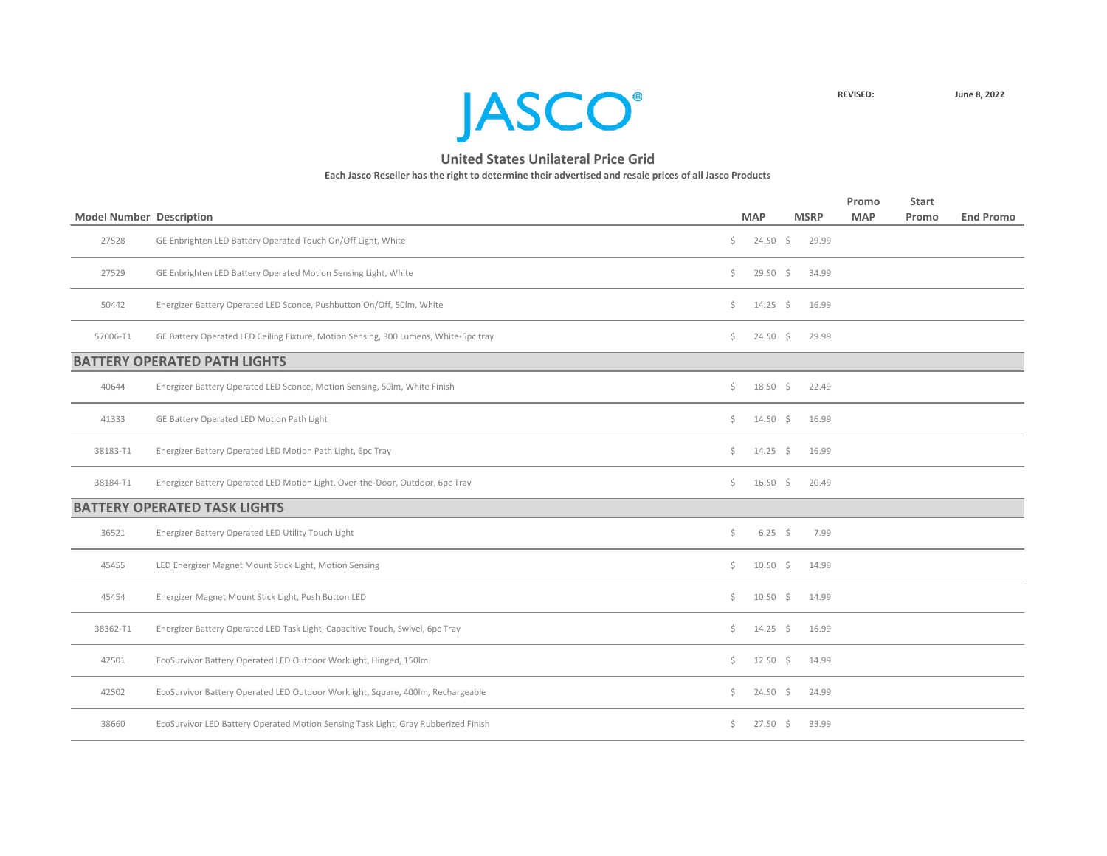

|                                 |                                                                                     |    |                    |             | Promo      | <b>Start</b> |                  |
|---------------------------------|-------------------------------------------------------------------------------------|----|--------------------|-------------|------------|--------------|------------------|
| <b>Model Number Description</b> |                                                                                     |    | <b>MAP</b>         | <b>MSRP</b> | <b>MAP</b> | Promo        | <b>End Promo</b> |
| 27528                           | GE Enbrighten LED Battery Operated Touch On/Off Light, White                        | \$ | $24.50 \div$       | 29.99       |            |              |                  |
| 27529                           | GE Enbrighten LED Battery Operated Motion Sensing Light, White                      | \$ | $29.50 \div$       | 34.99       |            |              |                  |
| 50442                           | Energizer Battery Operated LED Sconce, Pushbutton On/Off, 50lm, White               | Ś. | $14.25$ \$         | 16.99       |            |              |                  |
| 57006-T1                        | GE Battery Operated LED Ceiling Fixture, Motion Sensing, 300 Lumens, White-5pc tray | Ś. | $24.50 \pm 5$      | 29.99       |            |              |                  |
|                                 | <b>BATTERY OPERATED PATH LIGHTS</b>                                                 |    |                    |             |            |              |                  |
| 40644                           | Energizer Battery Operated LED Sconce, Motion Sensing, 50lm, White Finish           | \$ | $18.50 \pm 5$      | 22.49       |            |              |                  |
| 41333                           | GE Battery Operated LED Motion Path Light                                           | \$ | $14.50 \div$       | 16.99       |            |              |                  |
| 38183-T1                        | Energizer Battery Operated LED Motion Path Light, 6pc Tray                          | \$ | $14.25$ \$         | 16.99       |            |              |                  |
| 38184-T1                        | Energizer Battery Operated LED Motion Light, Over-the-Door, Outdoor, 6pc Tray       | Ś. | $16.50 \pm 5$      | 20.49       |            |              |                  |
|                                 | <b>BATTERY OPERATED TASK LIGHTS</b>                                                 |    |                    |             |            |              |                  |
| 36521                           | Energizer Battery Operated LED Utility Touch Light                                  | \$ | $6.25 \quad $$     | 7.99        |            |              |                  |
| 45455                           | LED Energizer Magnet Mount Stick Light, Motion Sensing                              | Ś. | $10.50\frac{1}{5}$ | 14.99       |            |              |                  |
| 45454                           | Energizer Magnet Mount Stick Light, Push Button LED                                 | \$ | $10.50 \pm 5$      | 14.99       |            |              |                  |
| 38362-T1                        | Energizer Battery Operated LED Task Light, Capacitive Touch, Swivel, 6pc Tray       | Ś. | $14.25 \quad$ \$   | 16.99       |            |              |                  |
| 42501                           | EcoSurvivor Battery Operated LED Outdoor Worklight, Hinged, 150lm                   | Ś. | $12.50 \div$       | 14.99       |            |              |                  |
| 42502                           | EcoSurvivor Battery Operated LED Outdoor Worklight, Square, 400lm, Rechargeable     | Ś. | $24.50 \pm 5$      | 24.99       |            |              |                  |
| 38660                           | EcoSurvivor LED Battery Operated Motion Sensing Task Light, Gray Rubberized Finish  | Ś. | $27.50 \pm 5$      | 33.99       |            |              |                  |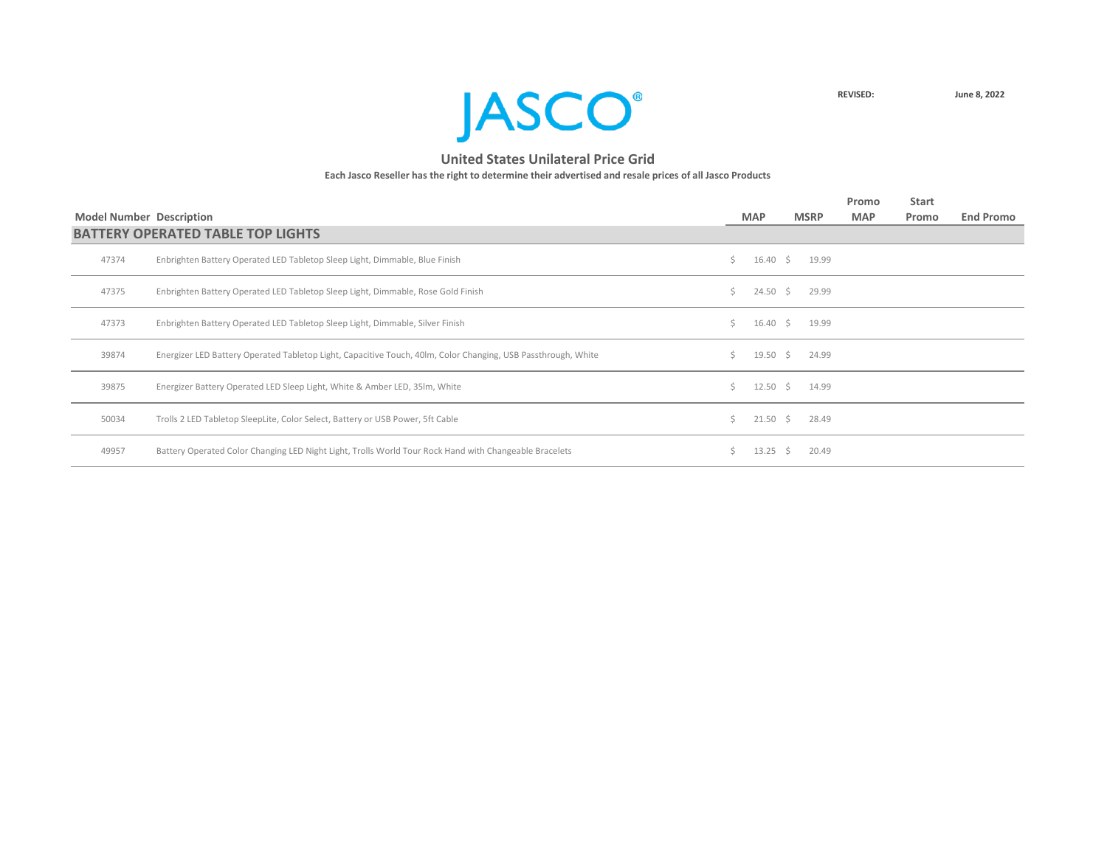

|                                 |                                                                                                               |    |                  |             | Promo      | <b>Start</b> |                  |
|---------------------------------|---------------------------------------------------------------------------------------------------------------|----|------------------|-------------|------------|--------------|------------------|
| <b>Model Number Description</b> |                                                                                                               |    | <b>MAP</b>       | <b>MSRP</b> | <b>MAP</b> | Promo        | <b>End Promo</b> |
|                                 | <b>BATTERY OPERATED TABLE TOP LIGHTS</b>                                                                      |    |                  |             |            |              |                  |
| 47374                           | Enbrighten Battery Operated LED Tabletop Sleep Light, Dimmable, Blue Finish                                   | Ś. | $16.40 \div$     | 19.99       |            |              |                  |
| 47375                           | Enbrighten Battery Operated LED Tabletop Sleep Light, Dimmable, Rose Gold Finish                              | Ś. | $24.50$ \$       | 29.99       |            |              |                  |
| 47373                           | Enbrighten Battery Operated LED Tabletop Sleep Light, Dimmable, Silver Finish                                 | Ś. | $16.40 \pm 5$    | 19.99       |            |              |                  |
| 39874                           | Energizer LED Battery Operated Tabletop Light, Capacitive Touch, 40lm, Color Changing, USB Passthrough, White | S. | 19.50 \$         | 24.99       |            |              |                  |
| 39875                           | Energizer Battery Operated LED Sleep Light, White & Amber LED, 35Im, White                                    | Ś. | 12.50 \$         | 14.99       |            |              |                  |
| 50034                           | Trolls 2 LED Tabletop SleepLite, Color Select, Battery or USB Power, 5ft Cable                                | Ś. | $21.50 \pm 5$    | 28.49       |            |              |                  |
| 49957                           | Battery Operated Color Changing LED Night Light, Trolls World Tour Rock Hand with Changeable Bracelets        | Ś. | $13.25 \quad$ \$ | 20.49       |            |              |                  |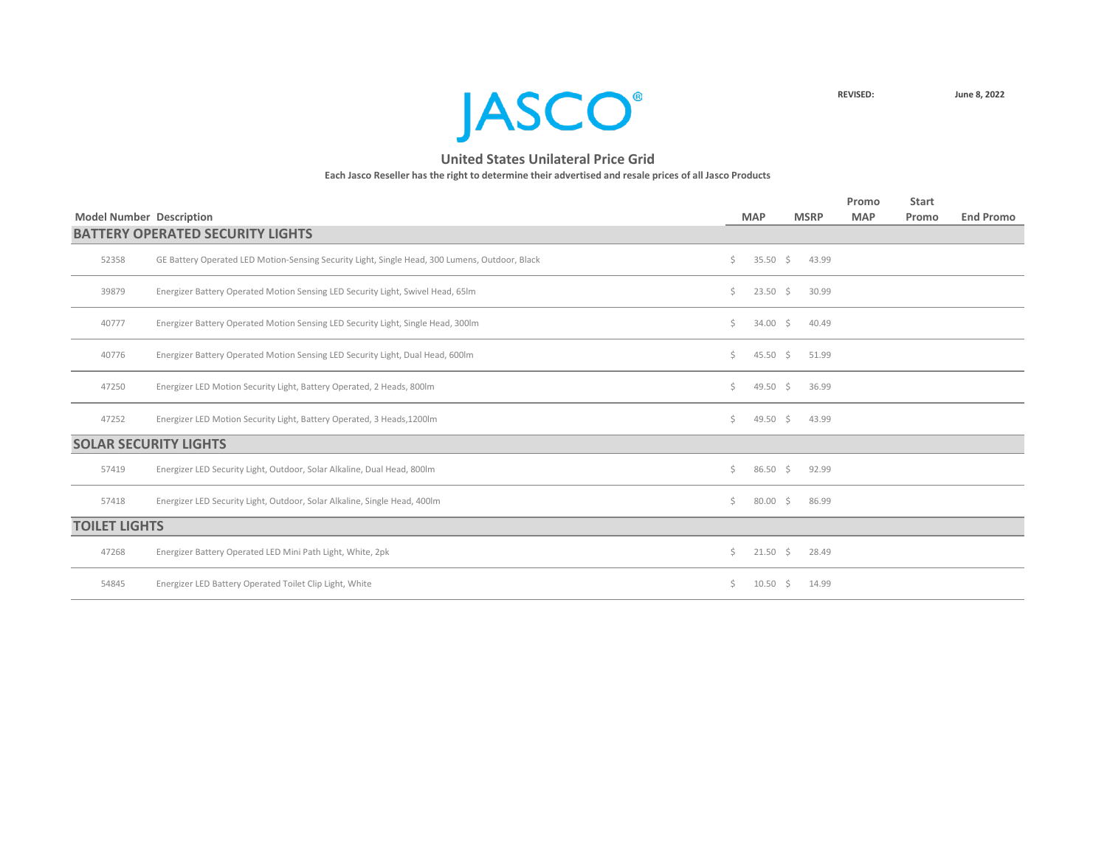**JASCO**<sup>®</sup>

|                      |                                                                                                |    |                    |             |       | Promo      | <b>Start</b> |                  |
|----------------------|------------------------------------------------------------------------------------------------|----|--------------------|-------------|-------|------------|--------------|------------------|
|                      | <b>Model Number Description</b>                                                                |    | <b>MAP</b>         | <b>MSRP</b> |       | <b>MAP</b> | Promo        | <b>End Promo</b> |
|                      | <b>BATTERY OPERATED SECURITY LIGHTS</b>                                                        |    |                    |             |       |            |              |                  |
| 52358                | GE Battery Operated LED Motion-Sensing Security Light, Single Head, 300 Lumens, Outdoor, Black | Ś. | 35.50 \$           |             | 43.99 |            |              |                  |
| 39879                | Energizer Battery Operated Motion Sensing LED Security Light, Swivel Head, 65Im                | Ś. | $23.50 \div$       |             | 30.99 |            |              |                  |
| 40777                | Energizer Battery Operated Motion Sensing LED Security Light, Single Head, 300lm               | Ś. | $34.00 \div$       |             | 40.49 |            |              |                  |
| 40776                | Energizer Battery Operated Motion Sensing LED Security Light, Dual Head, 600lm                 | Ś. | 45.50 \$           |             | 51.99 |            |              |                  |
| 47250                | Energizer LED Motion Security Light, Battery Operated, 2 Heads, 800lm                          | Ś. | 49.50 \$           |             | 36.99 |            |              |                  |
| 47252                | Energizer LED Motion Security Light, Battery Operated, 3 Heads, 1200lm                         | Ś. | 49.50 \$           |             | 43.99 |            |              |                  |
|                      | <b>SOLAR SECURITY LIGHTS</b>                                                                   |    |                    |             |       |            |              |                  |
| 57419                | Energizer LED Security Light, Outdoor, Solar Alkaline, Dual Head, 800lm                        | Ś. | $86.50\frac{2}{5}$ |             | 92.99 |            |              |                  |
| 57418                | Energizer LED Security Light, Outdoor, Solar Alkaline, Single Head, 400lm                      | Ś. | 80.00              | S.          | 86.99 |            |              |                  |
| <b>TOILET LIGHTS</b> |                                                                                                |    |                    |             |       |            |              |                  |
| 47268                | Energizer Battery Operated LED Mini Path Light, White, 2pk                                     | \$ | $21.50 \div$       |             | 28.49 |            |              |                  |
| 54845                | Energizer LED Battery Operated Toilet Clip Light, White                                        | Ś. | 10.50              | S.          | 14.99 |            |              |                  |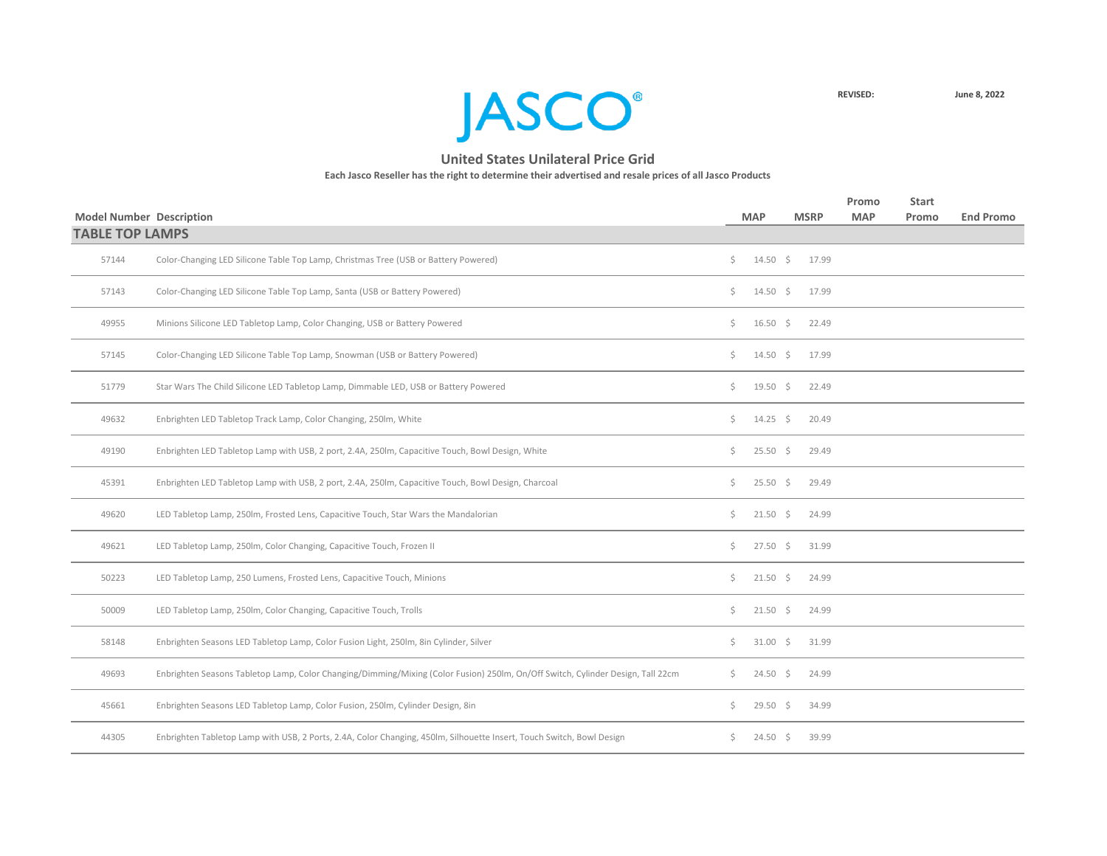**JASCO**<sup>®</sup>

| <b>Model Number Description</b> |                                                                                                                                 |    | <b>MAP</b>          | <b>MSRP</b> | Promo<br><b>MAP</b> | <b>Start</b><br>Promo | <b>End Promo</b> |
|---------------------------------|---------------------------------------------------------------------------------------------------------------------------------|----|---------------------|-------------|---------------------|-----------------------|------------------|
| <b>TABLE TOP LAMPS</b>          |                                                                                                                                 |    |                     |             |                     |                       |                  |
| 57144                           | Color-Changing LED Silicone Table Top Lamp, Christmas Tree (USB or Battery Powered)                                             | \$ | $14.50 \pm 5$       | 17.99       |                     |                       |                  |
| 57143                           | Color-Changing LED Silicone Table Top Lamp, Santa (USB or Battery Powered)                                                      | Ś. | $14.50 \pm 5$       | 17.99       |                     |                       |                  |
| 49955                           | Minions Silicone LED Tabletop Lamp, Color Changing, USB or Battery Powered                                                      | Ś. | $16.50 \div$        | 22.49       |                     |                       |                  |
| 57145                           | Color-Changing LED Silicone Table Top Lamp, Snowman (USB or Battery Powered)                                                    | Ś. | $14.50 \pm 5$       | 17.99       |                     |                       |                  |
| 51779                           | Star Wars The Child Silicone LED Tabletop Lamp, Dimmable LED, USB or Battery Powered                                            | \$ | 19.50 $\frac{1}{5}$ | 22.49       |                     |                       |                  |
| 49632                           | Enbrighten LED Tabletop Track Lamp, Color Changing, 250lm, White                                                                | Ś. | $14.25 \quad$ \$    | 20.49       |                     |                       |                  |
| 49190                           | Enbrighten LED Tabletop Lamp with USB, 2 port, 2.4A, 250lm, Capacitive Touch, Bowl Design, White                                | \$ | $25.50\frac{1}{5}$  | 29.49       |                     |                       |                  |
| 45391                           | Enbrighten LED Tabletop Lamp with USB, 2 port, 2.4A, 250lm, Capacitive Touch, Bowl Design, Charcoal                             | Ś. | $25.50\frac{1}{2}$  | 29.49       |                     |                       |                  |
| 49620                           | LED Tabletop Lamp, 250lm, Frosted Lens, Capacitive Touch, Star Wars the Mandalorian                                             | Ś. | $21.50 \div$        | 24.99       |                     |                       |                  |
| 49621                           | LED Tabletop Lamp, 250lm, Color Changing, Capacitive Touch, Frozen II                                                           | Ś. | $27.50 \pm 5$       | 31.99       |                     |                       |                  |
| 50223                           | LED Tabletop Lamp, 250 Lumens, Frosted Lens, Capacitive Touch, Minions                                                          | Ś. | $21.50 \pm 5$       | 24.99       |                     |                       |                  |
| 50009                           | LED Tabletop Lamp, 250lm, Color Changing, Capacitive Touch, Trolls                                                              | Ś. | $21.50 \pm 5$       | 24.99       |                     |                       |                  |
| 58148                           | Enbrighten Seasons LED Tabletop Lamp, Color Fusion Light, 250lm, 8in Cylinder, Silver                                           | \$ | $31.00 \pm 5$       | 31.99       |                     |                       |                  |
| 49693                           | Enbrighten Seasons Tabletop Lamp, Color Changing/Dimming/Mixing (Color Fusion) 250lm, On/Off Switch, Cylinder Design, Tall 22cm | Ś. | $24.50 \pm 5$       | 24.99       |                     |                       |                  |
| 45661                           | Enbrighten Seasons LED Tabletop Lamp, Color Fusion, 250lm, Cylinder Design, 8in                                                 | \$ | $29.50 \quad $$     | 34.99       |                     |                       |                  |
| 44305                           | Enbrighten Tabletop Lamp with USB, 2 Ports, 2.4A, Color Changing, 450lm, Silhouette Insert, Touch Switch, Bowl Design           | Ś. | $24.50 \pm 5$       | 39.99       |                     |                       |                  |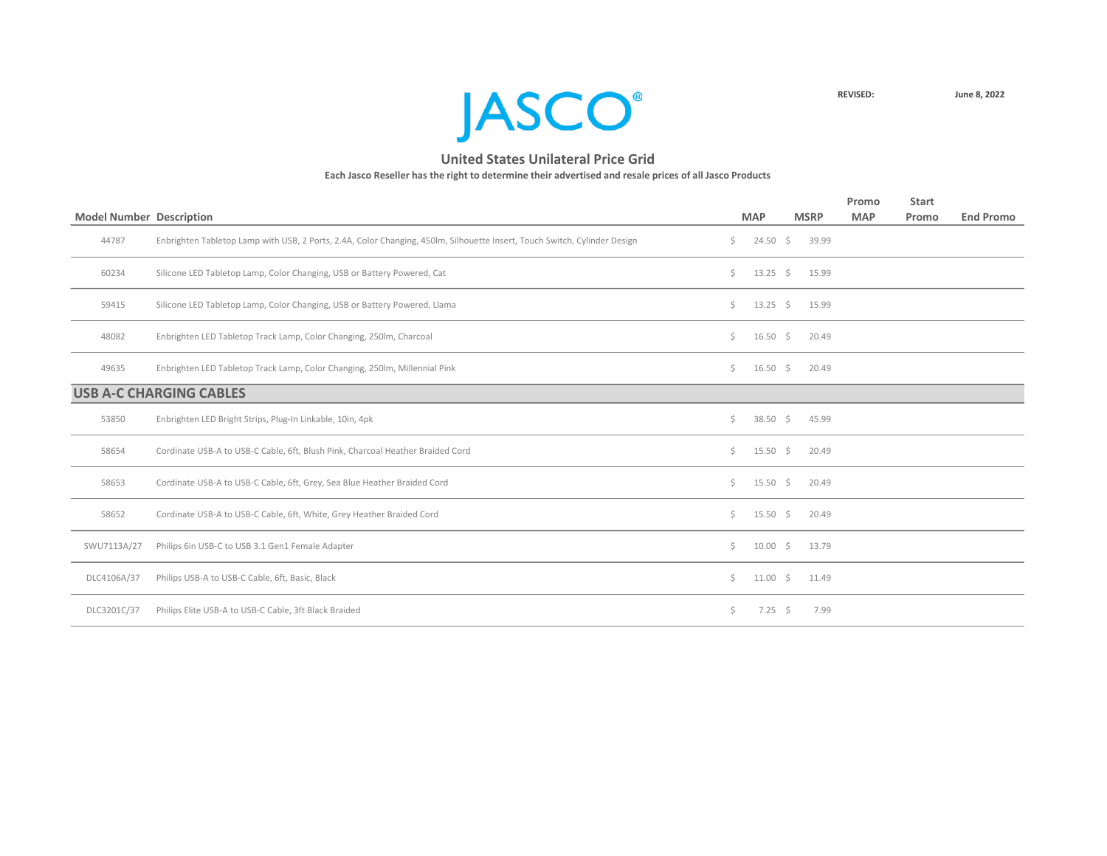

| <b>Model Number Description</b> |                                                                                                                           |     | <b>MAP</b>       | <b>MSRP</b> | Promo<br><b>MAP</b> | <b>Start</b><br>Promo | <b>End Promo</b> |
|---------------------------------|---------------------------------------------------------------------------------------------------------------------------|-----|------------------|-------------|---------------------|-----------------------|------------------|
|                                 |                                                                                                                           |     |                  |             |                     |                       |                  |
| 44787                           | Enbrighten Tabletop Lamp with USB, 2 Ports, 2.4A, Color Changing, 450lm, Silhouette Insert, Touch Switch, Cylinder Design | Ś.  | $24.50 \div$     | 39.99       |                     |                       |                  |
| 60234                           | Silicone LED Tabletop Lamp, Color Changing, USB or Battery Powered, Cat                                                   | Ś.  | $13.25 \quad$ \$ | 15.99       |                     |                       |                  |
| 59415                           | Silicone LED Tabletop Lamp, Color Changing, USB or Battery Powered, Llama                                                 | Ś.  | $13.25 \quad$ \$ | 15.99       |                     |                       |                  |
| 48082                           | Enbrighten LED Tabletop Track Lamp, Color Changing, 250lm, Charcoal                                                       | Ś.  | $16.50 \quad $$  | 20.49       |                     |                       |                  |
| 49635                           | Enbrighten LED Tabletop Track Lamp, Color Changing, 250lm, Millennial Pink                                                | Ś.  | $16.50 \div$     | 20.49       |                     |                       |                  |
|                                 | <b>USB A-C CHARGING CABLES</b>                                                                                            |     |                  |             |                     |                       |                  |
| 53850                           | Enbrighten LED Bright Strips, Plug-In Linkable, 10in, 4pk                                                                 | \$  | $38.50 \div$     | 45.99       |                     |                       |                  |
| 58654                           | Cordinate USB-A to USB-C Cable, 6ft, Blush Pink, Charcoal Heather Braided Cord                                            | Ś.  | $15.50 \div$     | 20.49       |                     |                       |                  |
| 58653                           | Cordinate USB-A to USB-C Cable, 6ft, Grey, Sea Blue Heather Braided Cord                                                  | Ś.  | $15.50 \pm 5$    | 20.49       |                     |                       |                  |
| 58652                           | Cordinate USB-A to USB-C Cable, 6ft, White, Grey Heather Braided Cord                                                     | \$. | $15.50 \pm 5$    | 20.49       |                     |                       |                  |
| SWU7113A/27                     | Philips 6in USB-C to USB 3.1 Gen1 Female Adapter                                                                          | \$  | $10.00 \div$     | 13.79       |                     |                       |                  |
| DLC4106A/37                     | Philips USB-A to USB-C Cable, 6ft, Basic, Black                                                                           | Ś.  | $11.00 \div$     | 11.49       |                     |                       |                  |
| DLC3201C/37                     | Philips Elite USB-A to USB-C Cable, 3ft Black Braided                                                                     | \$. | $7.25$ \$        | 7.99        |                     |                       |                  |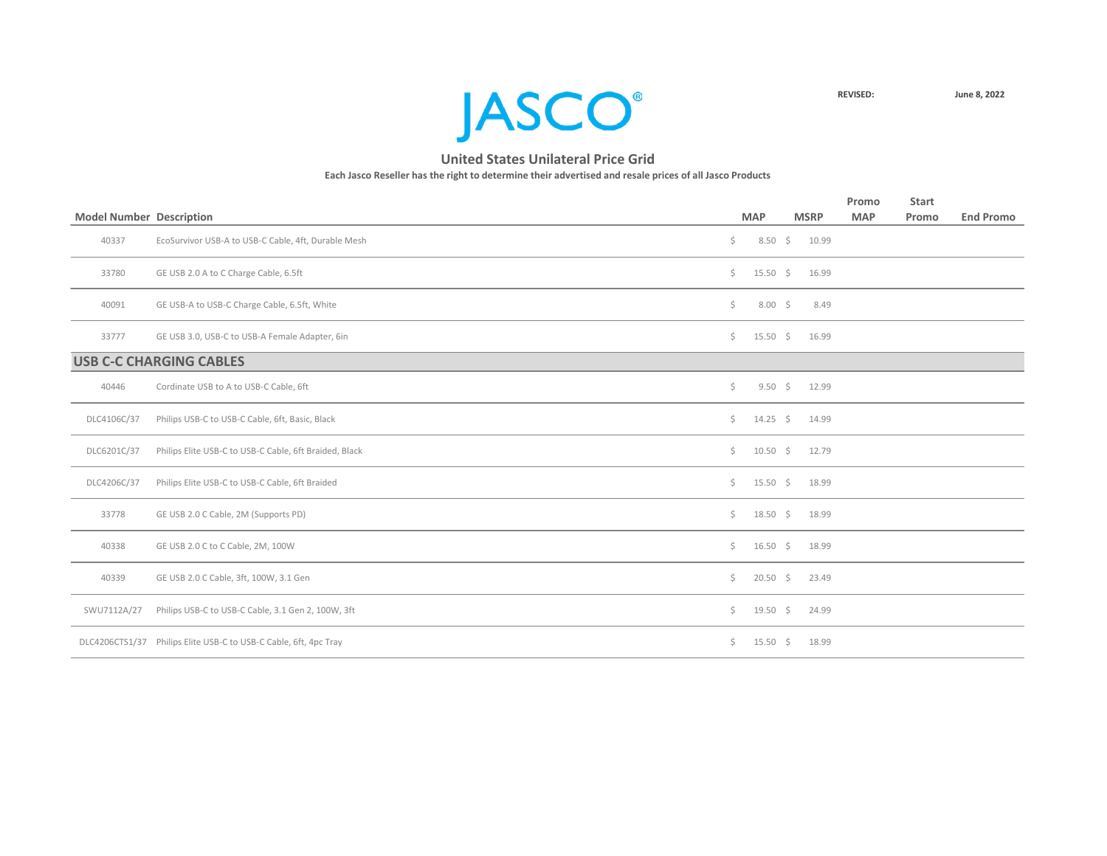

|                                 |                                                                  |                    |                    |                   | Promo      | <b>Start</b> |                  |
|---------------------------------|------------------------------------------------------------------|--------------------|--------------------|-------------------|------------|--------------|------------------|
| <b>Model Number Description</b> |                                                                  |                    | <b>MAP</b>         | <b>MSRP</b>       | <b>MAP</b> | Promo        | <b>End Promo</b> |
| 40337                           | EcoSurvivor USB-A to USB-C Cable, 4ft, Durable Mesh              | \$.                |                    | 8.50 \$ 10.99     |            |              |                  |
| 33780                           | GE USB 2.0 A to C Charge Cable, 6.5ft                            | $\zeta$            | $15.50 \div$       | 16.99             |            |              |                  |
| 40091                           | GE USB-A to USB-C Charge Cable, 6.5ft, White                     | \$                 | $8.00\frac{1}{5}$  | 8.49              |            |              |                  |
| 33777                           | GE USB 3.0, USB-C to USB-A Female Adapter, 6in                   | Ś.                 | $15.50 \div$       | 16.99             |            |              |                  |
|                                 | <b>USB C-C CHARGING CABLES</b>                                   |                    |                    |                   |            |              |                  |
| 40446                           | Cordinate USB to A to USB-C Cable, 6ft                           | \$                 |                    | $9.50 \div 12.99$ |            |              |                  |
| DLC4106C/37                     | Philips USB-C to USB-C Cable, 6ft, Basic, Black                  | $\dot{\mathsf{S}}$ | 14.25 \$ 14.99     |                   |            |              |                  |
| DLC6201C/37                     | Philips Elite USB-C to USB-C Cable, 6ft Braided, Black           | $\zeta$            | $10.50 \div 12.79$ |                   |            |              |                  |
| DLC4206C/37                     | Philips Elite USB-C to USB-C Cable, 6ft Braided                  | Ś.                 | $15.50 \div$       | 18.99             |            |              |                  |
| 33778                           | GE USB 2.0 C Cable, 2M (Supports PD)                             | Ś.                 | $18.50 \div$       | 18.99             |            |              |                  |
| 40338                           | GE USB 2.0 C to C Cable, 2M, 100W                                | $\mathsf{S}$       | $16.50 \div$       | 18.99             |            |              |                  |
| 40339                           | GE USB 2.0 C Cable, 3ft, 100W, 3.1 Gen                           | \$                 | $20.50$ \$         | 23.49             |            |              |                  |
| SWU7112A/27                     | Philips USB-C to USB-C Cable, 3.1 Gen 2, 100W, 3ft               | \$                 | $19.50$ \$         | 24.99             |            |              |                  |
|                                 | DLC4206CTS1/37 Philips Elite USB-C to USB-C Cable, 6ft, 4pc Tray | Ś.                 | $15.50 \div$       | 18.99             |            |              |                  |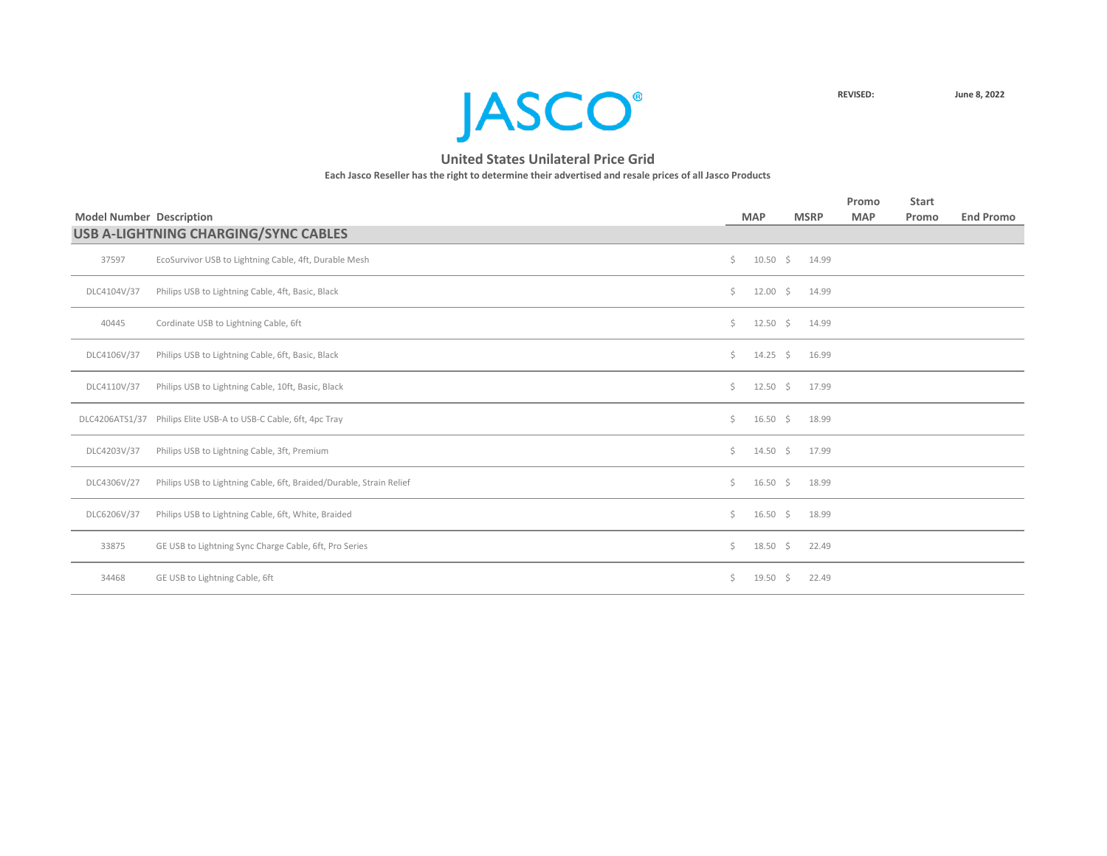

|                                 |                                                                     |              |                    |             | Promo      | <b>Start</b> |                  |
|---------------------------------|---------------------------------------------------------------------|--------------|--------------------|-------------|------------|--------------|------------------|
| <b>Model Number Description</b> |                                                                     |              | <b>MAP</b>         | <b>MSRP</b> | <b>MAP</b> | Promo        | <b>End Promo</b> |
|                                 | USB A-LIGHTNING CHARGING/SYNC CABLES                                |              |                    |             |            |              |                  |
| 37597                           | EcoSurvivor USB to Lightning Cable, 4ft, Durable Mesh               | $\zeta$      | $10.50 \div 14.99$ |             |            |              |                  |
| DLC4104V/37                     | Philips USB to Lightning Cable, 4ft, Basic, Black                   | Ś.           | 12.00 \$ 14.99     |             |            |              |                  |
| 40445                           | Cordinate USB to Lightning Cable, 6ft                               | $\zeta$      | $12.50 \div 14.99$ |             |            |              |                  |
| DLC4106V/37                     | Philips USB to Lightning Cable, 6ft, Basic, Black                   | $\mathsf{S}$ | $14.25 \div 16.99$ |             |            |              |                  |
| DLC4110V/37                     | Philips USB to Lightning Cable, 10ft, Basic, Black                  | Ś.           | 12.50 \$ 17.99     |             |            |              |                  |
|                                 | DLC4206ATS1/37 Philips Elite USB-A to USB-C Cable, 6ft, 4pc Tray    | Ś.           | $16.50 \div 18.99$ |             |            |              |                  |
| DLC4203V/37                     | Philips USB to Lightning Cable, 3ft, Premium                        | Ś.           | 14.50 \$ 17.99     |             |            |              |                  |
| DLC4306V/27                     | Philips USB to Lightning Cable, 6ft, Braided/Durable, Strain Relief | Ś.           | $16.50 \div 18.99$ |             |            |              |                  |
| DLC6206V/37                     | Philips USB to Lightning Cable, 6ft, White, Braided                 | Ś.           | $16.50 \div$       | 18.99       |            |              |                  |
| 33875                           | GE USB to Lightning Sync Charge Cable, 6ft, Pro Series              | Ś.           | $18.50 \div$       | 22.49       |            |              |                  |
| 34468                           | GE USB to Lightning Cable, 6ft                                      | Ś.           | $19.50 \pm 5$      | 22.49       |            |              |                  |
|                                 |                                                                     |              |                    |             |            |              |                  |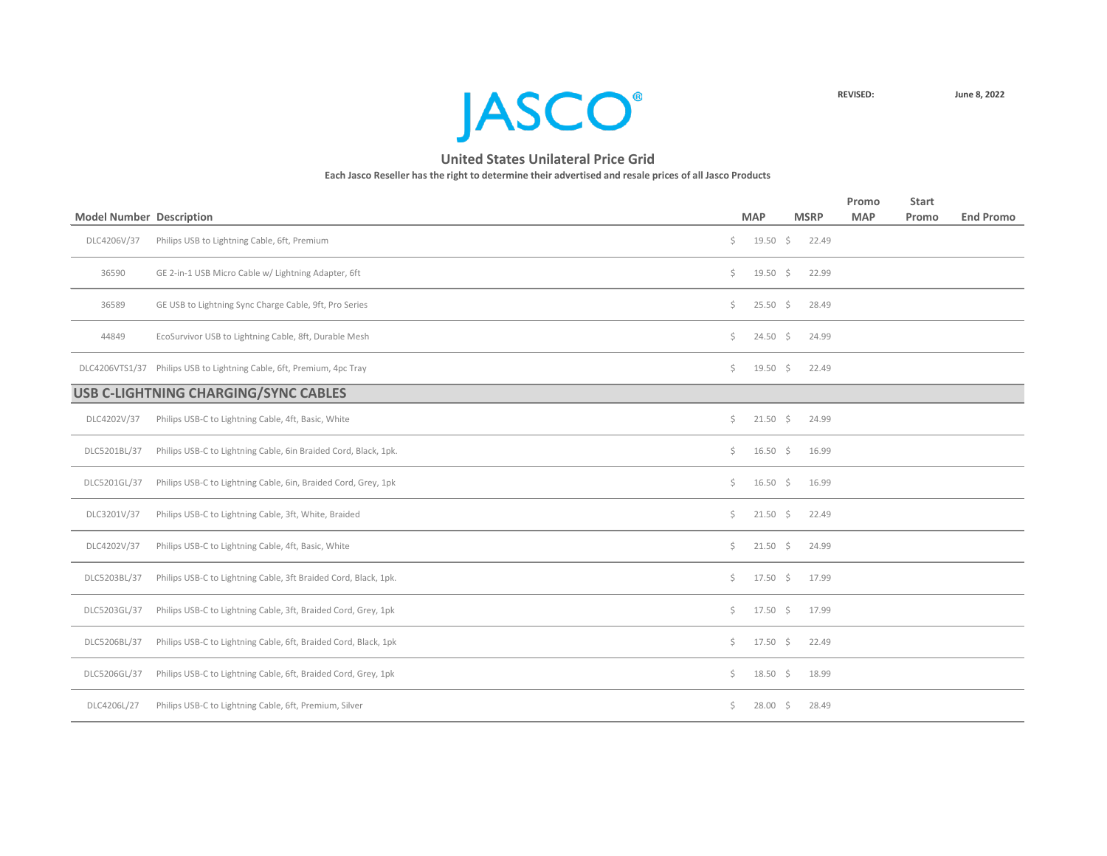

|                                 |                                                                       |    |                     |             | Promo      | <b>Start</b> |                  |
|---------------------------------|-----------------------------------------------------------------------|----|---------------------|-------------|------------|--------------|------------------|
| <b>Model Number Description</b> |                                                                       |    | <b>MAP</b>          | <b>MSRP</b> | <b>MAP</b> | Promo        | <b>End Promo</b> |
| DLC4206V/37                     | Philips USB to Lightning Cable, 6ft, Premium                          | \$ | $19.50 \div$        | 22.49       |            |              |                  |
| 36590                           | GE 2-in-1 USB Micro Cable w/ Lightning Adapter, 6ft                   | Ś. | 19.50 $\frac{2}{3}$ | 22.99       |            |              |                  |
| 36589                           | GE USB to Lightning Sync Charge Cable, 9ft, Pro Series                | Ś. | $25.50\frac{1}{5}$  | 28.49       |            |              |                  |
| 44849                           | EcoSurvivor USB to Lightning Cable, 8ft, Durable Mesh                 | \$ | $24.50 \div$        | 24.99       |            |              |                  |
|                                 | DLC4206VTS1/37 Philips USB to Lightning Cable, 6ft, Premium, 4pc Tray | \$ | $19.50 \div$        | 22.49       |            |              |                  |
|                                 | USB C-LIGHTNING CHARGING/SYNC CABLES                                  |    |                     |             |            |              |                  |
| DLC4202V/37                     | Philips USB-C to Lightning Cable, 4ft, Basic, White                   | \$ | $21.50$ \$          | 24.99       |            |              |                  |
| DLC5201BL/37                    | Philips USB-C to Lightning Cable, 6in Braided Cord, Black, 1pk.       | \$ | $16.50 \div$        | 16.99       |            |              |                  |
| DLC5201GL/37                    | Philips USB-C to Lightning Cable, 6in, Braided Cord, Grey, 1pk        | \$ | $16.50 \div$        | 16.99       |            |              |                  |
| DLC3201V/37                     | Philips USB-C to Lightning Cable, 3ft, White, Braided                 | Ś. | $21.50 \div$        | 22.49       |            |              |                  |
| DLC4202V/37                     | Philips USB-C to Lightning Cable, 4ft, Basic, White                   | Ŝ. | $21.50 \div$        | 24.99       |            |              |                  |
| DLC5203BL/37                    | Philips USB-C to Lightning Cable, 3ft Braided Cord, Black, 1pk.       | Ś. | $17.50 \div$        | 17.99       |            |              |                  |
| DLC5203GL/37                    | Philips USB-C to Lightning Cable, 3ft, Braided Cord, Grey, 1pk        | \$ | $17.50 \div$        | 17.99       |            |              |                  |
| DLC5206BL/37                    | Philips USB-C to Lightning Cable, 6ft, Braided Cord, Black, 1pk       | Ś. | $17.50 \div$        | 22.49       |            |              |                  |
| DLC5206GL/37                    | Philips USB-C to Lightning Cable, 6ft, Braided Cord, Grey, 1pk        | \$ | $18.50\frac{2}{5}$  | 18.99       |            |              |                  |
| DLC4206L/27                     | Philips USB-C to Lightning Cable, 6ft, Premium, Silver                | \$ | $28.00 \div$        | 28.49       |            |              |                  |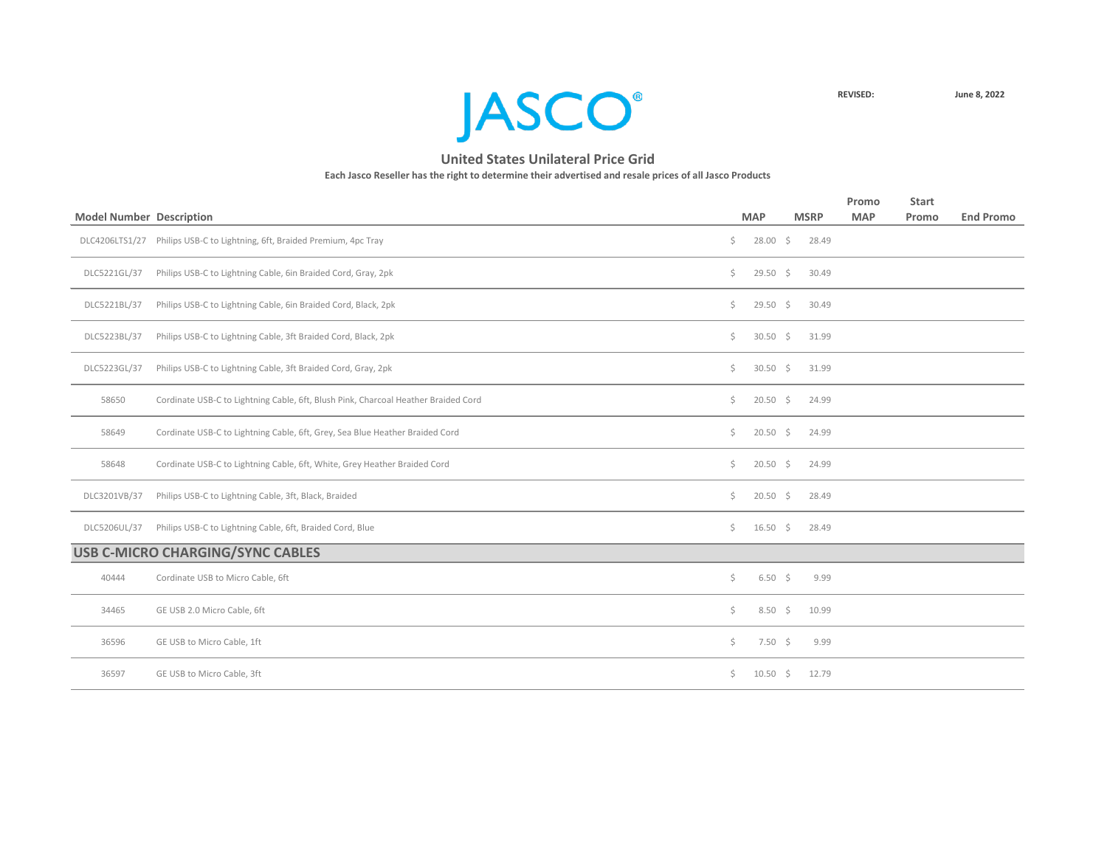

|                                 |                                                                                    |     |                    |             | Promo      | <b>Start</b> |                  |
|---------------------------------|------------------------------------------------------------------------------------|-----|--------------------|-------------|------------|--------------|------------------|
| <b>Model Number Description</b> |                                                                                    |     | <b>MAP</b>         | <b>MSRP</b> | <b>MAP</b> | Promo        | <b>End Promo</b> |
|                                 | DLC4206LTS1/27 Philips USB-C to Lightning, 6ft, Braided Premium, 4pc Tray          | \$  | $28.00\frac{1}{5}$ | 28.49       |            |              |                  |
| DLC5221GL/37                    | Philips USB-C to Lightning Cable, 6in Braided Cord, Gray, 2pk                      | \$. | $29.50$ \$         | 30.49       |            |              |                  |
| DLC5221BL/37                    | Philips USB-C to Lightning Cable, 6in Braided Cord, Black, 2pk                     | \$  | $29.50 \div$       | 30.49       |            |              |                  |
| DLC5223BL/37                    | Philips USB-C to Lightning Cable, 3ft Braided Cord, Black, 2pk                     | \$  | $30.50\frac{1}{5}$ | 31.99       |            |              |                  |
| DLC5223GL/37                    | Philips USB-C to Lightning Cable, 3ft Braided Cord, Gray, 2pk                      | \$  | $30.50$ \$         | 31.99       |            |              |                  |
| 58650                           | Cordinate USB-C to Lightning Cable, 6ft, Blush Pink, Charcoal Heather Braided Cord | \$  | $20.50$ \$         | 24.99       |            |              |                  |
| 58649                           | Cordinate USB-C to Lightning Cable, 6ft, Grey, Sea Blue Heather Braided Cord       | Ś.  | $20.50\frac{1}{5}$ | 24.99       |            |              |                  |
| 58648                           | Cordinate USB-C to Lightning Cable, 6ft, White, Grey Heather Braided Cord          | \$  | $20.50$ \$         | 24.99       |            |              |                  |
| DLC3201VB/37                    | Philips USB-C to Lightning Cable, 3ft, Black, Braided                              | \$  | $20.50\frac{1}{5}$ | 28.49       |            |              |                  |
| DLC5206UL/37                    | Philips USB-C to Lightning Cable, 6ft, Braided Cord, Blue                          | \$  | $16.50 \div$       | 28.49       |            |              |                  |
|                                 | <b>USB C-MICRO CHARGING/SYNC CABLES</b>                                            |     |                    |             |            |              |                  |
| 40444                           | Cordinate USB to Micro Cable, 6ft                                                  | Ś.  | $6.50\frac{1}{5}$  | 9.99        |            |              |                  |
| 34465                           | GE USB 2.0 Micro Cable, 6ft                                                        | \$  | $8.50\frac{1}{5}$  | 10.99       |            |              |                  |
| 36596                           | GE USB to Micro Cable, 1ft                                                         | \$  | $7.50 \div$        | 9.99        |            |              |                  |
| 36597                           | GE USB to Micro Cable, 3ft                                                         | \$  | $10.50 \div$       | 12.79       |            |              |                  |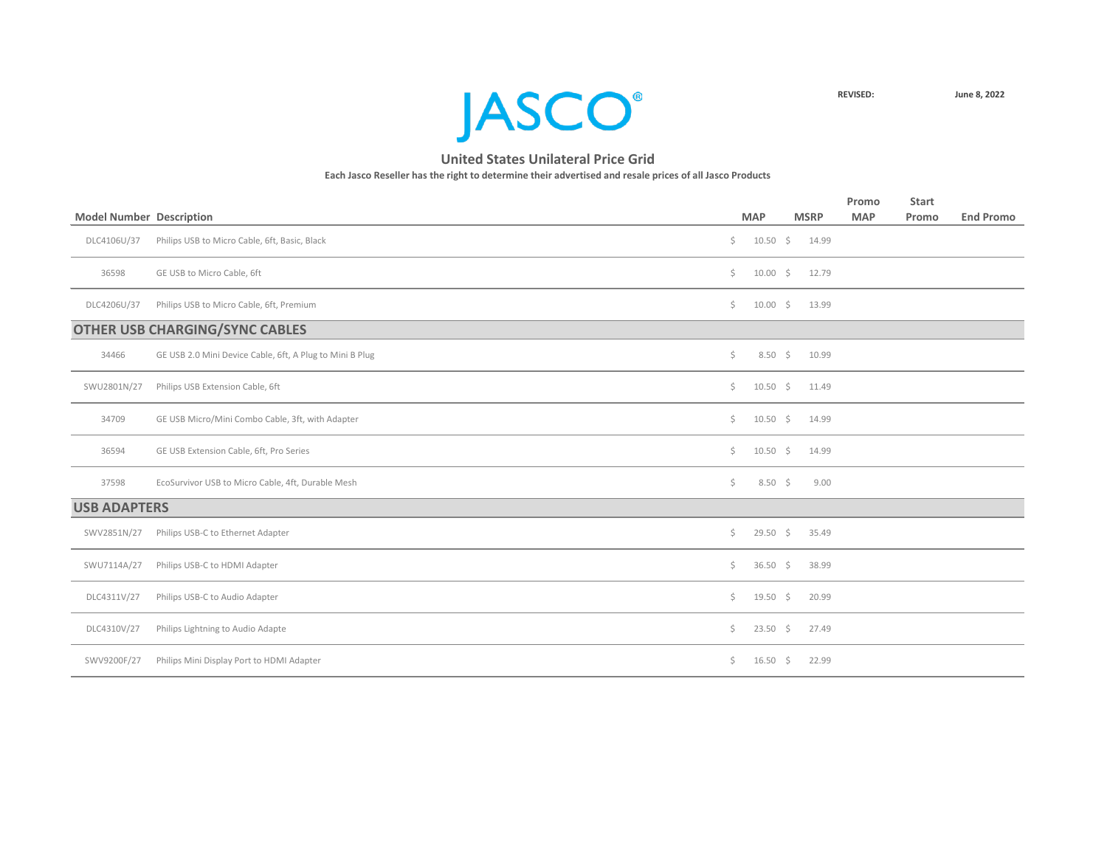

|                                 |                                                          |    |                   |             | Promo      | <b>Start</b> |                  |
|---------------------------------|----------------------------------------------------------|----|-------------------|-------------|------------|--------------|------------------|
| <b>Model Number Description</b> |                                                          |    | <b>MAP</b>        | <b>MSRP</b> | <b>MAP</b> | Promo        | <b>End Promo</b> |
| DLC4106U/37                     | Philips USB to Micro Cable, 6ft, Basic, Black            | \$ | 10.50 \$ 14.99    |             |            |              |                  |
| 36598                           | GE USB to Micro Cable, 6ft                               | \$ | $10.00 \div$      | 12.79       |            |              |                  |
| DLC4206U/37                     | Philips USB to Micro Cable, 6ft, Premium                 | \$ | $10.00 \div$      | 13.99       |            |              |                  |
|                                 | <b>OTHER USB CHARGING/SYNC CABLES</b>                    |    |                   |             |            |              |                  |
| 34466                           | GE USB 2.0 Mini Device Cable, 6ft, A Plug to Mini B Plug | \$ | $8.50\frac{1}{5}$ | 10.99       |            |              |                  |
| SWU2801N/27                     | Philips USB Extension Cable, 6ft                         | Ś. | $10.50 \div$      | 11.49       |            |              |                  |
| 34709                           | GE USB Micro/Mini Combo Cable, 3ft, with Adapter         | \$ | $10.50 \div$      | 14.99       |            |              |                  |
| 36594                           | GE USB Extension Cable, 6ft, Pro Series                  | \$ | $10.50 \div$      | 14.99       |            |              |                  |
| 37598                           | EcoSurvivor USB to Micro Cable, 4ft, Durable Mesh        | \$ | $8.50\frac{2}{3}$ | 9.00        |            |              |                  |
| <b>USB ADAPTERS</b>             |                                                          |    |                   |             |            |              |                  |
| SWV2851N/27                     | Philips USB-C to Ethernet Adapter                        | \$ | $29.50$ \$        | 35.49       |            |              |                  |
| SWU7114A/27                     | Philips USB-C to HDMI Adapter                            | Ś. | $36.50$ \$        | 38.99       |            |              |                  |
| DLC4311V/27                     | Philips USB-C to Audio Adapter                           | Ś. | $19.50 \div$      | 20.99       |            |              |                  |
| DLC4310V/27                     | Philips Lightning to Audio Adapte                        | \$ | $23.50 \div$      | 27.49       |            |              |                  |
| SWV9200F/27                     | Philips Mini Display Port to HDMI Adapter                | \$ | $16.50 \div$      | 22.99       |            |              |                  |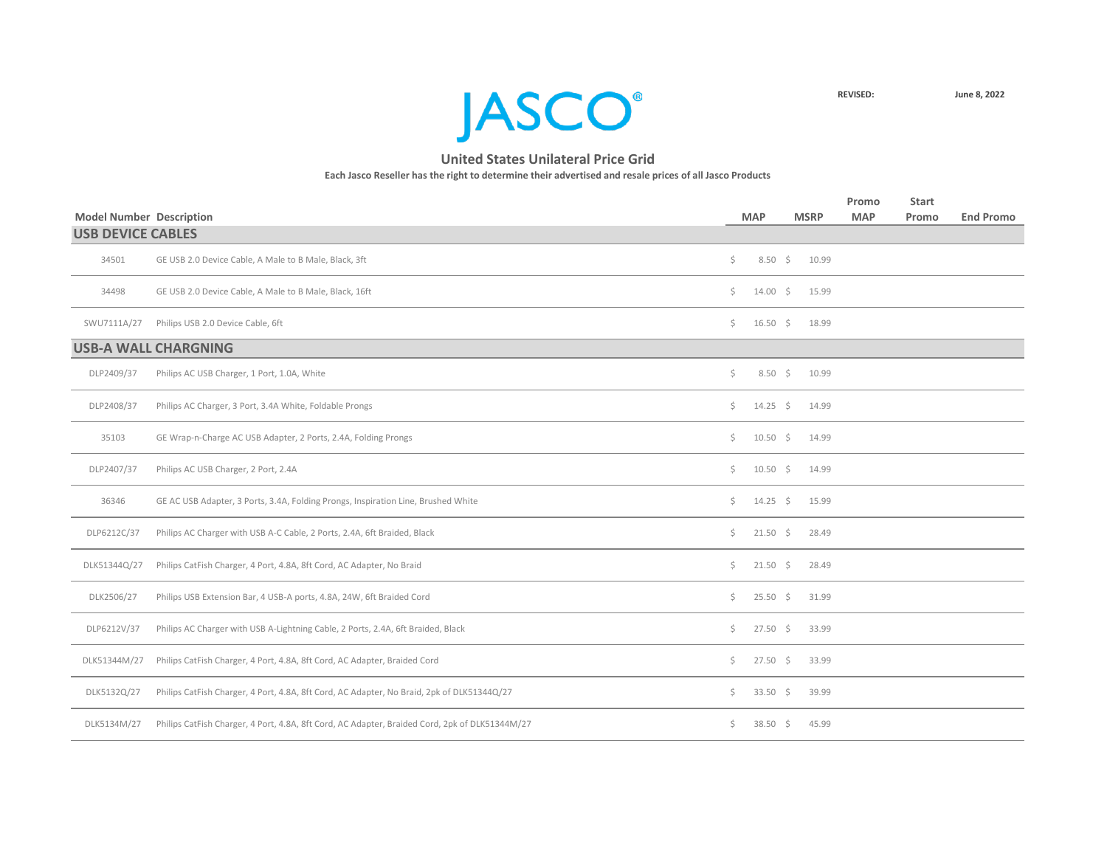

| <b>Model Number Description</b> |                                                                                                |              | <b>MAP</b>        | <b>MSRP</b> | Promo<br><b>MAP</b> | <b>Start</b><br>Promo | <b>End Promo</b> |
|---------------------------------|------------------------------------------------------------------------------------------------|--------------|-------------------|-------------|---------------------|-----------------------|------------------|
| <b>USB DEVICE CABLES</b>        |                                                                                                |              |                   |             |                     |                       |                  |
| 34501                           | GE USB 2.0 Device Cable, A Male to B Male, Black, 3ft                                          | \$           | $8.50\frac{1}{5}$ | 10.99       |                     |                       |                  |
| 34498                           | GE USB 2.0 Device Cable, A Male to B Male, Black, 16ft                                         | Ś.           | $14.00 \div$      | 15.99       |                     |                       |                  |
| SWU7111A/27                     | Philips USB 2.0 Device Cable, 6ft                                                              | $\zeta$      | $16.50 \div$      | 18.99       |                     |                       |                  |
|                                 | <b>USB-A WALL CHARGNING</b>                                                                    |              |                   |             |                     |                       |                  |
| DLP2409/37                      | Philips AC USB Charger, 1 Port, 1.0A, White                                                    | \$           | $8.50\frac{1}{5}$ | 10.99       |                     |                       |                  |
| DLP2408/37                      | Philips AC Charger, 3 Port, 3.4A White, Foldable Prongs                                        | \$           | $14.25$ \$        | 14.99       |                     |                       |                  |
| 35103                           | GE Wrap-n-Charge AC USB Adapter, 2 Ports, 2.4A, Folding Prongs                                 | Ś.           | $10.50 \div$      | 14.99       |                     |                       |                  |
| DLP2407/37                      | Philips AC USB Charger, 2 Port, 2.4A                                                           | Ś.           | $10.50 \div$      | 14.99       |                     |                       |                  |
| 36346                           | GE AC USB Adapter, 3 Ports, 3.4A, Folding Prongs, Inspiration Line, Brushed White              | Ś.           | $14.25 \quad$ \$  | 15.99       |                     |                       |                  |
| DLP6212C/37                     | Philips AC Charger with USB A-C Cable, 2 Ports, 2.4A, 6ft Braided, Black                       | $\mathsf{S}$ | $21.50 \div$      | 28.49       |                     |                       |                  |
| DLK51344Q/27                    | Philips CatFish Charger, 4 Port, 4.8A, 8ft Cord, AC Adapter, No Braid                          | Ś.           | $21.50 \div$      | 28.49       |                     |                       |                  |
| DLK2506/27                      | Philips USB Extension Bar, 4 USB-A ports, 4.8A, 24W, 6ft Braided Cord                          | \$           | $25.50 \div$      | 31.99       |                     |                       |                  |
| DLP6212V/37                     | Philips AC Charger with USB A-Lightning Cable, 2 Ports, 2.4A, 6ft Braided, Black               | \$           | $27.50 \div$      | 33.99       |                     |                       |                  |
| DLK51344M/27                    | Philips CatFish Charger, 4 Port, 4.8A, 8ft Cord, AC Adapter, Braided Cord                      | \$           | $27.50 \div$      | 33.99       |                     |                       |                  |
| DLK5132Q/27                     | Philips CatFish Charger, 4 Port, 4.8A, 8ft Cord, AC Adapter, No Braid, 2pk of DLK51344Q/27     | $\mathsf{S}$ | $33.50 \div$      | 39.99       |                     |                       |                  |
| DLK5134M/27                     | Philips CatFish Charger, 4 Port, 4.8A, 8ft Cord, AC Adapter, Braided Cord, 2pk of DLK51344M/27 | Ś.           | $38.50$ \$        | 45.99       |                     |                       |                  |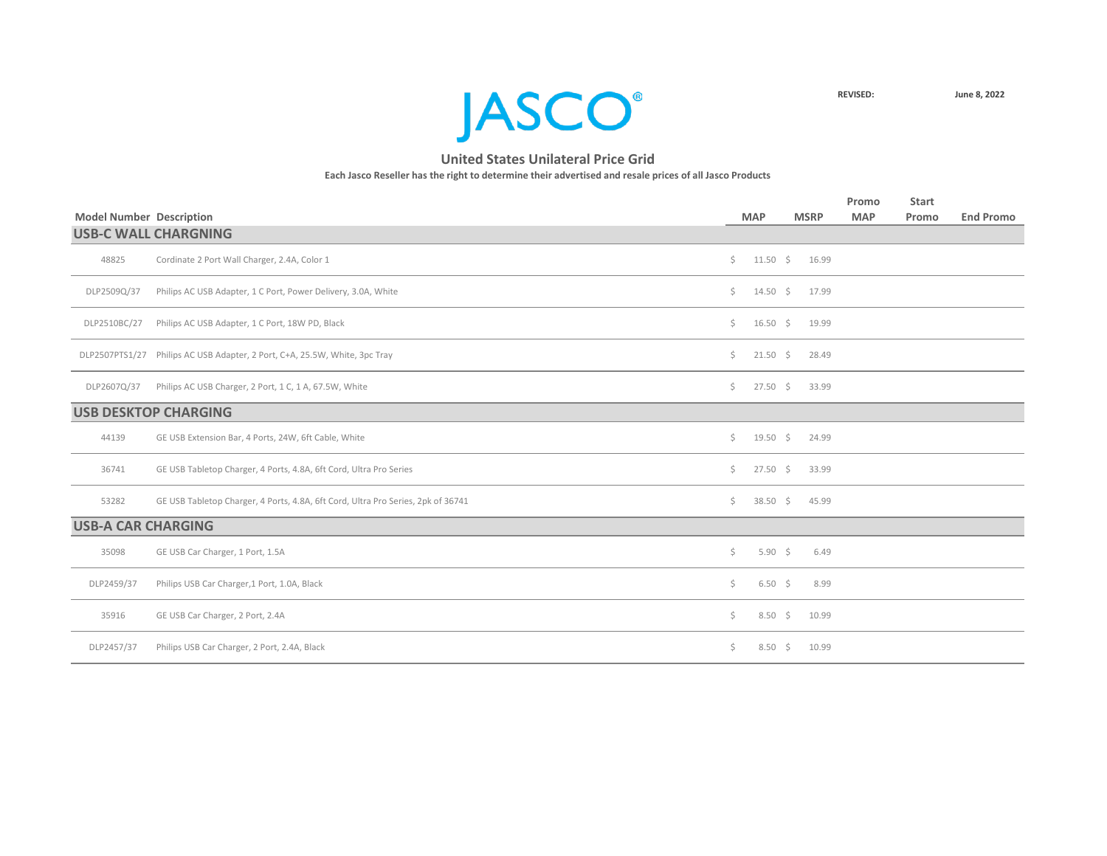

|                                 |                                                                                  |     |                   |                    |       | Promo      | <b>Start</b> |                  |
|---------------------------------|----------------------------------------------------------------------------------|-----|-------------------|--------------------|-------|------------|--------------|------------------|
| <b>Model Number Description</b> |                                                                                  |     | <b>MAP</b>        | <b>MSRP</b>        |       | <b>MAP</b> | Promo        | <b>End Promo</b> |
|                                 | <b>USB-C WALL CHARGNING</b>                                                      |     |                   |                    |       |            |              |                  |
| 48825                           | Cordinate 2 Port Wall Charger, 2.4A, Color 1                                     | Ś.  |                   | $11.50 \div 16.99$ |       |            |              |                  |
| DLP2509Q/37                     | Philips AC USB Adapter, 1 C Port, Power Delivery, 3.0A, White                    | Ś.  | $14.50 \div$      |                    | 17.99 |            |              |                  |
| DLP2510BC/27                    | Philips AC USB Adapter, 1 C Port, 18W PD, Black                                  | Ś.  | $16.50 \div$      |                    | 19.99 |            |              |                  |
|                                 | DLP2507PTS1/27 Philips AC USB Adapter, 2 Port, C+A, 25.5W, White, 3pc Tray       | Ś.  |                   | $21.50 \div 28.49$ |       |            |              |                  |
| DLP2607Q/37                     | Philips AC USB Charger, 2 Port, 1 C, 1 A, 67.5W, White                           | \$  | $27.50$ \$        |                    | 33.99 |            |              |                  |
|                                 | <b>USB DESKTOP CHARGING</b>                                                      |     |                   |                    |       |            |              |                  |
| 44139                           | GE USB Extension Bar, 4 Ports, 24W, 6ft Cable, White                             | Ś.  | $19.50 \div$      |                    | 24.99 |            |              |                  |
| 36741                           | GE USB Tabletop Charger, 4 Ports, 4.8A, 6ft Cord, Ultra Pro Series               | Ś.  | $27.50$ \$        |                    | 33.99 |            |              |                  |
| 53282                           | GE USB Tabletop Charger, 4 Ports, 4.8A, 6ft Cord, Ultra Pro Series, 2pk of 36741 | Ś.  | $38.50 \div$      |                    | 45.99 |            |              |                  |
| <b>USB-A CAR CHARGING</b>       |                                                                                  |     |                   |                    |       |            |              |                  |
| 35098                           | GE USB Car Charger, 1 Port, 1.5A                                                 | \$  | $5.90 \div$       |                    | 6.49  |            |              |                  |
| DLP2459/37                      | Philips USB Car Charger, 1 Port, 1.0A, Black                                     | \$  | $6.50\frac{1}{5}$ |                    | 8.99  |            |              |                  |
| 35916                           | GE USB Car Charger, 2 Port, 2.4A                                                 | \$. | $8.50\frac{1}{5}$ |                    | 10.99 |            |              |                  |
| DLP2457/37                      | Philips USB Car Charger, 2 Port, 2.4A, Black                                     | \$. | $8.50\frac{2}{3}$ |                    | 10.99 |            |              |                  |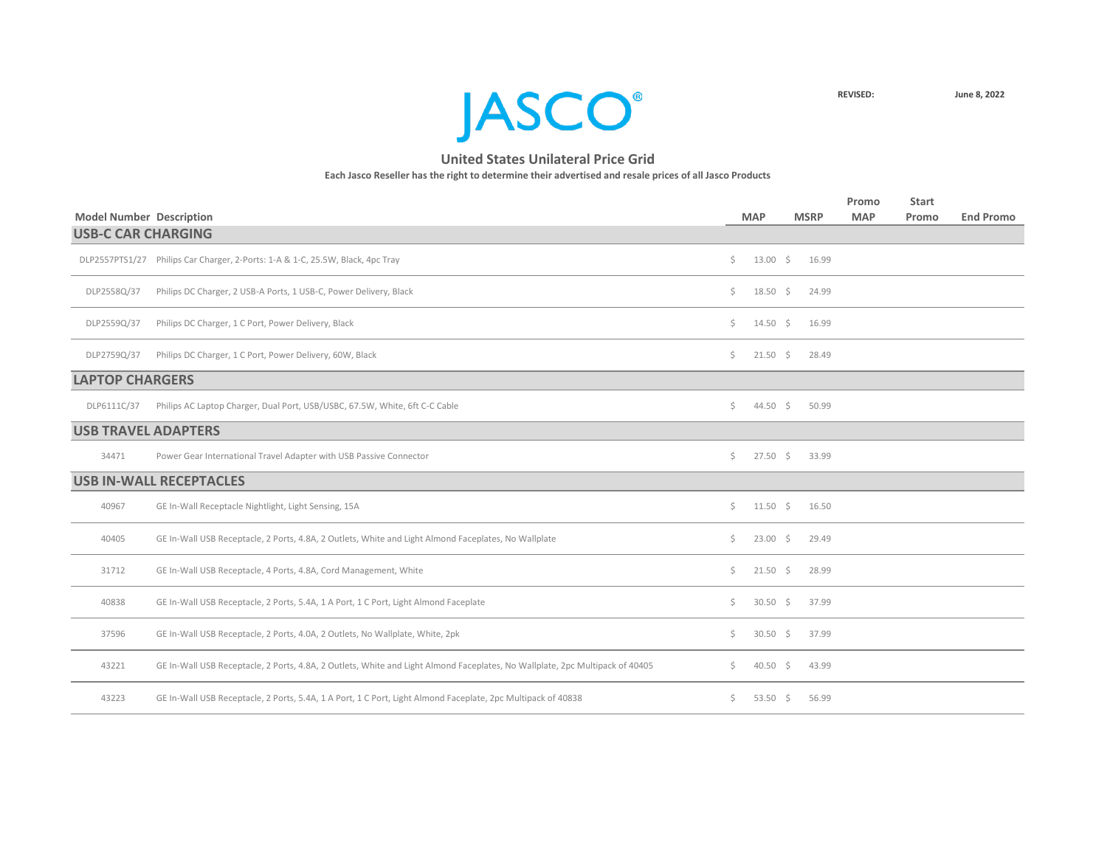

| <b>Model Number Description</b> |                                                                                                                              |    | <b>MAP</b>      | <b>MSRP</b> |       | Promo<br><b>MAP</b> | <b>Start</b><br>Promo | <b>End Promo</b> |
|---------------------------------|------------------------------------------------------------------------------------------------------------------------------|----|-----------------|-------------|-------|---------------------|-----------------------|------------------|
| <b>USB-C CAR CHARGING</b>       |                                                                                                                              |    |                 |             |       |                     |                       |                  |
|                                 | DLP2557PTS1/27 Philips Car Charger, 2-Ports: 1-A & 1-C, 25.5W, Black, 4pc Tray                                               | \$ | $13.00 \div$    |             | 16.99 |                     |                       |                  |
| DLP2558Q/37                     | Philips DC Charger, 2 USB-A Ports, 1 USB-C, Power Delivery, Black                                                            | Ś. | $18.50 \div$    |             | 24.99 |                     |                       |                  |
| DLP2559Q/37                     | Philips DC Charger, 1 C Port, Power Delivery, Black                                                                          | Ś. | $14.50 \div$    |             | 16.99 |                     |                       |                  |
| DLP2759Q/37                     | Philips DC Charger, 1 C Port, Power Delivery, 60W, Black                                                                     | Ś. | $21.50 \pm 5$   |             | 28.49 |                     |                       |                  |
| <b>LAPTOP CHARGERS</b>          |                                                                                                                              |    |                 |             |       |                     |                       |                  |
| DLP6111C/37                     | Philips AC Laptop Charger, Dual Port, USB/USBC, 67.5W, White, 6ft C-C Cable                                                  | \$ | $44.50 \div$    |             | 50.99 |                     |                       |                  |
| <b>USB TRAVEL ADAPTERS</b>      |                                                                                                                              |    |                 |             |       |                     |                       |                  |
| 34471                           | Power Gear International Travel Adapter with USB Passive Connector                                                           | Ś. | $27.50 \div$    |             | 33.99 |                     |                       |                  |
|                                 | <b>USB IN-WALL RECEPTACLES</b>                                                                                               |    |                 |             |       |                     |                       |                  |
| 40967                           | GE In-Wall Receptacle Nightlight, Light Sensing, 15A                                                                         | Ś. | $11.50 \div$    |             | 16.50 |                     |                       |                  |
| 40405                           | GE In-Wall USB Receptacle, 2 Ports, 4.8A, 2 Outlets, White and Light Almond Faceplates, No Wallplate                         | Ś. | $23.00 \div$    |             | 29.49 |                     |                       |                  |
| 31712                           | GE In-Wall USB Receptacle, 4 Ports, 4.8A, Cord Management, White                                                             | Ś. | $21.50 \div$    |             | 28.99 |                     |                       |                  |
| 40838                           | GE In-Wall USB Receptacle, 2 Ports, 5.4A, 1 A Port, 1 C Port, Light Almond Faceplate                                         | \$ | $30.50$ \$      |             | 37.99 |                     |                       |                  |
| 37596                           | GE In-Wall USB Receptacle, 2 Ports, 4.0A, 2 Outlets, No Wallplate, White, 2pk                                                | Ś. | $30.50 \quad $$ |             | 37.99 |                     |                       |                  |
| 43221                           | GE In-Wall USB Receptacle, 2 Ports, 4.8A, 2 Outlets, White and Light Almond Faceplates, No Wallplate, 2pc Multipack of 40405 | Ś. | $40.50$ \$      |             | 43.99 |                     |                       |                  |
| 43223                           | GE In-Wall USB Receptacle, 2 Ports, 5.4A, 1 A Port, 1 C Port, Light Almond Faceplate, 2pc Multipack of 40838                 | Ŝ. | 53.50 \$        |             | 56.99 |                     |                       |                  |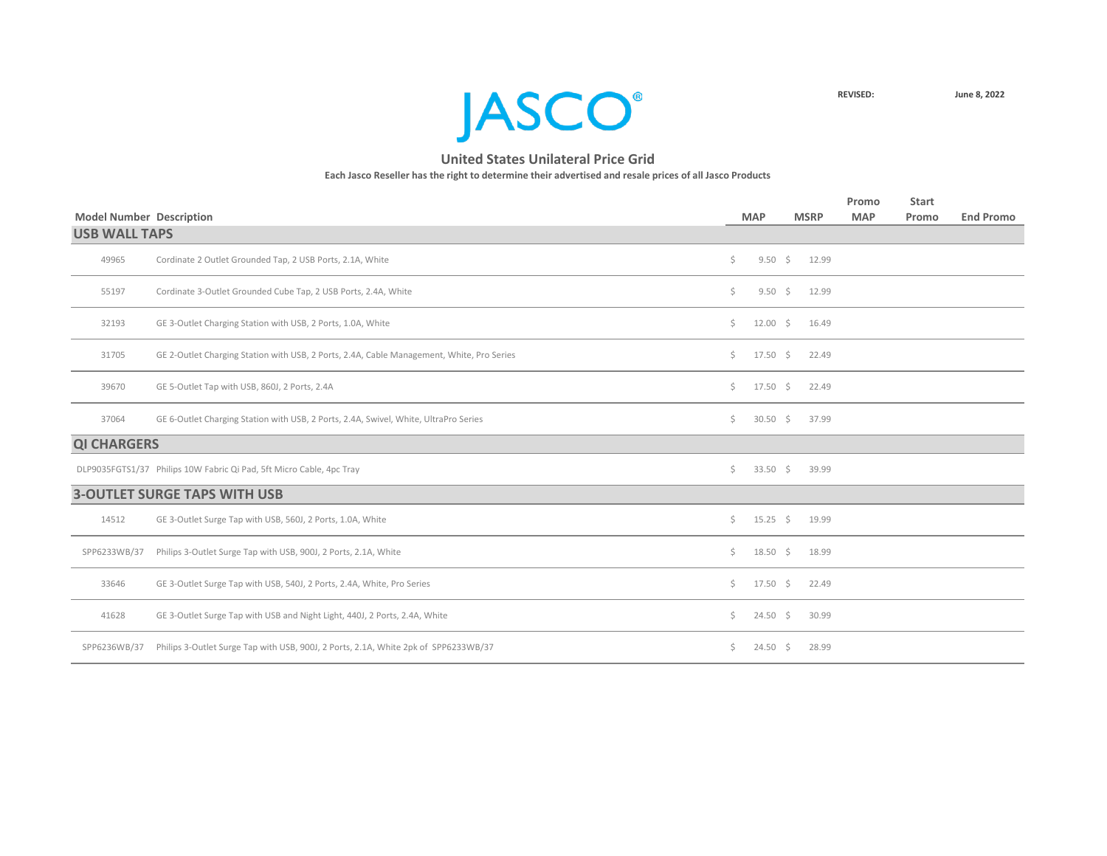**JASCO**<sup>®</sup>

| <b>Model Number Description</b> |                                                                                           |    | <b>MAP</b>   | <b>MSRP</b> | Promo<br><b>MAP</b> | <b>Start</b><br>Promo | <b>End Promo</b> |
|---------------------------------|-------------------------------------------------------------------------------------------|----|--------------|-------------|---------------------|-----------------------|------------------|
| <b>USB WALL TAPS</b>            |                                                                                           |    |              |             |                     |                       |                  |
| 49965                           | Cordinate 2 Outlet Grounded Tap, 2 USB Ports, 2.1A, White                                 | Ŝ. | $9.50 \div$  | 12.99       |                     |                       |                  |
| 55197                           | Cordinate 3-Outlet Grounded Cube Tap, 2 USB Ports, 2.4A, White                            | \$ | $9.50 \div$  | 12.99       |                     |                       |                  |
| 32193                           | GE 3-Outlet Charging Station with USB, 2 Ports, 1.0A, White                               | Ś. | $12.00 \div$ | 16.49       |                     |                       |                  |
| 31705                           | GE 2-Outlet Charging Station with USB, 2 Ports, 2.4A, Cable Management, White, Pro Series | Ś. | $17.50 \div$ | 22.49       |                     |                       |                  |
| 39670                           | GE 5-Outlet Tap with USB, 860J, 2 Ports, 2.4A                                             | \$ | $17.50 \div$ | 22.49       |                     |                       |                  |
| 37064                           | GE 6-Outlet Charging Station with USB, 2 Ports, 2.4A, Swivel, White, UltraPro Series      | \$ | $30.50$ \$   | 37.99       |                     |                       |                  |
| <b>QI CHARGERS</b>              |                                                                                           |    |              |             |                     |                       |                  |
|                                 | DLP9035FGTS1/37 Philips 10W Fabric Qi Pad, 5ft Micro Cable, 4pc Tray                      | Ŝ. | $33.50$ \$   | 39.99       |                     |                       |                  |
|                                 | <b>3-OUTLET SURGE TAPS WITH USB</b>                                                       |    |              |             |                     |                       |                  |
| 14512                           | GE 3-Outlet Surge Tap with USB, 560J, 2 Ports, 1.0A, White                                | Ś. | $15.25 \div$ | 19.99       |                     |                       |                  |
| SPP6233WB/37                    | Philips 3-Outlet Surge Tap with USB, 900J, 2 Ports, 2.1A, White                           | Ś. | $18.50 \div$ | 18.99       |                     |                       |                  |
| 33646                           | GE 3-Outlet Surge Tap with USB, 540J, 2 Ports, 2.4A, White, Pro Series                    | Ś. | $17.50 \div$ | 22.49       |                     |                       |                  |
| 41628                           | GE 3-Outlet Surge Tap with USB and Night Light, 440J, 2 Ports, 2.4A, White                | S. | $24.50 \div$ | 30.99       |                     |                       |                  |
| SPP6236WB/37                    | Philips 3-Outlet Surge Tap with USB, 900J, 2 Ports, 2.1A, White 2pk of SPP6233WB/37       | Ś. | $24.50 \div$ | 28.99       |                     |                       |                  |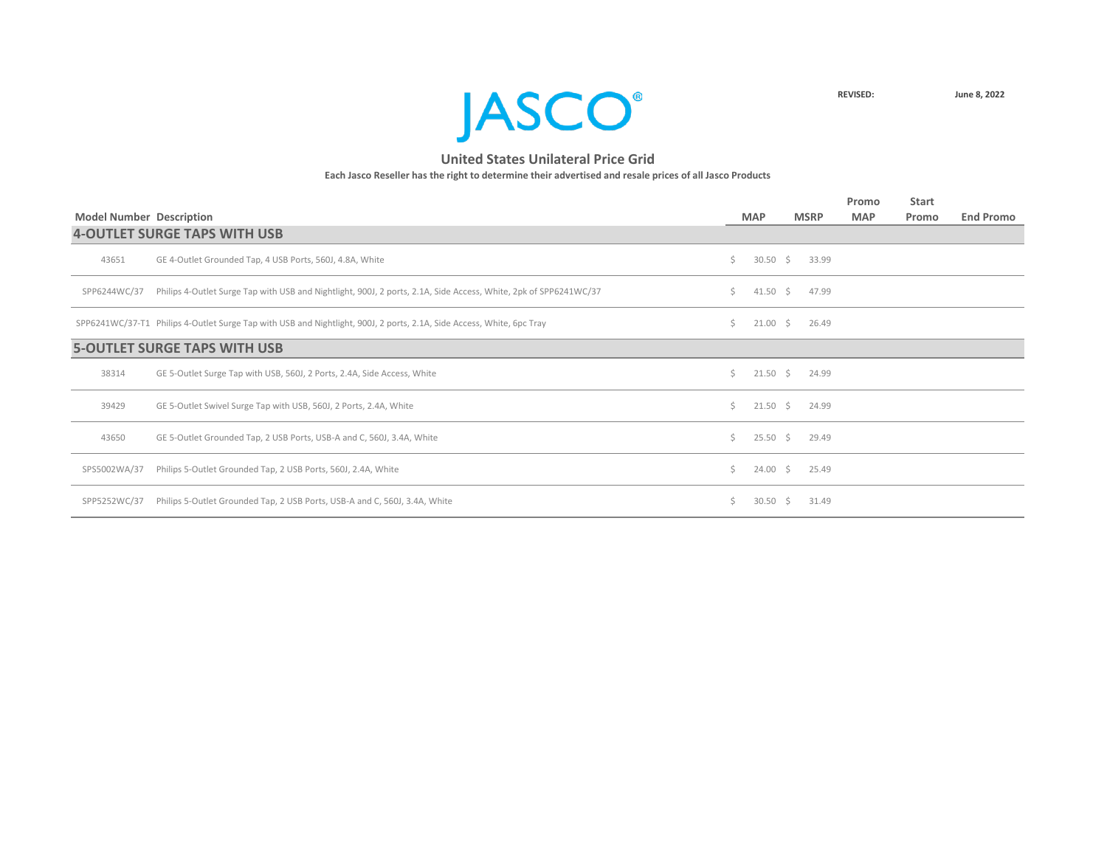

|                                 |                                                                                                                       |              |                    |                    | Promo      | <b>Start</b> |                  |
|---------------------------------|-----------------------------------------------------------------------------------------------------------------------|--------------|--------------------|--------------------|------------|--------------|------------------|
| <b>Model Number Description</b> |                                                                                                                       |              | <b>MAP</b>         | <b>MSRP</b>        | <b>MAP</b> | Promo        | <b>End Promo</b> |
|                                 | <b>4-OUTLET SURGE TAPS WITH USB</b>                                                                                   |              |                    |                    |            |              |                  |
| 43651                           | GE 4-Outlet Grounded Tap, 4 USB Ports, 560J, 4.8A, White                                                              | Ś.           | $30.50$ \$         | 33.99              |            |              |                  |
| SPP6244WC/37                    | Philips 4-Outlet Surge Tap with USB and Nightlight, 900J, 2 ports, 2.1A, Side Access, White, 2pk of SPP6241WC/37      | S.           | $41.50 \div$       | 47.99              |            |              |                  |
|                                 | SPP6241WC/37-T1 Philips 4-Outlet Surge Tap with USB and Nightlight, 900J, 2 ports, 2.1A, Side Access, White, 6pc Tray | Ś.           | $21.00 \div$       | 26.49              |            |              |                  |
|                                 | <b>5-OUTLET SURGE TAPS WITH USB</b>                                                                                   |              |                    |                    |            |              |                  |
| 38314                           | GE 5-Outlet Surge Tap with USB, 560J, 2 Ports, 2.4A, Side Access, White                                               | $\mathsf{S}$ |                    | $21.50 \div 24.99$ |            |              |                  |
| 39429                           | GE 5-Outlet Swivel Surge Tap with USB, 560J, 2 Ports, 2.4A, White                                                     | Ś.           | $21.50 \div$       | 24.99              |            |              |                  |
| 43650                           | GE 5-Outlet Grounded Tap, 2 USB Ports, USB-A and C, 560J, 3.4A, White                                                 | Ś.           | $25.50$ \$         | 29.49              |            |              |                  |
| SPS5002WA/37                    | Philips 5-Outlet Grounded Tap, 2 USB Ports, 560J, 2.4A, White                                                         | Ś.           | $24.00\frac{1}{5}$ | 25.49              |            |              |                  |
| SPP5252WC/37                    | Philips 5-Outlet Grounded Tap, 2 USB Ports, USB-A and C, 560J, 3.4A, White                                            | S.           | $30.50 \quad $$    | 31.49              |            |              |                  |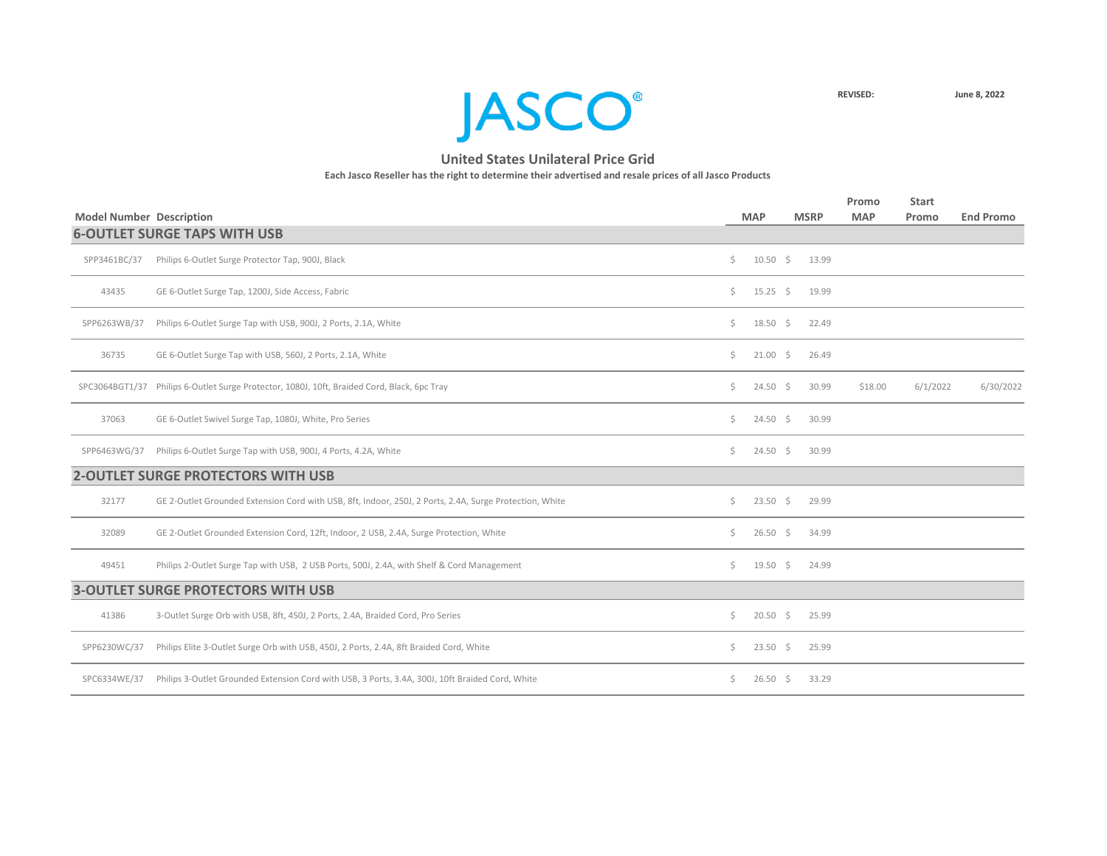

|                                 |                                                                                                         |    |                  |             | Promo      | <b>Start</b> |                  |
|---------------------------------|---------------------------------------------------------------------------------------------------------|----|------------------|-------------|------------|--------------|------------------|
| <b>Model Number Description</b> |                                                                                                         |    | <b>MAP</b>       | <b>MSRP</b> | <b>MAP</b> | Promo        | <b>End Promo</b> |
|                                 | <b>6-OUTLET SURGE TAPS WITH USB</b>                                                                     |    |                  |             |            |              |                  |
| SPP3461BC/37                    | Philips 6-Outlet Surge Protector Tap, 900J, Black                                                       | Ś. | $10.50 \div$     | 13.99       |            |              |                  |
| 43435                           | GE 6-Outlet Surge Tap, 1200J, Side Access, Fabric                                                       | \$ | $15.25 \div$     | 19.99       |            |              |                  |
| SPP6263WB/37                    | Philips 6-Outlet Surge Tap with USB, 900J, 2 Ports, 2.1A, White                                         | \$ | $18.50 \div$     | 22.49       |            |              |                  |
| 36735                           | GE 6-Outlet Surge Tap with USB, 560J, 2 Ports, 2.1A, White                                              | Ŝ. | $21.00 \div$     | 26.49       |            |              |                  |
|                                 | SPC3064BGT1/37 Philips 6-Outlet Surge Protector, 1080J, 10ft, Braided Cord, Black, 6pc Tray             | Ś. | $24.50 \div$     | 30.99       | \$18.00    | 6/1/2022     | 6/30/2022        |
| 37063                           | GE 6-Outlet Swivel Surge Tap, 1080J, White, Pro Series                                                  | \$ | $24.50 \div$     | 30.99       |            |              |                  |
| SPP6463WG/37                    | Philips 6-Outlet Surge Tap with USB, 900J, 4 Ports, 4.2A, White                                         | Ś. | $24.50 \div$     | 30.99       |            |              |                  |
|                                 | <b>2-OUTLET SURGE PROTECTORS WITH USB</b>                                                               |    |                  |             |            |              |                  |
| 32177                           | GE 2-Outlet Grounded Extension Cord with USB, 8ft, Indoor, 250J, 2 Ports, 2.4A, Surge Protection, White | \$ | $23.50$ \$       | 29.99       |            |              |                  |
| 32089                           | GE 2-Outlet Grounded Extension Cord, 12ft, Indoor, 2 USB, 2.4A, Surge Protection, White                 | S. | $26.50 \div$     | 34.99       |            |              |                  |
| 49451                           | Philips 2-Outlet Surge Tap with USB, 2 USB Ports, 500J, 2.4A, with Shelf & Cord Management              | Ś. | $19.50 \quad$ \$ | 24.99       |            |              |                  |
|                                 | <b>3-OUTLET SURGE PROTECTORS WITH USB</b>                                                               |    |                  |             |            |              |                  |
| 41386                           | 3-Outlet Surge Orb with USB, 8ft, 450J, 2 Ports, 2.4A, Braided Cord, Pro Series                         | Ŝ. | $20.50$ \$       | 25.99       |            |              |                  |
| SPP6230WC/37                    | Philips Elite 3-Outlet Surge Orb with USB, 450J, 2 Ports, 2.4A, 8ft Braided Cord, White                 | \$ | $23.50$ \$       | 25.99       |            |              |                  |
| SPC6334WE/37                    | Philips 3-Outlet Grounded Extension Cord with USB, 3 Ports, 3.4A, 300J, 10ft Braided Cord, White        | \$ | $26.50 \div$     | 33.29       |            |              |                  |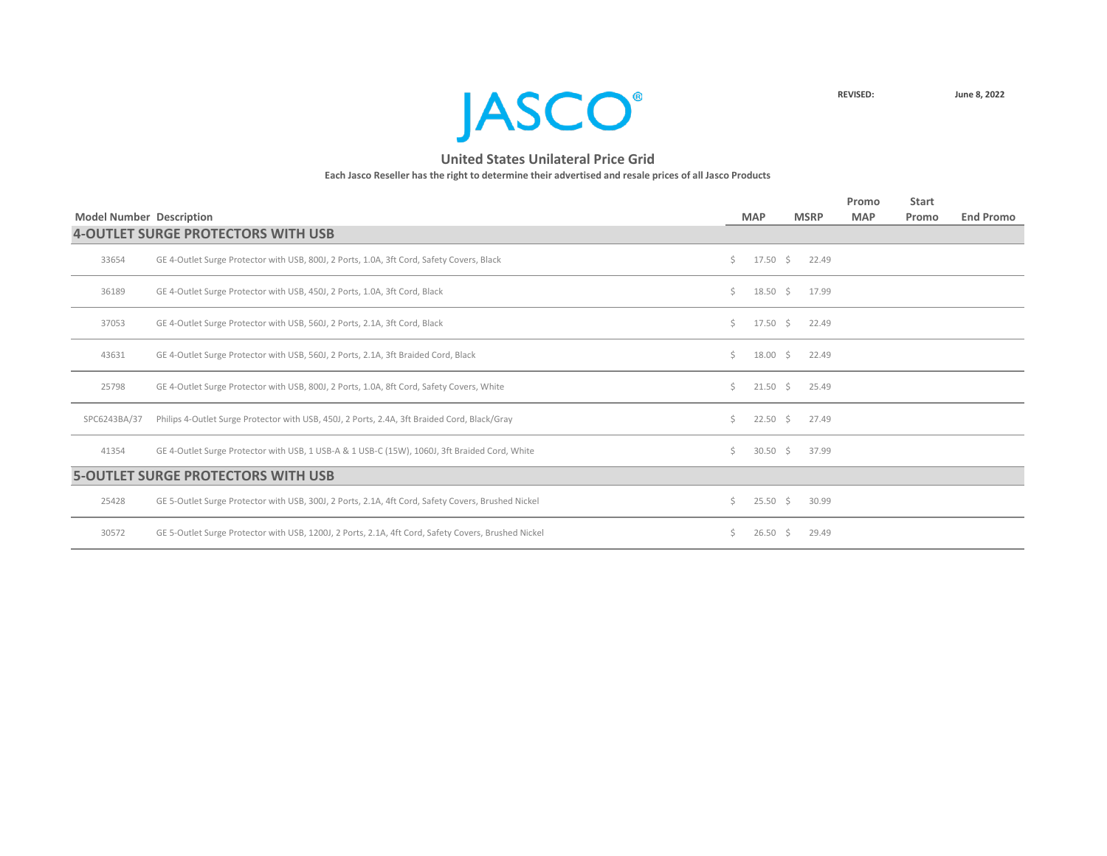

|                                 |                                                                                                     |              |                    |    |             | Promo      | <b>Start</b> |                  |
|---------------------------------|-----------------------------------------------------------------------------------------------------|--------------|--------------------|----|-------------|------------|--------------|------------------|
| <b>Model Number Description</b> |                                                                                                     |              | <b>MAP</b>         |    | <b>MSRP</b> | <b>MAP</b> | Promo        | <b>End Promo</b> |
|                                 | <b>4-OUTLET SURGE PROTECTORS WITH USB</b>                                                           |              |                    |    |             |            |              |                  |
| 33654                           | GE 4-Outlet Surge Protector with USB, 800J, 2 Ports, 1.0A, 3ft Cord, Safety Covers, Black           | Ś.           | $17.50 \div$       |    | 22.49       |            |              |                  |
| 36189                           | GE 4-Outlet Surge Protector with USB, 450J, 2 Ports, 1.0A, 3ft Cord, Black                          | Ś.           | $18.50 \quad $$    |    | 17.99       |            |              |                  |
| 37053                           | GE 4-Outlet Surge Protector with USB, 560J, 2 Ports, 2.1A, 3ft Cord, Black                          | Ś.           | 17.50              | S. | 22.49       |            |              |                  |
| 43631                           | GE 4-Outlet Surge Protector with USB, 560J, 2 Ports, 2.1A, 3ft Braided Cord, Black                  | Ś.           | $18.00 \pm 5$      |    | 22.49       |            |              |                  |
| 25798                           | GE 4-Outlet Surge Protector with USB, 800J, 2 Ports, 1.0A, 8ft Cord, Safety Covers, White           | Ś.           | $21.50 \pm 5$      |    | 25.49       |            |              |                  |
| SPC6243BA/37                    | Philips 4-Outlet Surge Protector with USB, 450J, 2 Ports, 2.4A, 3ft Braided Cord, Black/Gray        | Ś.           | $22.50\frac{1}{2}$ |    | 27.49       |            |              |                  |
| 41354                           | GE 4-Outlet Surge Protector with USB, 1 USB-A & 1 USB-C (15W), 1060J, 3ft Braided Cord, White       | Ś.           | 30.50              | S. | 37.99       |            |              |                  |
|                                 | <b>5-OUTLET SURGE PROTECTORS WITH USB</b>                                                           |              |                    |    |             |            |              |                  |
| 25428                           | GE 5-Outlet Surge Protector with USB, 300J, 2 Ports, 2.1A, 4ft Cord, Safety Covers, Brushed Nickel  | $\mathsf{S}$ | $25.50\frac{1}{5}$ |    | 30.99       |            |              |                  |
| 30572                           | GE 5-Outlet Surge Protector with USB, 1200J, 2 Ports, 2.1A, 4ft Cord, Safety Covers, Brushed Nickel | S.           | 26.50              | S. | 29.49       |            |              |                  |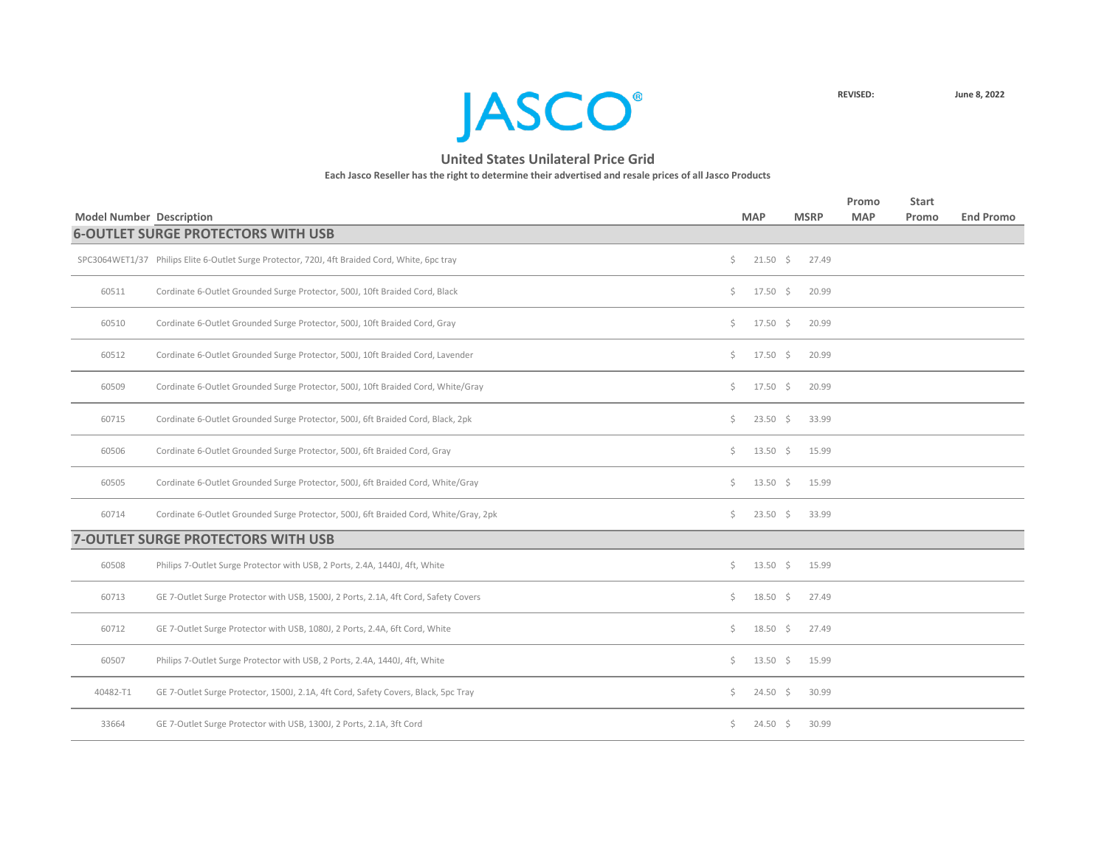

| <b>Model Number Description</b> |                                                                                                |    | <b>MAP</b>         | <b>MSRP</b> | Promo<br><b>MAP</b> | <b>Start</b><br>Promo | <b>End Promo</b> |
|---------------------------------|------------------------------------------------------------------------------------------------|----|--------------------|-------------|---------------------|-----------------------|------------------|
|                                 | <b>6-OUTLET SURGE PROTECTORS WITH USB</b>                                                      |    |                    |             |                     |                       |                  |
|                                 | SPC3064WET1/37 Philips Elite 6-Outlet Surge Protector, 720J, 4ft Braided Cord, White, 6pc tray | Ś. | $21.50 \div$       | 27.49       |                     |                       |                  |
| 60511                           | Cordinate 6-Outlet Grounded Surge Protector, 500J, 10ft Braided Cord, Black                    | \$ | $17.50 \pm 5$      | 20.99       |                     |                       |                  |
| 60510                           | Cordinate 6-Outlet Grounded Surge Protector, 500J, 10ft Braided Cord, Gray                     | \$ | $17.50 \div$       | 20.99       |                     |                       |                  |
| 60512                           | Cordinate 6-Outlet Grounded Surge Protector, 500J, 10ft Braided Cord, Lavender                 | \$ | $17.50 \div$       | 20.99       |                     |                       |                  |
| 60509                           | Cordinate 6-Outlet Grounded Surge Protector, 500J, 10ft Braided Cord, White/Gray               | \$ | $17.50 \pm 5$      | 20.99       |                     |                       |                  |
| 60715                           | Cordinate 6-Outlet Grounded Surge Protector, 500J, 6ft Braided Cord, Black, 2pk                | \$ | $23.50 \div$       | 33.99       |                     |                       |                  |
| 60506                           | Cordinate 6-Outlet Grounded Surge Protector, 500J, 6ft Braided Cord, Gray                      | \$ | $13.50 \div$       | 15.99       |                     |                       |                  |
| 60505                           | Cordinate 6-Outlet Grounded Surge Protector, 500J, 6ft Braided Cord, White/Gray                | \$ | $13.50 \pm 5$      | 15.99       |                     |                       |                  |
| 60714                           | Cordinate 6-Outlet Grounded Surge Protector, 500J, 6ft Braided Cord, White/Gray, 2pk           | \$ | $23.50$ \$         | 33.99       |                     |                       |                  |
|                                 | <b>7-OUTLET SURGE PROTECTORS WITH USB</b>                                                      |    |                    |             |                     |                       |                  |
| 60508                           | Philips 7-Outlet Surge Protector with USB, 2 Ports, 2.4A, 1440J, 4ft, White                    | \$ | $13.50 \div$       | 15.99       |                     |                       |                  |
| 60713                           | GE 7-Outlet Surge Protector with USB, 1500J, 2 Ports, 2.1A, 4ft Cord, Safety Covers            | Ś. | $18.50\frac{1}{5}$ | 27.49       |                     |                       |                  |
| 60712                           | GE 7-Outlet Surge Protector with USB, 1080J, 2 Ports, 2.4A, 6ft Cord, White                    | \$ | $18.50 \pm 5$      | 27.49       |                     |                       |                  |
| 60507                           | Philips 7-Outlet Surge Protector with USB, 2 Ports, 2.4A, 1440J, 4ft, White                    | \$ | $13.50 \pm 5$      | 15.99       |                     |                       |                  |
| 40482-T1                        | GE 7-Outlet Surge Protector, 1500J, 2.1A, 4ft Cord, Safety Covers, Black, 5pc Tray             | \$ | $24.50 \div$       | 30.99       |                     |                       |                  |
| 33664                           | GE 7-Outlet Surge Protector with USB, 1300J, 2 Ports, 2.1A, 3ft Cord                           | Ś. | $24.50 \pm 5$      | 30.99       |                     |                       |                  |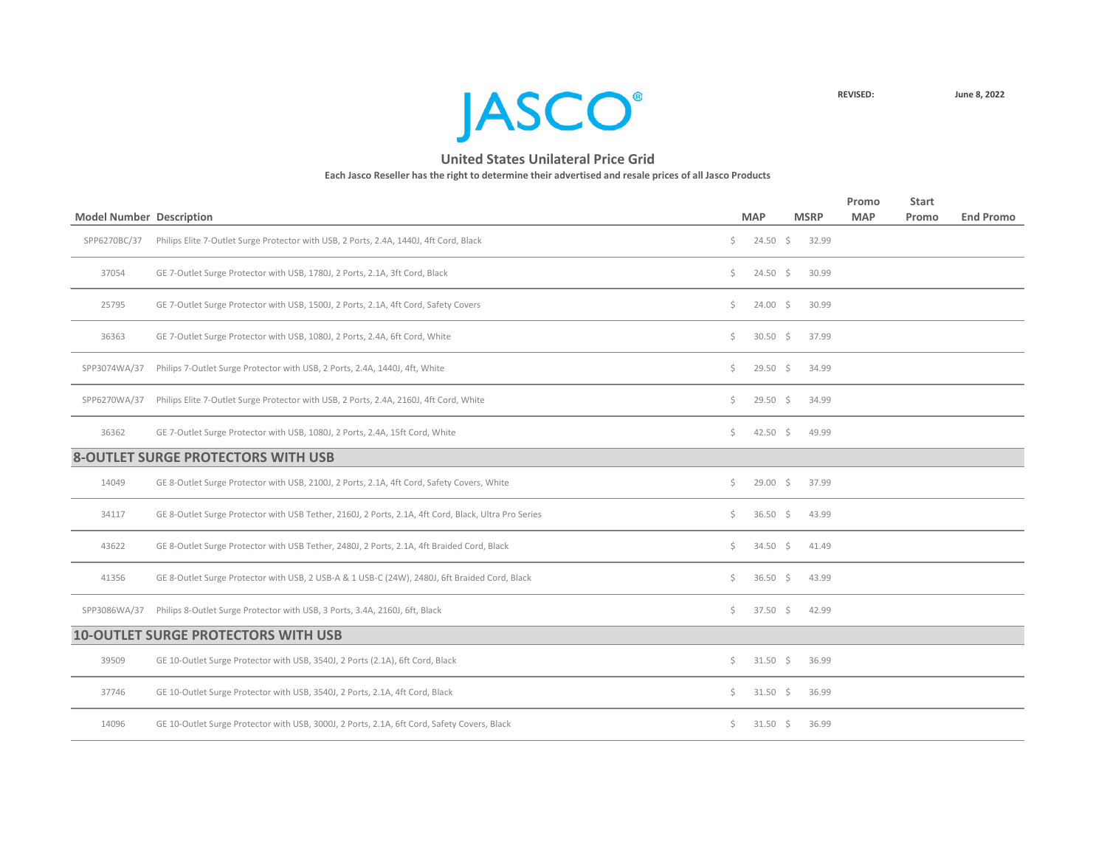

|                                 |                                                                                                      |     |                 |             | Promo      | <b>Start</b> |                  |
|---------------------------------|------------------------------------------------------------------------------------------------------|-----|-----------------|-------------|------------|--------------|------------------|
| <b>Model Number Description</b> |                                                                                                      |     | <b>MAP</b>      | <b>MSRP</b> | <b>MAP</b> | Promo        | <b>End Promo</b> |
| SPP6270BC/37                    | Philips Elite 7-Outlet Surge Protector with USB, 2 Ports, 2.4A, 1440J, 4ft Cord, Black               | \$  | $24.50 \div$    | 32.99       |            |              |                  |
| 37054                           | GE 7-Outlet Surge Protector with USB, 1780J, 2 Ports, 2.1A, 3ft Cord, Black                          | \$. | $24.50 \pm 5$   | 30.99       |            |              |                  |
| 25795                           | GE 7-Outlet Surge Protector with USB, 1500J, 2 Ports, 2.1A, 4ft Cord, Safety Covers                  | Ś.  | $24.00 \pm 5$   | 30.99       |            |              |                  |
| 36363                           | GE 7-Outlet Surge Protector with USB, 1080J, 2 Ports, 2.4A, 6ft Cord, White                          | \$. | $30.50 \quad $$ | 37.99       |            |              |                  |
| SPP3074WA/37                    | Philips 7-Outlet Surge Protector with USB, 2 Ports, 2.4A, 1440J, 4ft, White                          | \$. | $29.50$ \$      | 34.99       |            |              |                  |
| SPP6270WA/37                    | Philips Elite 7-Outlet Surge Protector with USB, 2 Ports, 2.4A, 2160J, 4ft Cord, White               | \$. | $29.50 \quad $$ | 34.99       |            |              |                  |
| 36362                           | GE 7-Outlet Surge Protector with USB, 1080J, 2 Ports, 2.4A, 15ft Cord, White                         | \$  | $42.50$ \$      | 49.99       |            |              |                  |
|                                 | <b>8-OUTLET SURGE PROTECTORS WITH USB</b>                                                            |     |                 |             |            |              |                  |
| 14049                           | GE 8-Outlet Surge Protector with USB, 2100J, 2 Ports, 2.1A, 4ft Cord, Safety Covers, White           | \$. | $29.00 \div$    | 37.99       |            |              |                  |
| 34117                           | GE 8-Outlet Surge Protector with USB Tether, 2160J, 2 Ports, 2.1A, 4ft Cord, Black, Ultra Pro Series | Ś.  | $36.50$ \$      | 43.99       |            |              |                  |
| 43622                           | GE 8-Outlet Surge Protector with USB Tether, 2480J, 2 Ports, 2.1A, 4ft Braided Cord, Black           | \$. | $34.50 \pm 5$   | 41.49       |            |              |                  |
| 41356                           | GE 8-Outlet Surge Protector with USB, 2 USB-A & 1 USB-C (24W), 2480J, 6ft Braided Cord, Black        | Ś.  | $36.50$ \$      | 43.99       |            |              |                  |
| SPP3086WA/37                    | Philips 8-Outlet Surge Protector with USB, 3 Ports, 3.4A, 2160J, 6ft, Black                          | \$. | $37.50 \pm 5$   | 42.99       |            |              |                  |
|                                 | <b>10-OUTLET SURGE PROTECTORS WITH USB</b>                                                           |     |                 |             |            |              |                  |
| 39509                           | GE 10-Outlet Surge Protector with USB, 3540J, 2 Ports (2.1A), 6ft Cord, Black                        | \$  | $31.50$ \$      | 36.99       |            |              |                  |
| 37746                           | GE 10-Outlet Surge Protector with USB, 3540J, 2 Ports, 2.1A, 4ft Cord, Black                         | \$. | $31.50 \pm 5$   | 36.99       |            |              |                  |
| 14096                           | GE 10-Outlet Surge Protector with USB, 3000J, 2 Ports, 2.1A, 6ft Cord, Safety Covers, Black          | Ś.  | $31.50 \div$    | 36.99       |            |              |                  |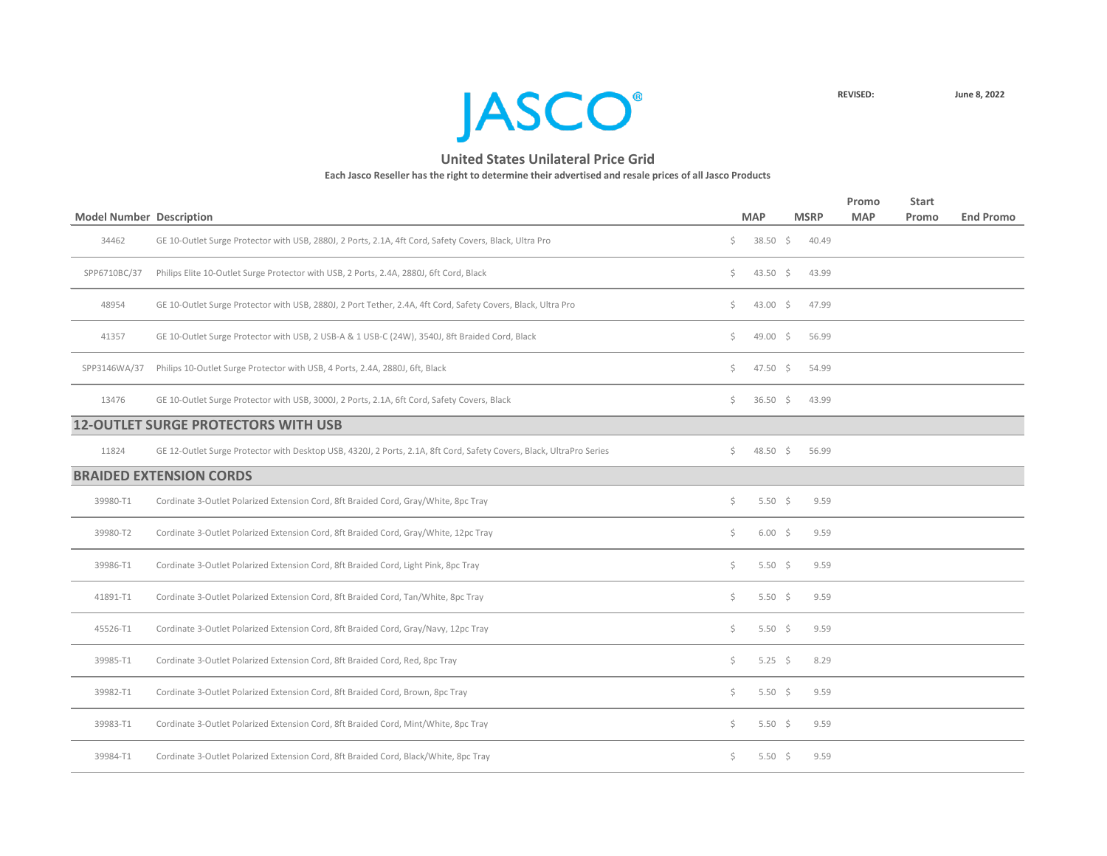

|                                 |                                                                                                                      |     |                    |             | Promo      | <b>Start</b> |                  |
|---------------------------------|----------------------------------------------------------------------------------------------------------------------|-----|--------------------|-------------|------------|--------------|------------------|
| <b>Model Number Description</b> |                                                                                                                      |     | <b>MAP</b>         | <b>MSRP</b> | <b>MAP</b> | Promo        | <b>End Promo</b> |
| 34462                           | GE 10-Outlet Surge Protector with USB, 2880J, 2 Ports, 2.1A, 4ft Cord, Safety Covers, Black, Ultra Pro               | \$. | $38.50$ \$         | 40.49       |            |              |                  |
| SPP6710BC/37                    | Philips Elite 10-Outlet Surge Protector with USB, 2 Ports, 2.4A, 2880J, 6ft Cord, Black                              | \$. | 43.50 \$           | 43.99       |            |              |                  |
| 48954                           | GE 10-Outlet Surge Protector with USB, 2880J, 2 Port Tether, 2.4A, 4ft Cord, Safety Covers, Black, Ultra Pro         | \$. | 43.00 \$           | 47.99       |            |              |                  |
| 41357                           | GE 10-Outlet Surge Protector with USB, 2 USB-A & 1 USB-C (24W), 3540J, 8ft Braided Cord, Black                       | \$. | $49.00 \div$       | 56.99       |            |              |                  |
| SPP3146WA/37                    | Philips 10-Outlet Surge Protector with USB, 4 Ports, 2.4A, 2880J, 6ft, Black                                         | \$. | 47.50 \$           | 54.99       |            |              |                  |
| 13476                           | GE 10-Outlet Surge Protector with USB, 3000J, 2 Ports, 2.1A, 6ft Cord, Safety Covers, Black                          | \$. | 36.50 \$           | 43.99       |            |              |                  |
|                                 | <b>12-OUTLET SURGE PROTECTORS WITH USB</b>                                                                           |     |                    |             |            |              |                  |
| 11824                           | GE 12-Outlet Surge Protector with Desktop USB, 4320J, 2 Ports, 2.1A, 8ft Cord, Safety Covers, Black, UltraPro Series | S.  | 48.50 \$           | 56.99       |            |              |                  |
|                                 | <b>BRAIDED EXTENSION CORDS</b>                                                                                       |     |                    |             |            |              |                  |
| 39980-T1                        | Cordinate 3-Outlet Polarized Extension Cord, 8ft Braided Cord, Gray/White, 8pc Tray                                  | \$. | 5.50 \$            | 9.59        |            |              |                  |
| 39980-T2                        | Cordinate 3-Outlet Polarized Extension Cord, 8ft Braided Cord, Gray/White, 12pc Tray                                 | Ś.  | $6.00\frac{1}{5}$  | 9.59        |            |              |                  |
| 39986-T1                        | Cordinate 3-Outlet Polarized Extension Cord, 8ft Braided Cord, Light Pink, 8pc Tray                                  | \$. | 5.50 \$            | 9.59        |            |              |                  |
| 41891-T1                        | Cordinate 3-Outlet Polarized Extension Cord, 8ft Braided Cord, Tan/White, 8pc Tray                                   | \$. | 5.50 \$            | 9.59        |            |              |                  |
| 45526-T1                        | Cordinate 3-Outlet Polarized Extension Cord, 8ft Braided Cord, Gray/Navy, 12pc Tray                                  | \$  | 5.50 $\frac{2}{3}$ | 9.59        |            |              |                  |
| 39985-T1                        | Cordinate 3-Outlet Polarized Extension Cord, 8ft Braided Cord, Red, 8pc Tray                                         | \$. | 5.25 \$            | 8.29        |            |              |                  |
| 39982-T1                        | Cordinate 3-Outlet Polarized Extension Cord, 8ft Braided Cord, Brown, 8pc Tray                                       | \$. | 5.50 \$            | 9.59        |            |              |                  |
| 39983-T1                        | Cordinate 3-Outlet Polarized Extension Cord, 8ft Braided Cord, Mint/White, 8pc Tray                                  | \$. | 5.50 \$            | 9.59        |            |              |                  |
| 39984-T1                        | Cordinate 3-Outlet Polarized Extension Cord, 8ft Braided Cord, Black/White, 8pc Tray                                 | Ş.  | 5.50 \$            | 9.59        |            |              |                  |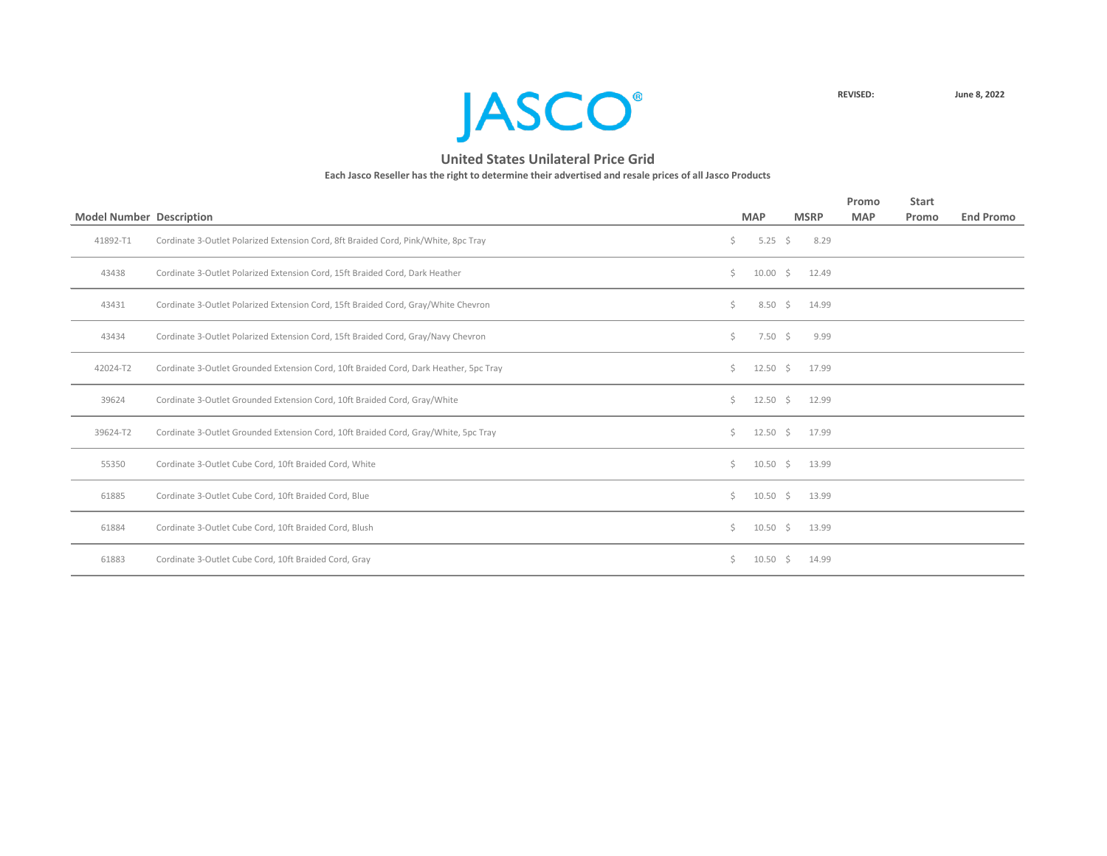

|                                 |                                                                                       |     |              |                   | Promo      | <b>Start</b> |                  |
|---------------------------------|---------------------------------------------------------------------------------------|-----|--------------|-------------------|------------|--------------|------------------|
| <b>Model Number Description</b> |                                                                                       |     | <b>MAP</b>   | <b>MSRP</b>       | <b>MAP</b> | Promo        | <b>End Promo</b> |
| 41892-T1                        | Cordinate 3-Outlet Polarized Extension Cord, 8ft Braided Cord, Pink/White, 8pc Tray   | \$. | 5.25 \$      | 8.29              |            |              |                  |
| 43438                           | Cordinate 3-Outlet Polarized Extension Cord, 15ft Braided Cord, Dark Heather          | Ś.  | $10.00 \div$ | 12.49             |            |              |                  |
| 43431                           | Cordinate 3-Outlet Polarized Extension Cord, 15ft Braided Cord, Gray/White Chevron    | Ś.  |              | $8.50 \div 14.99$ |            |              |                  |
| 43434                           | Cordinate 3-Outlet Polarized Extension Cord, 15ft Braided Cord, Gray/Navy Chevron     | Ś.  | 7.50 \$      | 9.99              |            |              |                  |
| 42024-T2                        | Cordinate 3-Outlet Grounded Extension Cord, 10ft Braided Cord, Dark Heather, 5pc Tray | Ś.  | $12.50 \div$ | 17.99             |            |              |                  |
| 39624                           | Cordinate 3-Outlet Grounded Extension Cord, 10ft Braided Cord, Gray/White             | Ś.  | $12.50 \div$ | 12.99             |            |              |                  |
| 39624-T2                        | Cordinate 3-Outlet Grounded Extension Cord, 10ft Braided Cord, Gray/White, 5pc Tray   | Ś.  | $12.50 \div$ | 17.99             |            |              |                  |
| 55350                           | Cordinate 3-Outlet Cube Cord, 10ft Braided Cord, White                                | Ś.  | $10.50 \div$ | 13.99             |            |              |                  |
| 61885                           | Cordinate 3-Outlet Cube Cord, 10ft Braided Cord, Blue                                 | Ś.  | $10.50 \div$ | 13.99             |            |              |                  |
| 61884                           | Cordinate 3-Outlet Cube Cord, 10ft Braided Cord, Blush                                | Ś.  | $10.50 \div$ | 13.99             |            |              |                  |
| 61883                           | Cordinate 3-Outlet Cube Cord, 10ft Braided Cord, Gray                                 | Ś.  | $10.50 \div$ | 14.99             |            |              |                  |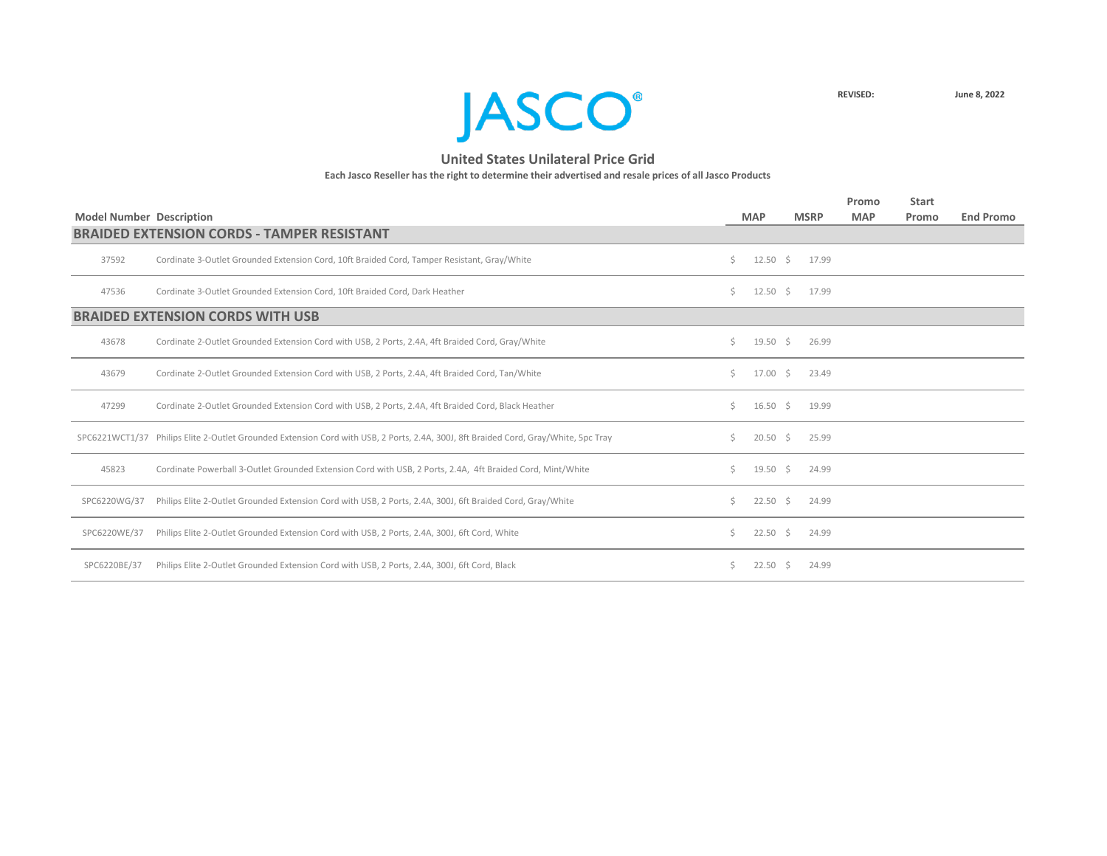

|                                 |                                                                                                                                     |    |                    |             |       | Promo      | <b>Start</b> |                  |
|---------------------------------|-------------------------------------------------------------------------------------------------------------------------------------|----|--------------------|-------------|-------|------------|--------------|------------------|
| <b>Model Number Description</b> |                                                                                                                                     |    | <b>MAP</b>         | <b>MSRP</b> |       | <b>MAP</b> | Promo        | <b>End Promo</b> |
|                                 | <b>BRAIDED EXTENSION CORDS - TAMPER RESISTANT</b>                                                                                   |    |                    |             |       |            |              |                  |
| 37592                           | Cordinate 3-Outlet Grounded Extension Cord, 10ft Braided Cord, Tamper Resistant, Gray/White                                         | Ś. | $12.50 \pm 5$      |             | 17.99 |            |              |                  |
| 47536                           | Cordinate 3-Outlet Grounded Extension Cord, 10ft Braided Cord, Dark Heather                                                         | Ś. | $12.50 \div$       |             | 17.99 |            |              |                  |
|                                 | <b>BRAIDED EXTENSION CORDS WITH USB</b>                                                                                             |    |                    |             |       |            |              |                  |
| 43678                           | Cordinate 2-Outlet Grounded Extension Cord with USB, 2 Ports, 2.4A, 4ft Braided Cord, Gray/White                                    | Ś. | $19.50 \pm 5$      |             | 26.99 |            |              |                  |
| 43679                           | Cordinate 2-Outlet Grounded Extension Cord with USB, 2 Ports, 2.4A, 4ft Braided Cord, Tan/White                                     | Ś. | 17.00              | S.          | 23.49 |            |              |                  |
| 47299                           | Cordinate 2-Outlet Grounded Extension Cord with USB, 2 Ports, 2.4A, 4ft Braided Cord, Black Heather                                 | Ś. | $16.50 \pm 5$      |             | 19.99 |            |              |                  |
|                                 | SPC6221WCT1/37 Philips Elite 2-Outlet Grounded Extension Cord with USB, 2 Ports, 2.4A, 300J, 8ft Braided Cord, Gray/White, 5pc Tray | S. | $20.50\frac{1}{5}$ |             | 25.99 |            |              |                  |
| 45823                           | Cordinate Powerball 3-Outlet Grounded Extension Cord with USB, 2 Ports, 2.4A, 4ft Braided Cord, Mint/White                          | Ś. | $19.50 \pm 5$      |             | 24.99 |            |              |                  |
| SPC6220WG/37                    | Philips Elite 2-Outlet Grounded Extension Cord with USB, 2 Ports, 2.4A, 300J, 6ft Braided Cord, Gray/White                          | S. | $22.50$ \$         |             | 24.99 |            |              |                  |
| SPC6220WE/37                    | Philips Elite 2-Outlet Grounded Extension Cord with USB, 2 Ports, 2.4A, 300J, 6ft Cord, White                                       | Ś. | 22.50              | S.          | 24.99 |            |              |                  |
| SPC6220BE/37                    | Philips Elite 2-Outlet Grounded Extension Cord with USB, 2 Ports, 2.4A, 300J, 6ft Cord, Black                                       |    | 22.50              | S.          | 24.99 |            |              |                  |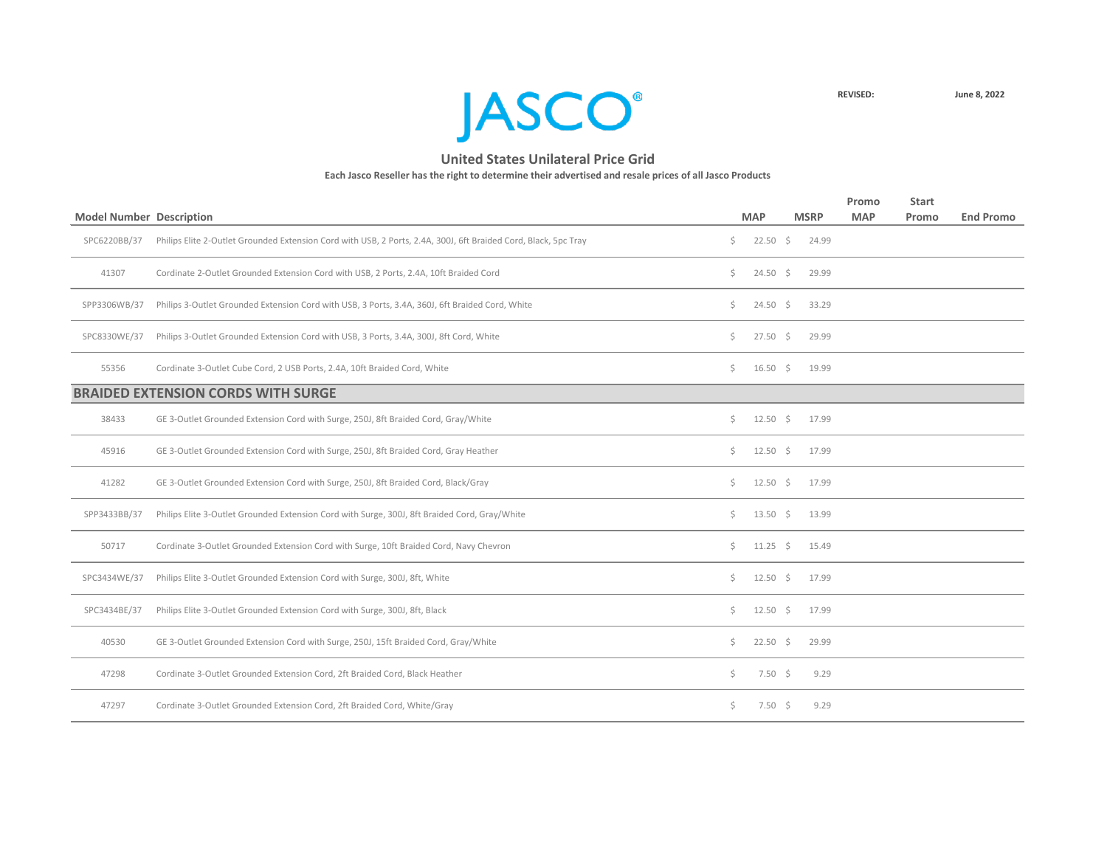

|                                 |                                                                                                                 |     |                    |             | Promo      | <b>Start</b> |                  |
|---------------------------------|-----------------------------------------------------------------------------------------------------------------|-----|--------------------|-------------|------------|--------------|------------------|
| <b>Model Number Description</b> |                                                                                                                 |     | <b>MAP</b>         | <b>MSRP</b> | <b>MAP</b> | Promo        | <b>End Promo</b> |
| SPC6220BB/37                    | Philips Elite 2-Outlet Grounded Extension Cord with USB, 2 Ports, 2.4A, 300J, 6ft Braided Cord, Black, 5pc Tray | \$. | $22.50 \pm 5$      | 24.99       |            |              |                  |
| 41307                           | Cordinate 2-Outlet Grounded Extension Cord with USB, 2 Ports, 2.4A, 10ft Braided Cord                           | Ś.  | $24.50\frac{1}{5}$ | 29.99       |            |              |                  |
| SPP3306WB/37                    | Philips 3-Outlet Grounded Extension Cord with USB, 3 Ports, 3.4A, 360J, 6ft Braided Cord, White                 | Ś.  | $24.50 \div$       | 33.29       |            |              |                  |
| SPC8330WE/37                    | Philips 3-Outlet Grounded Extension Cord with USB, 3 Ports, 3.4A, 300J, 8ft Cord, White                         | Ś.  | $27.50 \div$       | 29.99       |            |              |                  |
| 55356                           | Cordinate 3-Outlet Cube Cord, 2 USB Ports, 2.4A, 10ft Braided Cord, White                                       | S.  | $16.50 \quad $$    | 19.99       |            |              |                  |
|                                 | <b>BRAIDED EXTENSION CORDS WITH SURGE</b>                                                                       |     |                    |             |            |              |                  |
| 38433                           | GE 3-Outlet Grounded Extension Cord with Surge, 250J, 8ft Braided Cord, Gray/White                              | Ś.  | $12.50 \div$       | 17.99       |            |              |                  |
| 45916                           | GE 3-Outlet Grounded Extension Cord with Surge, 250J, 8ft Braided Cord, Gray Heather                            | Ś.  | $12.50 \pm 5$      | 17.99       |            |              |                  |
| 41282                           | GE 3-Outlet Grounded Extension Cord with Surge, 250J, 8ft Braided Cord, Black/Gray                              | Ś.  | $12.50 \pm 5$      | 17.99       |            |              |                  |
| SPP3433BB/37                    | Philips Elite 3-Outlet Grounded Extension Cord with Surge, 300J, 8ft Braided Cord, Gray/White                   | Ś.  | $13.50 \div$       | 13.99       |            |              |                  |
| 50717                           | Cordinate 3-Outlet Grounded Extension Cord with Surge, 10ft Braided Cord, Navy Chevron                          | \$  | $11.25 \div$       | 15.49       |            |              |                  |
| SPC3434WE/37                    | Philips Elite 3-Outlet Grounded Extension Cord with Surge, 300J, 8ft, White                                     | S.  | $12.50 \div$       | 17.99       |            |              |                  |
| SPC3434BE/37                    | Philips Elite 3-Outlet Grounded Extension Cord with Surge, 300J, 8ft, Black                                     | Ś.  | $12.50 \div$       | 17.99       |            |              |                  |
| 40530                           | GE 3-Outlet Grounded Extension Cord with Surge, 250J, 15ft Braided Cord, Gray/White                             | Ś.  | $22.50 \div$       | 29.99       |            |              |                  |
| 47298                           | Cordinate 3-Outlet Grounded Extension Cord, 2ft Braided Cord, Black Heather                                     | Ś.  | $7.50 \div$        | 9.29        |            |              |                  |
| 47297                           | Cordinate 3-Outlet Grounded Extension Cord, 2ft Braided Cord, White/Gray                                        | Ś.  | $7.50 \pm 5$       | 9.29        |            |              |                  |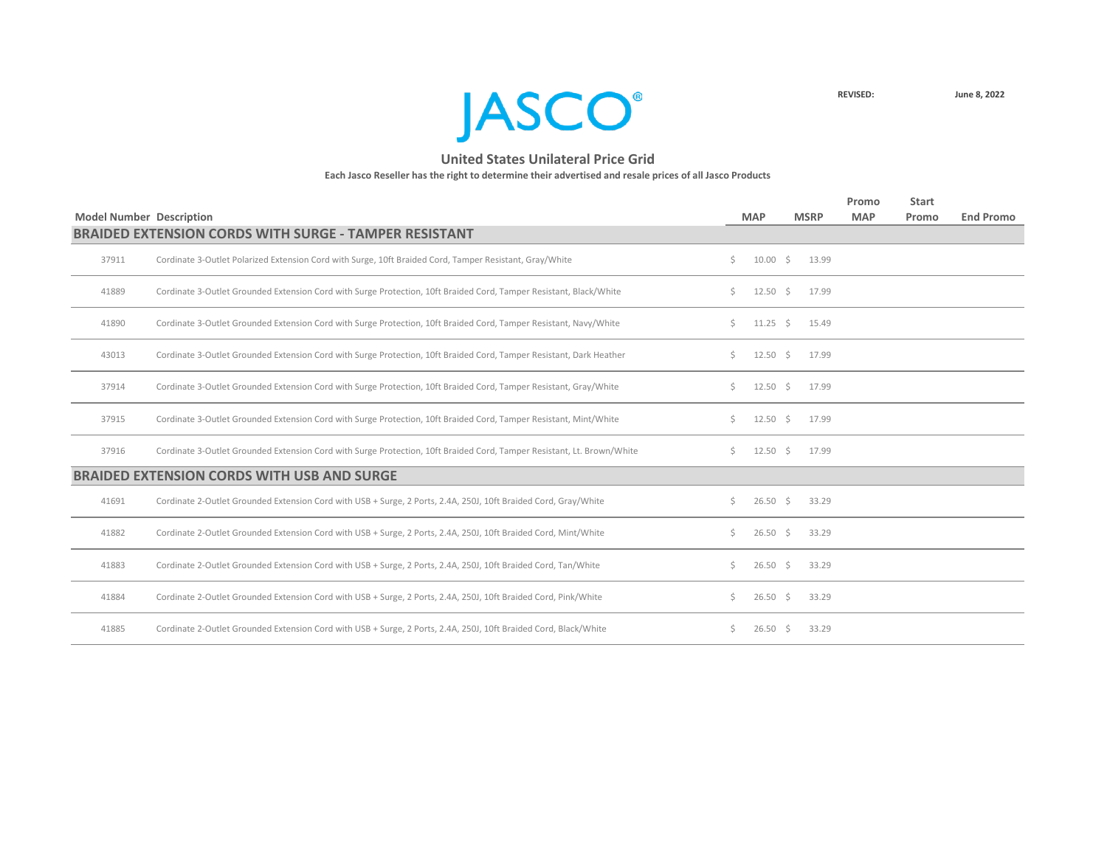

|                                 |                                                                                                                        |    |                    |             |       | Promo      | <b>Start</b> |                  |
|---------------------------------|------------------------------------------------------------------------------------------------------------------------|----|--------------------|-------------|-------|------------|--------------|------------------|
| <b>Model Number Description</b> |                                                                                                                        |    | <b>MAP</b>         | <b>MSRP</b> |       | <b>MAP</b> | Promo        | <b>End Promo</b> |
|                                 | <b>BRAIDED EXTENSION CORDS WITH SURGE - TAMPER RESISTANT</b>                                                           |    |                    |             |       |            |              |                  |
| 37911                           | Cordinate 3-Outlet Polarized Extension Cord with Surge, 10ft Braided Cord, Tamper Resistant, Gray/White                | \$ | $10.00 \div$       |             | 13.99 |            |              |                  |
| 41889                           | Cordinate 3-Outlet Grounded Extension Cord with Surge Protection, 10ft Braided Cord, Tamper Resistant, Black/White     | Ś. | $12.50 \pm 5$      |             | 17.99 |            |              |                  |
| 41890                           | Cordinate 3-Outlet Grounded Extension Cord with Surge Protection, 10ft Braided Cord, Tamper Resistant, Navy/White      | Ś. | $11.25 \quad$ \$   |             | 15.49 |            |              |                  |
| 43013                           | Cordinate 3-Outlet Grounded Extension Cord with Surge Protection, 10ft Braided Cord, Tamper Resistant, Dark Heather    | Ś. | $12.50 \div$       |             | 17.99 |            |              |                  |
| 37914                           | Cordinate 3-Outlet Grounded Extension Cord with Surge Protection, 10ft Braided Cord, Tamper Resistant, Gray/White      | Ś. | $12.50 \quad$ \$   |             | 17.99 |            |              |                  |
| 37915                           | Cordinate 3-Outlet Grounded Extension Cord with Surge Protection, 10ft Braided Cord, Tamper Resistant, Mint/White      | Ś. | $12.50 \div$       |             | 17.99 |            |              |                  |
| 37916                           | Cordinate 3-Outlet Grounded Extension Cord with Surge Protection, 10ft Braided Cord, Tamper Resistant, Lt. Brown/White | Ś. | $12.50 \div$       |             | 17.99 |            |              |                  |
|                                 | <b>BRAIDED EXTENSION CORDS WITH USB AND SURGE</b>                                                                      |    |                    |             |       |            |              |                  |
| 41691                           | Cordinate 2-Outlet Grounded Extension Cord with USB + Surge, 2 Ports, 2.4A, 250J, 10ft Braided Cord, Gray/White        | Ś. | $26.50\frac{1}{5}$ |             | 33.29 |            |              |                  |
| 41882                           | Cordinate 2-Outlet Grounded Extension Cord with USB + Surge, 2 Ports, 2.4A, 250J, 10ft Braided Cord, Mint/White        | S. | $26.50$ \$         |             | 33.29 |            |              |                  |
| 41883                           | Cordinate 2-Outlet Grounded Extension Cord with USB + Surge, 2 Ports, 2.4A, 250J, 10ft Braided Cord, Tan/White         | Ś. | $26.50 \div$       |             | 33.29 |            |              |                  |
| 41884                           | Cordinate 2-Outlet Grounded Extension Cord with USB + Surge, 2 Ports, 2.4A, 250J, 10ft Braided Cord, Pink/White        | S. | $26.50 \div$       |             | 33.29 |            |              |                  |
| 41885                           | Cordinate 2-Outlet Grounded Extension Cord with USB + Surge, 2 Ports, 2.4A, 250J, 10ft Braided Cord, Black/White       | S. | $26.50$ \$         |             | 33.29 |            |              |                  |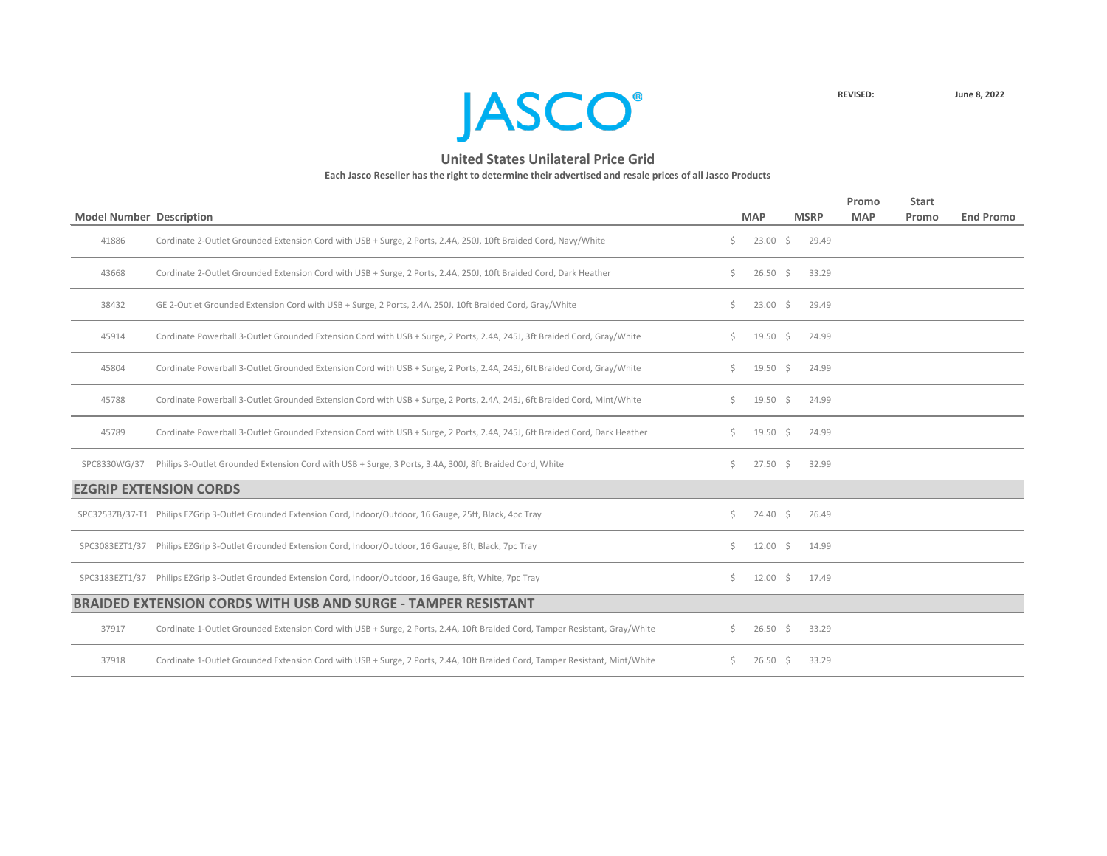

|                                 |                                                                                                                             |    |                  |             | Promo      | <b>Start</b> |                  |
|---------------------------------|-----------------------------------------------------------------------------------------------------------------------------|----|------------------|-------------|------------|--------------|------------------|
| <b>Model Number Description</b> |                                                                                                                             |    | <b>MAP</b>       | <b>MSRP</b> | <b>MAP</b> | Promo        | <b>End Promo</b> |
| 41886                           | Cordinate 2-Outlet Grounded Extension Cord with USB + Surge, 2 Ports, 2.4A, 250J, 10ft Braided Cord, Navy/White             | \$ | $23.00$ \$       | 29.49       |            |              |                  |
| 43668                           | Cordinate 2-Outlet Grounded Extension Cord with USB + Surge, 2 Ports, 2.4A, 250J, 10ft Braided Cord, Dark Heather           | Ś. | $26.50$ \$       | 33.29       |            |              |                  |
| 38432                           | GE 2-Outlet Grounded Extension Cord with USB + Surge, 2 Ports, 2.4A, 250J, 10ft Braided Cord, Gray/White                    | Ś. | $23.00$ \$       | 29.49       |            |              |                  |
| 45914                           | Cordinate Powerball 3-Outlet Grounded Extension Cord with USB + Surge, 2 Ports, 2.4A, 245J, 3ft Braided Cord, Gray/White    | Ś. | $19.50 \div$     | 24.99       |            |              |                  |
| 45804                           | Cordinate Powerball 3-Outlet Grounded Extension Cord with USB + Surge, 2 Ports, 2.4A, 245J, 6ft Braided Cord, Gray/White    | Ś. | $19.50 \div$     | 24.99       |            |              |                  |
| 45788                           | Cordinate Powerball 3-Outlet Grounded Extension Cord with USB + Surge, 2 Ports, 2.4A, 245J, 6ft Braided Cord, Mint/White    | Ś. | $19.50 \div$     | 24.99       |            |              |                  |
| 45789                           | Cordinate Powerball 3-Outlet Grounded Extension Cord with USB + Surge, 2 Ports, 2.4A, 245J, 6ft Braided Cord, Dark Heather  | Ś. | $19.50 \div$     | 24.99       |            |              |                  |
| SPC8330WG/37                    | Philips 3-Outlet Grounded Extension Cord with USB + Surge, 3 Ports, 3.4A, 300J, 8ft Braided Cord, White                     | Ś. | $27.50 \quad $$  | 32.99       |            |              |                  |
|                                 | <b>EZGRIP EXTENSION CORDS</b>                                                                                               |    |                  |             |            |              |                  |
|                                 | SPC3253ZB/37-T1 Philips EZGrip 3-Outlet Grounded Extension Cord, Indoor/Outdoor, 16 Gauge, 25ft, Black, 4pc Tray            | Ś. | $24.40 \pm 5$    | 26.49       |            |              |                  |
| SPC3083EZT1/37                  | Philips EZGrip 3-Outlet Grounded Extension Cord, Indoor/Outdoor, 16 Gauge, 8ft, Black, 7pc Tray                             | \$ | $12.00 \div$     | 14.99       |            |              |                  |
|                                 | SPC3183EZT1/37 Philips EZGrip 3-Outlet Grounded Extension Cord, Indoor/Outdoor, 16 Gauge, 8ft, White, 7pc Tray              | Ś. | $12.00 \div$     | 17.49       |            |              |                  |
|                                 | <b>BRAIDED EXTENSION CORDS WITH USB AND SURGE - TAMPER RESISTANT</b>                                                        |    |                  |             |            |              |                  |
| 37917                           | Cordinate 1-Outlet Grounded Extension Cord with USB + Surge, 2 Ports, 2.4A, 10ft Braided Cord, Tamper Resistant, Gray/White | Ś. | $26.50$ \$       | 33.29       |            |              |                  |
| 37918                           | Cordinate 1-Outlet Grounded Extension Cord with USB + Surge, 2 Ports, 2.4A, 10ft Braided Cord, Tamper Resistant, Mint/White | S. | $26.50 \quad$ \$ | 33.29       |            |              |                  |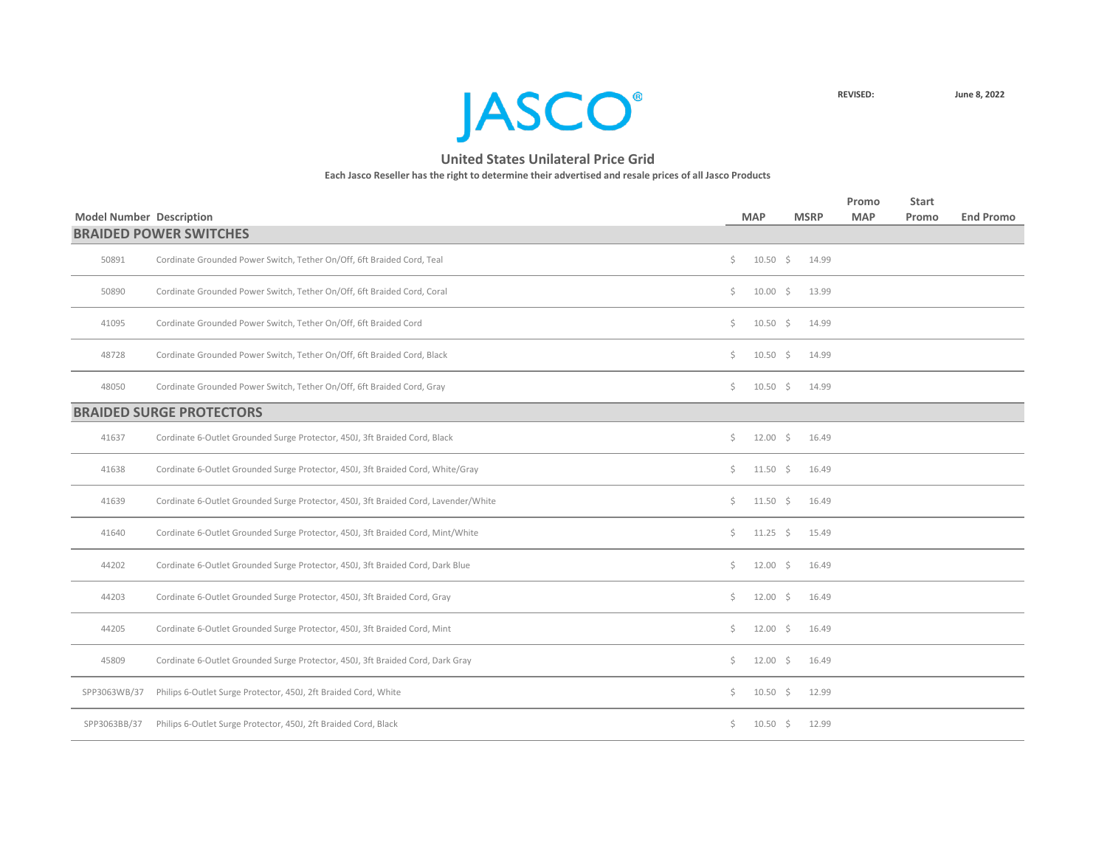

| <b>Model Number Description</b> |                                                                                     | <b>MAP</b>               | <b>MSRP</b> | Promo<br><b>MAP</b> | <b>Start</b><br>Promo | <b>End Promo</b> |
|---------------------------------|-------------------------------------------------------------------------------------|--------------------------|-------------|---------------------|-----------------------|------------------|
|                                 | <b>BRAIDED POWER SWITCHES</b>                                                       |                          |             |                     |                       |                  |
| 50891                           | Cordinate Grounded Power Switch, Tether On/Off, 6ft Braided Cord, Teal              | \$<br>$10.50 \pm 5$      | 14.99       |                     |                       |                  |
| 50890                           | Cordinate Grounded Power Switch, Tether On/Off, 6ft Braided Cord, Coral             | \$<br>$10.00\frac{1}{5}$ | 13.99       |                     |                       |                  |
| 41095                           | Cordinate Grounded Power Switch, Tether On/Off, 6ft Braided Cord                    | \$<br>$10.50 \pm 5$      | 14.99       |                     |                       |                  |
| 48728                           | Cordinate Grounded Power Switch, Tether On/Off, 6ft Braided Cord, Black             | \$<br>$10.50 \pm 5$      | 14.99       |                     |                       |                  |
| 48050                           | Cordinate Grounded Power Switch, Tether On/Off, 6ft Braided Cord, Gray              | \$<br>$10.50 \div$       | 14.99       |                     |                       |                  |
|                                 | <b>BRAIDED SURGE PROTECTORS</b>                                                     |                          |             |                     |                       |                  |
| 41637                           | Cordinate 6-Outlet Grounded Surge Protector, 450J, 3ft Braided Cord, Black          | \$<br>$12.00 \pm 5$      | 16.49       |                     |                       |                  |
| 41638                           | Cordinate 6-Outlet Grounded Surge Protector, 450J, 3ft Braided Cord, White/Gray     | \$<br>$11.50 \pm 5$      | 16.49       |                     |                       |                  |
| 41639                           | Cordinate 6-Outlet Grounded Surge Protector, 450J, 3ft Braided Cord, Lavender/White | \$<br>$11.50 \pm 5$      | 16.49       |                     |                       |                  |
| 41640                           | Cordinate 6-Outlet Grounded Surge Protector, 450J, 3ft Braided Cord, Mint/White     | \$<br>$11.25 \quad$ \$   | 15.49       |                     |                       |                  |
| 44202                           | Cordinate 6-Outlet Grounded Surge Protector, 450J, 3ft Braided Cord, Dark Blue      | \$<br>$12.00 \pm 5$      | 16.49       |                     |                       |                  |
| 44203                           | Cordinate 6-Outlet Grounded Surge Protector, 450J, 3ft Braided Cord, Gray           | \$<br>$12.00 \pm 5$      | 16.49       |                     |                       |                  |
| 44205                           | Cordinate 6-Outlet Grounded Surge Protector, 450J, 3ft Braided Cord, Mint           | \$<br>$12.00 \div$       | 16.49       |                     |                       |                  |
| 45809                           | Cordinate 6-Outlet Grounded Surge Protector, 450J, 3ft Braided Cord, Dark Gray      | \$<br>$12.00 \div$       | 16.49       |                     |                       |                  |
| SPP3063WB/37                    | Philips 6-Outlet Surge Protector, 450J, 2ft Braided Cord, White                     | \$<br>$10.50 \div$       | 12.99       |                     |                       |                  |
| SPP3063BB/37                    | Philips 6-Outlet Surge Protector, 450J, 2ft Braided Cord, Black                     | \$<br>$10.50 \div$       | 12.99       |                     |                       |                  |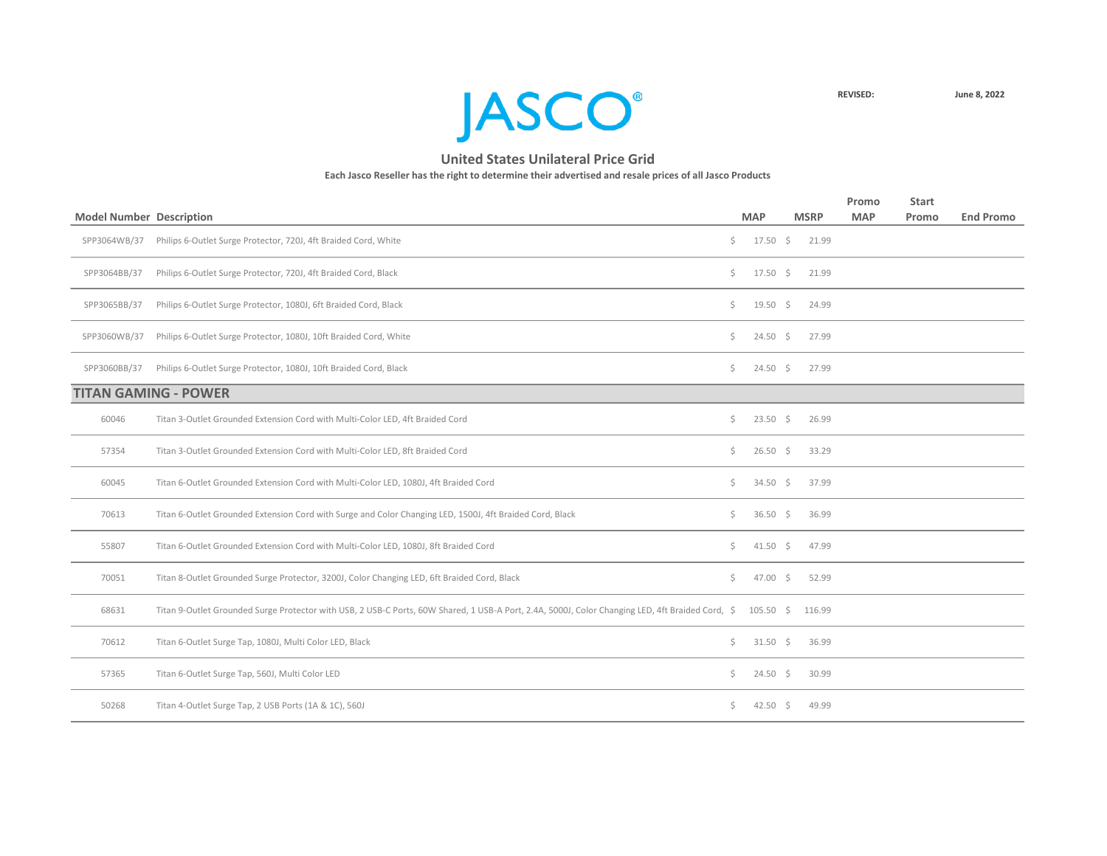

|                                 |                                                                                                                                                           |    |               |             | Promo      | <b>Start</b> |                  |
|---------------------------------|-----------------------------------------------------------------------------------------------------------------------------------------------------------|----|---------------|-------------|------------|--------------|------------------|
| <b>Model Number Description</b> |                                                                                                                                                           |    | <b>MAP</b>    | <b>MSRP</b> | <b>MAP</b> | <b>Promo</b> | <b>End Promo</b> |
| SPP3064WB/37                    | Philips 6-Outlet Surge Protector, 720J, 4ft Braided Cord, White                                                                                           | Ś. | $17.50 \div$  | 21.99       |            |              |                  |
| SPP3064BB/37                    | Philips 6-Outlet Surge Protector, 720J, 4ft Braided Cord, Black                                                                                           | Ś. | $17.50 \div$  | 21.99       |            |              |                  |
| SPP3065BB/37                    | Philips 6-Outlet Surge Protector, 1080J, 6ft Braided Cord, Black                                                                                          | \$ | $19.50 \div$  | 24.99       |            |              |                  |
| SPP3060WB/37                    | Philips 6-Outlet Surge Protector, 1080J, 10ft Braided Cord, White                                                                                         | \$ | $24.50 \div$  | 27.99       |            |              |                  |
| SPP3060BB/37                    | Philips 6-Outlet Surge Protector, 1080J, 10ft Braided Cord, Black                                                                                         | S. | $24.50 \div$  | 27.99       |            |              |                  |
|                                 | <b>TITAN GAMING - POWER</b>                                                                                                                               |    |               |             |            |              |                  |
| 60046                           | Titan 3-Outlet Grounded Extension Cord with Multi-Color LED, 4ft Braided Cord                                                                             | Ś. | $23.50$ \$    | 26.99       |            |              |                  |
| 57354                           | Titan 3-Outlet Grounded Extension Cord with Multi-Color LED, 8ft Braided Cord                                                                             | Ś. | $26.50$ \$    | 33.29       |            |              |                  |
| 60045                           | Titan 6-Outlet Grounded Extension Cord with Multi-Color LED, 1080J, 4ft Braided Cord                                                                      | Ś. | 34.50 \$      | 37.99       |            |              |                  |
| 70613                           | Titan 6-Outlet Grounded Extension Cord with Surge and Color Changing LED, 1500J, 4ft Braided Cord, Black                                                  | \$ | 36.50 \$      | 36.99       |            |              |                  |
| 55807                           | Titan 6-Outlet Grounded Extension Cord with Multi-Color LED, 1080J, 8ft Braided Cord                                                                      | \$ | $41.50 \div$  | 47.99       |            |              |                  |
| 70051                           | Titan 8-Outlet Grounded Surge Protector, 3200J, Color Changing LED, 6ft Braided Cord, Black                                                               | Ś. | $47.00 \div$  | 52.99       |            |              |                  |
| 68631                           | Titan 9-Outlet Grounded Surge Protector with USB, 2 USB-C Ports, 60W Shared, 1 USB-A Port, 2.4A, 5000J, Color Changing LED, 4ft Braided Cord, \$105.50 \$ |    |               | 116.99      |            |              |                  |
| 70612                           | Titan 6-Outlet Surge Tap, 1080J, Multi Color LED, Black                                                                                                   | Ś. | $31.50 \div$  | 36.99       |            |              |                  |
| 57365                           | Titan 6-Outlet Surge Tap, 560J, Multi Color LED                                                                                                           | \$ | $24.50 \pm 5$ | 30.99       |            |              |                  |
| 50268                           | Titan 4-Outlet Surge Tap, 2 USB Ports (1A & 1C), 560J                                                                                                     | Ś. | $42.50 \div$  | 49.99       |            |              |                  |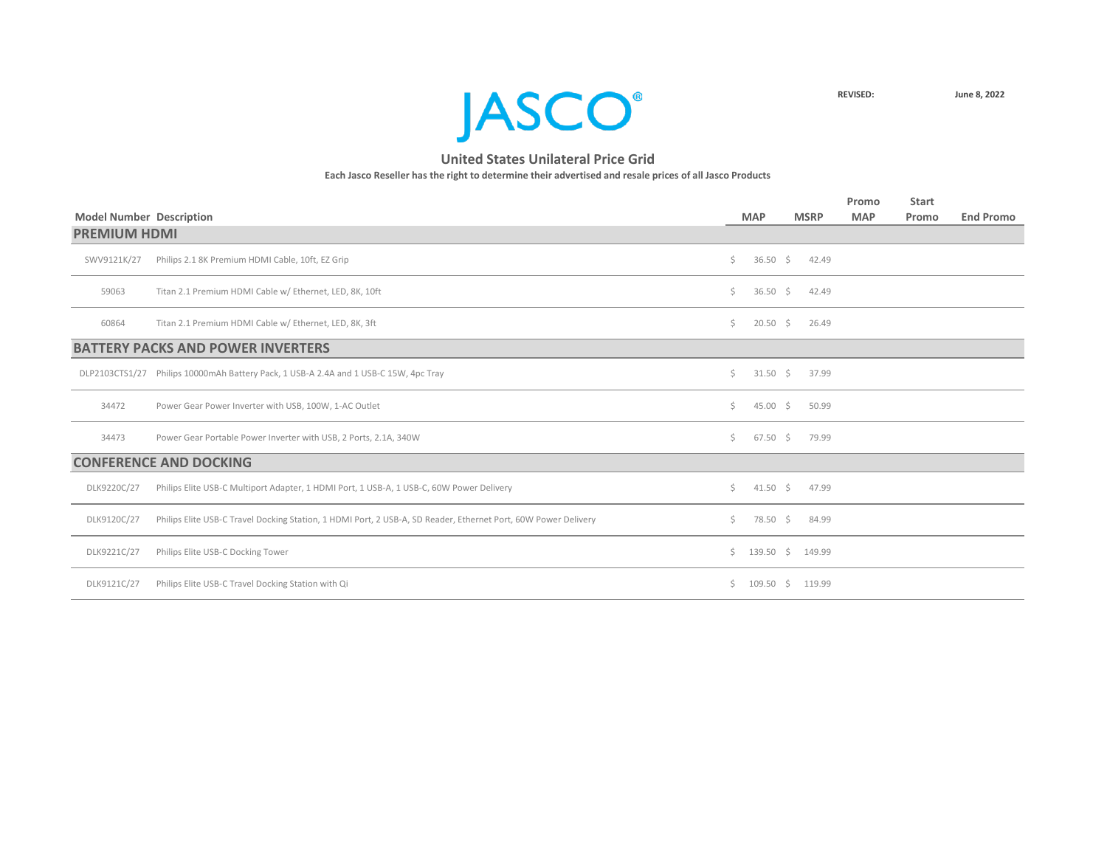

|                                 |                                                                                                                |    |                    |             | Promo      | <b>Start</b> |                  |
|---------------------------------|----------------------------------------------------------------------------------------------------------------|----|--------------------|-------------|------------|--------------|------------------|
| <b>Model Number Description</b> |                                                                                                                |    | <b>MAP</b>         | <b>MSRP</b> | <b>MAP</b> | Promo        | <b>End Promo</b> |
| <b>PREMIUM HDMI</b>             |                                                                                                                |    |                    |             |            |              |                  |
| SWV9121K/27                     | Philips 2.1 8K Premium HDMI Cable, 10ft, EZ Grip                                                               | Ś. | $36.50\frac{1}{5}$ | 42.49       |            |              |                  |
| 59063                           | Titan 2.1 Premium HDMI Cable w/ Ethernet, LED, 8K, 10ft                                                        | Ś. | 36.50 \$           | 42.49       |            |              |                  |
| 60864                           | Titan 2.1 Premium HDMI Cable w/ Ethernet, LED, 8K, 3ft                                                         | Ś. | $20.50\frac{1}{5}$ | 26.49       |            |              |                  |
|                                 | <b>BATTERY PACKS AND POWER INVERTERS</b>                                                                       |    |                    |             |            |              |                  |
|                                 | DLP2103CTS1/27 Philips 10000mAh Battery Pack, 1 USB-A 2.4A and 1 USB-C 15W, 4pc Tray                           | Ś. | $31.50 \div$       | 37.99       |            |              |                  |
| 34472                           | Power Gear Power Inverter with USB, 100W, 1-AC Outlet                                                          | \$ | $45.00 \div$       | 50.99       |            |              |                  |
| 34473                           | Power Gear Portable Power Inverter with USB, 2 Ports, 2.1A, 340W                                               | Ś. | $67.50 \div$       | 79.99       |            |              |                  |
|                                 | <b>CONFERENCE AND DOCKING</b>                                                                                  |    |                    |             |            |              |                  |
| DLK9220C/27                     | Philips Elite USB-C Multiport Adapter, 1 HDMI Port, 1 USB-A, 1 USB-C, 60W Power Delivery                       | Ś. | $41.50 \div$       | 47.99       |            |              |                  |
| DLK9120C/27                     | Philips Elite USB-C Travel Docking Station, 1 HDMI Port, 2 USB-A, SD Reader, Ethernet Port, 60W Power Delivery | Ś. | 78.50 \$           | 84.99       |            |              |                  |
| DLK9221C/27                     | Philips Elite USB-C Docking Tower                                                                              |    | $$139.50$ \$       | 149.99      |            |              |                  |
| DLK9121C/27                     | Philips Elite USB-C Travel Docking Station with Qi                                                             | S. | $109.50$ \$        | 119.99      |            |              |                  |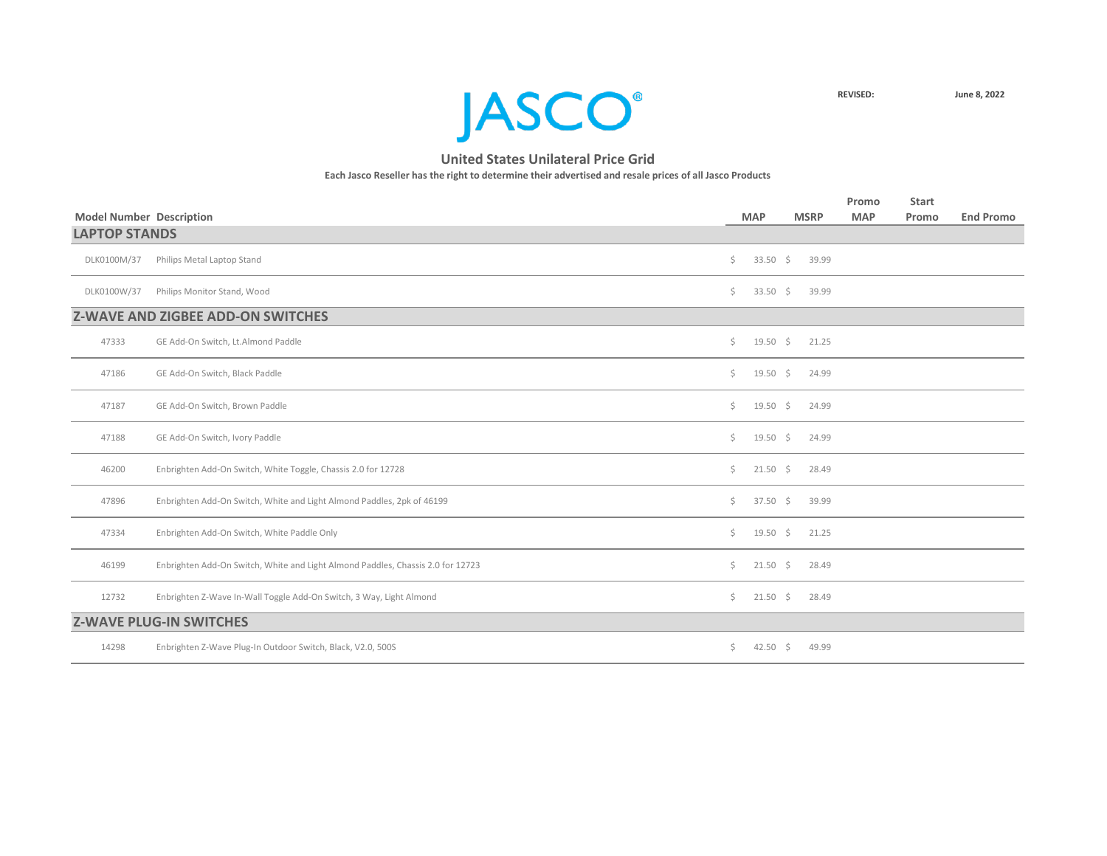

|                                 |                                                                                 |    |                     |             |       | Promo      | <b>Start</b> |                  |
|---------------------------------|---------------------------------------------------------------------------------|----|---------------------|-------------|-------|------------|--------------|------------------|
| <b>Model Number Description</b> |                                                                                 |    | <b>MAP</b>          | <b>MSRP</b> |       | <b>MAP</b> | Promo        | <b>End Promo</b> |
| <b>LAPTOP STANDS</b>            |                                                                                 |    |                     |             |       |            |              |                  |
| DLK0100M/37                     | Philips Metal Laptop Stand                                                      | \$ | 33.50 $\frac{2}{5}$ |             | 39.99 |            |              |                  |
| DLK0100W/37                     | Philips Monitor Stand, Wood                                                     | \$ | 33.50 $\frac{2}{5}$ |             | 39.99 |            |              |                  |
|                                 | <b>Z-WAVE AND ZIGBEE ADD-ON SWITCHES</b>                                        |    |                     |             |       |            |              |                  |
| 47333                           | GE Add-On Switch, Lt.Almond Paddle                                              | \$ | $19.50 \div$        |             | 21.25 |            |              |                  |
| 47186                           | GE Add-On Switch, Black Paddle                                                  | \$ | $19.50 \div$        |             | 24.99 |            |              |                  |
| 47187                           | GE Add-On Switch, Brown Paddle                                                  | Ś. | $19.50 \div$        |             | 24.99 |            |              |                  |
| 47188                           | GE Add-On Switch, Ivory Paddle                                                  | \$ | $19.50$ \$          |             | 24.99 |            |              |                  |
| 46200                           | Enbrighten Add-On Switch, White Toggle, Chassis 2.0 for 12728                   | \$ | $21.50 \div$        |             | 28.49 |            |              |                  |
| 47896                           | Enbrighten Add-On Switch, White and Light Almond Paddles, 2pk of 46199          | Ś. | $37.50 \div$        |             | 39.99 |            |              |                  |
| 47334                           | Enbrighten Add-On Switch, White Paddle Only                                     | \$ | $19.50 \div$        |             | 21.25 |            |              |                  |
| 46199                           | Enbrighten Add-On Switch, White and Light Almond Paddles, Chassis 2.0 for 12723 | Ś. | $21.50 \div$        |             | 28.49 |            |              |                  |
| 12732                           | Enbrighten Z-Wave In-Wall Toggle Add-On Switch, 3 Way, Light Almond             | \$ | $21.50$ \$          |             | 28.49 |            |              |                  |
|                                 | <b>Z-WAVE PLUG-IN SWITCHES</b>                                                  |    |                     |             |       |            |              |                  |
| 14298                           | Enbrighten Z-Wave Plug-In Outdoor Switch, Black, V2.0, 500S                     | \$ | $42.50$ \$          |             | 49.99 |            |              |                  |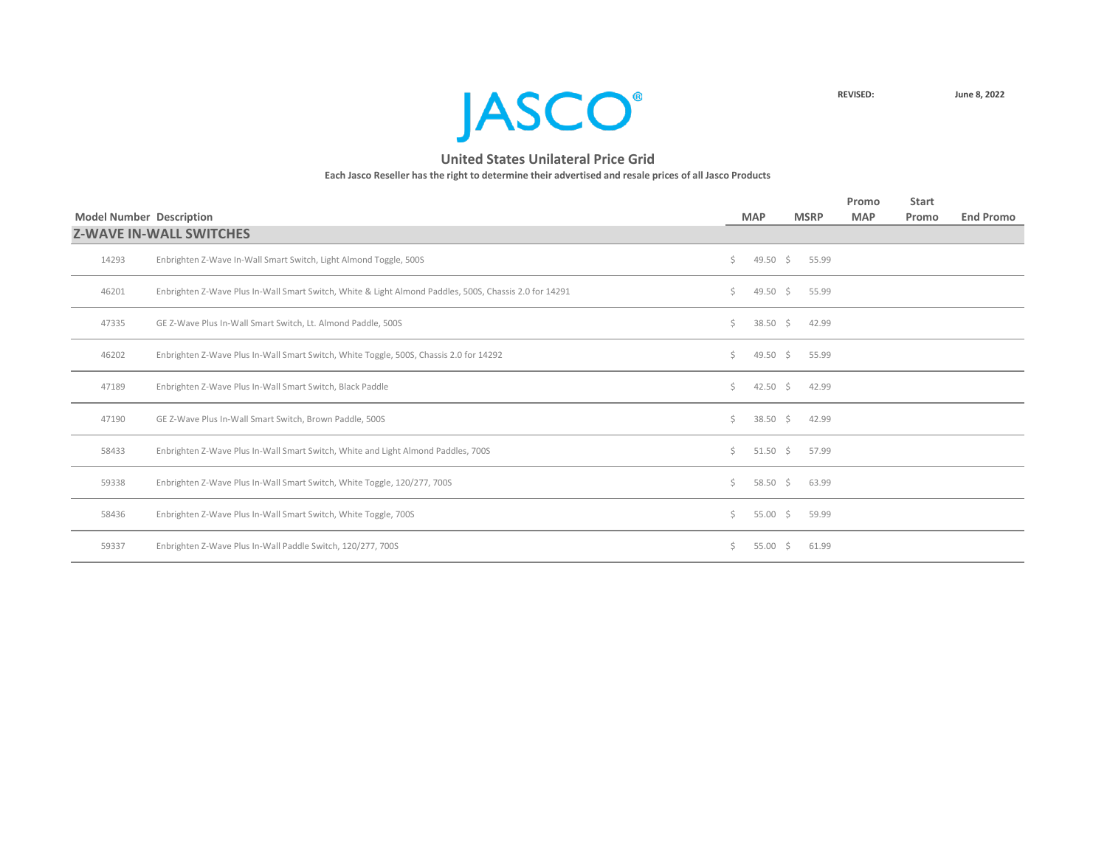

|       |                                                                                                        |    |              |             | Promo      | <b>Start</b> |                  |
|-------|--------------------------------------------------------------------------------------------------------|----|--------------|-------------|------------|--------------|------------------|
|       | <b>Model Number Description</b>                                                                        |    | <b>MAP</b>   | <b>MSRP</b> | <b>MAP</b> | Promo        | <b>End Promo</b> |
|       | <b>Z-WAVE IN-WALL SWITCHES</b>                                                                         |    |              |             |            |              |                  |
| 14293 | Enbrighten Z-Wave In-Wall Smart Switch, Light Almond Toggle, 500S                                      | \$ | 49.50 \$     | 55.99       |            |              |                  |
| 46201 | Enbrighten Z-Wave Plus In-Wall Smart Switch, White & Light Almond Paddles, 500S, Chassis 2.0 for 14291 | Ś. | 49.50 \$     | 55.99       |            |              |                  |
| 47335 | GE Z-Wave Plus In-Wall Smart Switch, Lt. Almond Paddle, 500S                                           | Ś. | $38.50 \div$ | 42.99       |            |              |                  |
| 46202 | Enbrighten Z-Wave Plus In-Wall Smart Switch, White Toggle, 500S, Chassis 2.0 for 14292                 | Ś. | 49.50 \$     | 55.99       |            |              |                  |
| 47189 | Enbrighten Z-Wave Plus In-Wall Smart Switch, Black Paddle                                              | Ś. | 42.50 \$     | 42.99       |            |              |                  |
| 47190 | GE Z-Wave Plus In-Wall Smart Switch, Brown Paddle, 500S                                                | Ś. | 38.50 \$     | 42.99       |            |              |                  |
| 58433 | Enbrighten Z-Wave Plus In-Wall Smart Switch, White and Light Almond Paddles, 700S                      | Ś. | $51.50 \div$ | 57.99       |            |              |                  |
| 59338 | Enbrighten Z-Wave Plus In-Wall Smart Switch, White Toggle, 120/277, 700S                               | Ś. | 58.50 \$     | 63.99       |            |              |                  |
| 58436 | Enbrighten Z-Wave Plus In-Wall Smart Switch, White Toggle, 700S                                        | Ś. | 55.00 \$     | 59.99       |            |              |                  |
| 59337 | Enbrighten Z-Wave Plus In-Wall Paddle Switch, 120/277, 700S                                            | S. | $55.00 \div$ | 61.99       |            |              |                  |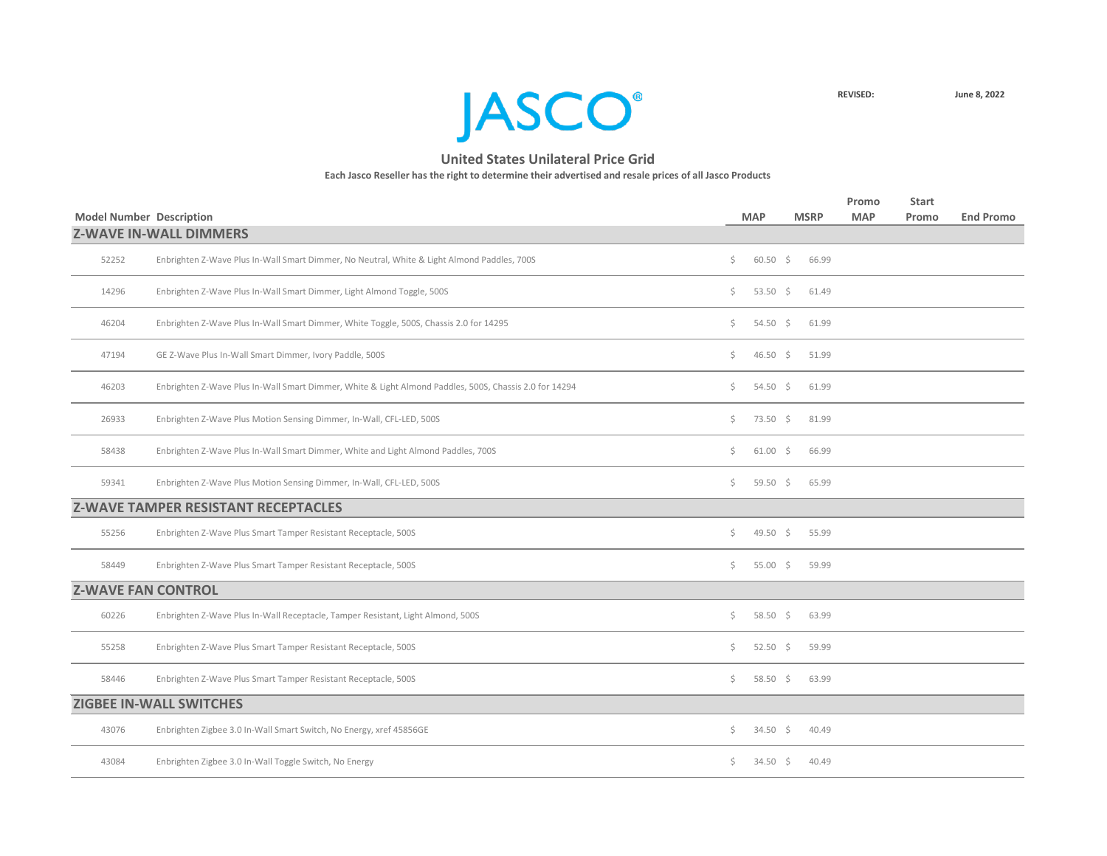

|       | <b>Model Number Description</b>                                                                        |     | <b>MAP</b>        | <b>MSRP</b> | Promo<br><b>MAP</b> | <b>Start</b><br>Promo | <b>End Promo</b> |
|-------|--------------------------------------------------------------------------------------------------------|-----|-------------------|-------------|---------------------|-----------------------|------------------|
|       | <b>Z-WAVE IN-WALL DIMMERS</b>                                                                          |     |                   |             |                     |                       |                  |
| 52252 | Enbrighten Z-Wave Plus In-Wall Smart Dimmer, No Neutral, White & Light Almond Paddles, 700S            | \$. | $60.50$ \$        | 66.99       |                     |                       |                  |
| 14296 | Enbrighten Z-Wave Plus In-Wall Smart Dimmer, Light Almond Toggle, 500S                                 | \$. | 53.50 \$          | 61.49       |                     |                       |                  |
| 46204 | Enbrighten Z-Wave Plus In-Wall Smart Dimmer, White Toggle, 500S, Chassis 2.0 for 14295                 | \$. | 54.50 \$          | 61.99       |                     |                       |                  |
| 47194 | GE Z-Wave Plus In-Wall Smart Dimmer, Ivory Paddle, 500S                                                | \$. | 46.50 \$          | 51.99       |                     |                       |                  |
| 46203 | Enbrighten Z-Wave Plus In-Wall Smart Dimmer, White & Light Almond Paddles, 500S, Chassis 2.0 for 14294 | \$. | 54.50 \$          | 61.99       |                     |                       |                  |
| 26933 | Enbrighten Z-Wave Plus Motion Sensing Dimmer, In-Wall, CFL-LED, 500S                                   | \$. | 73.50 \$          | 81.99       |                     |                       |                  |
| 58438 | Enbrighten Z-Wave Plus In-Wall Smart Dimmer, White and Light Almond Paddles, 700S                      | \$. | $61.00 \pm$       | 66.99       |                     |                       |                  |
| 59341 | Enbrighten Z-Wave Plus Motion Sensing Dimmer, In-Wall, CFL-LED, 500S                                   | \$. | 59.50 \$          | 65.99       |                     |                       |                  |
|       | <b>Z-WAVE TAMPER RESISTANT RECEPTACLES</b>                                                             |     |                   |             |                     |                       |                  |
| 55256 | Enbrighten Z-Wave Plus Smart Tamper Resistant Receptacle, 500S                                         | \$  | 49.50 \$          | 55.99       |                     |                       |                  |
| 58449 | Enbrighten Z-Wave Plus Smart Tamper Resistant Receptacle, 500S                                         | \$. | 55.00 \$          | 59.99       |                     |                       |                  |
|       | <b>Z-WAVE FAN CONTROL</b>                                                                              |     |                   |             |                     |                       |                  |
| 60226 | Enbrighten Z-Wave Plus In-Wall Receptacle, Tamper Resistant, Light Almond, 500S                        | Ś.  | 58.50 \$          | 63.99       |                     |                       |                  |
| 55258 | Enbrighten Z-Wave Plus Smart Tamper Resistant Receptacle, 500S                                         | \$. | $52.50$ \$        | 59.99       |                     |                       |                  |
| 58446 | Enbrighten Z-Wave Plus Smart Tamper Resistant Receptacle, 500S                                         |     | $$58.50 \t$63.99$ |             |                     |                       |                  |
|       | <b>ZIGBEE IN-WALL SWITCHES</b>                                                                         |     |                   |             |                     |                       |                  |
| 43076 | Enbrighten Zigbee 3.0 In-Wall Smart Switch, No Energy, xref 45856GE                                    | Ş.  | $34.50 \div$      | 40.49       |                     |                       |                  |
| 43084 | Enbrighten Zigbee 3.0 In-Wall Toggle Switch, No Energy                                                 | \$. | 34.50 \$          | 40.49       |                     |                       |                  |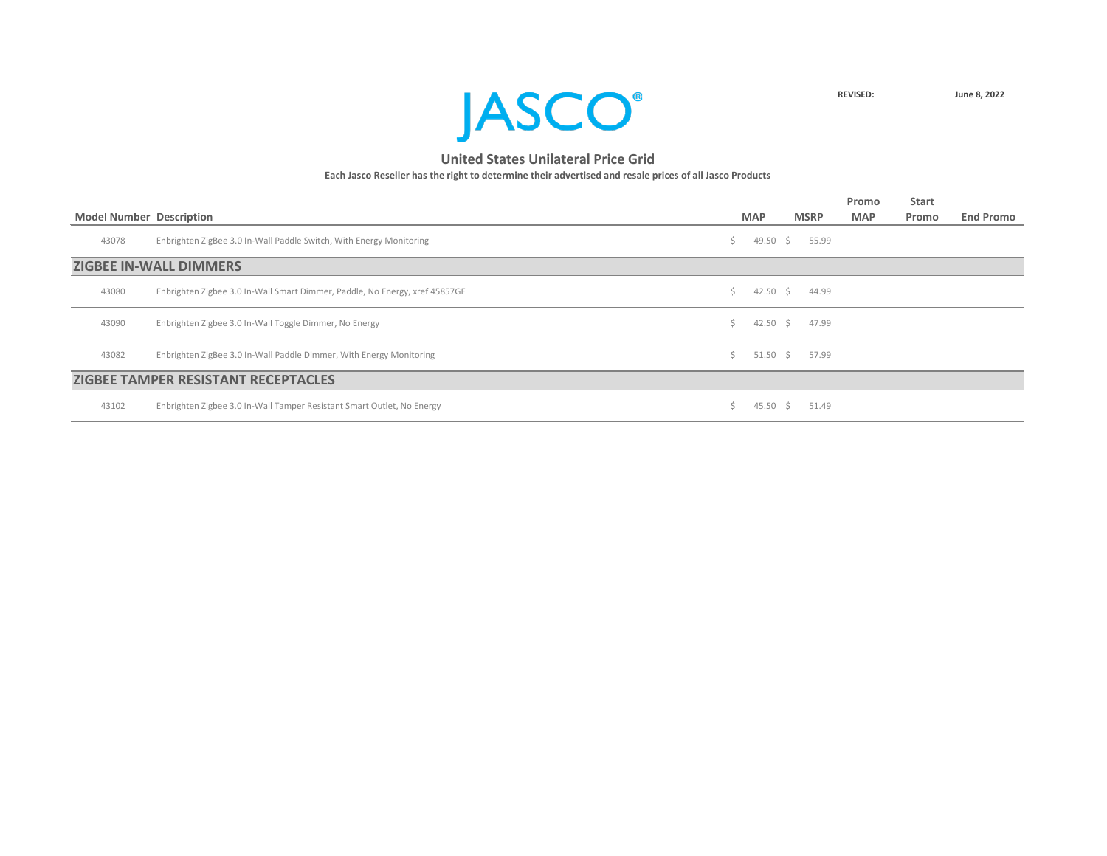

|       |                                                                             |    |                 |    |             | Promo      | <b>Start</b> |                  |
|-------|-----------------------------------------------------------------------------|----|-----------------|----|-------------|------------|--------------|------------------|
|       | <b>Model Number Description</b>                                             |    | <b>MAP</b>      |    | <b>MSRP</b> | <b>MAP</b> | Promo        | <b>End Promo</b> |
| 43078 | Enbrighten ZigBee 3.0 In-Wall Paddle Switch, With Energy Monitoring         | S. | 49.50 \$        |    | 55.99       |            |              |                  |
|       | <b>ZIGBEE IN-WALL DIMMERS</b>                                               |    |                 |    |             |            |              |                  |
| 43080 | Enbrighten Zigbee 3.0 In-Wall Smart Dimmer, Paddle, No Energy, xref 45857GE | S. | 42.50 \$        |    | 44.99       |            |              |                  |
| 43090 | Enbrighten Zigbee 3.0 In-Wall Toggle Dimmer, No Energy                      | Ś. | 42.50 \$        |    | 47.99       |            |              |                  |
| 43082 | Enbrighten ZigBee 3.0 In-Wall Paddle Dimmer, With Energy Monitoring         | S  | $51.50 \quad $$ |    | 57.99       |            |              |                  |
|       | <b>ZIGBEE TAMPER RESISTANT RECEPTACLES</b>                                  |    |                 |    |             |            |              |                  |
| 43102 | Enbrighten Zigbee 3.0 In-Wall Tamper Resistant Smart Outlet, No Energy      |    | 45.50           | S. | 51.49       |            |              |                  |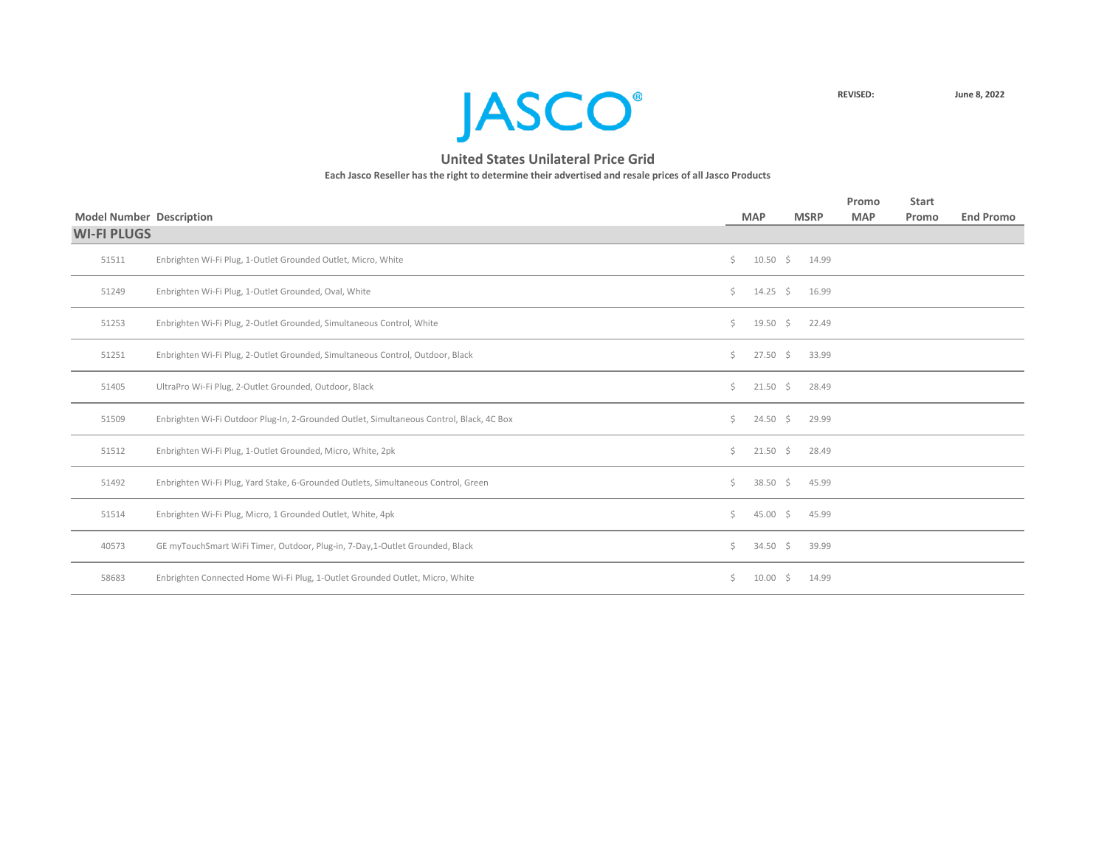

|                                 |                                                                                          |     |                    |             | Promo      | <b>Start</b> |                  |
|---------------------------------|------------------------------------------------------------------------------------------|-----|--------------------|-------------|------------|--------------|------------------|
| <b>Model Number Description</b> |                                                                                          |     | <b>MAP</b>         | <b>MSRP</b> | <b>MAP</b> | Promo        | <b>End Promo</b> |
| <b>WI-FI PLUGS</b>              |                                                                                          |     |                    |             |            |              |                  |
| 51511                           | Enbrighten Wi-Fi Plug, 1-Outlet Grounded Outlet, Micro, White                            | Ś.  | 10.50 \$ 14.99     |             |            |              |                  |
| 51249                           | Enbrighten Wi-Fi Plug, 1-Outlet Grounded, Oval, White                                    | Ś.  | $14.25 \div 16.99$ |             |            |              |                  |
| 51253                           | Enbrighten Wi-Fi Plug, 2-Outlet Grounded, Simultaneous Control, White                    | \$  | $19.50 \div$       | 22.49       |            |              |                  |
| 51251                           | Enbrighten Wi-Fi Plug, 2-Outlet Grounded, Simultaneous Control, Outdoor, Black           | Ś.  | $27.50 \div$       | 33.99       |            |              |                  |
| 51405                           | UltraPro Wi-Fi Plug, 2-Outlet Grounded, Outdoor, Black                                   | Ś.  | $21.50 \div$       | 28.49       |            |              |                  |
| 51509                           | Enbrighten Wi-Fi Outdoor Plug-In, 2-Grounded Outlet, Simultaneous Control, Black, 4C Box | Ś.  | $24.50 \div$       | 29.99       |            |              |                  |
| 51512                           | Enbrighten Wi-Fi Plug, 1-Outlet Grounded, Micro, White, 2pk                              | Ś.  | $21.50 \div$       | 28.49       |            |              |                  |
| 51492                           | Enbrighten Wi-Fi Plug, Yard Stake, 6-Grounded Outlets, Simultaneous Control, Green       | \$. | $38.50\frac{1}{5}$ | 45.99       |            |              |                  |
| 51514                           | Enbrighten Wi-Fi Plug, Micro, 1 Grounded Outlet, White, 4pk                              | \$  | $45.00\frac{1}{5}$ | 45.99       |            |              |                  |
| 40573                           | GE myTouchSmart WiFi Timer, Outdoor, Plug-in, 7-Day,1-Outlet Grounded, Black             | \$  | $34.50 \div$       | 39.99       |            |              |                  |
| 58683                           | Enbrighten Connected Home Wi-Fi Plug, 1-Outlet Grounded Outlet, Micro, White             | \$. | $10.00 \div$       | 14.99       |            |              |                  |
|                                 |                                                                                          |     |                    |             |            |              |                  |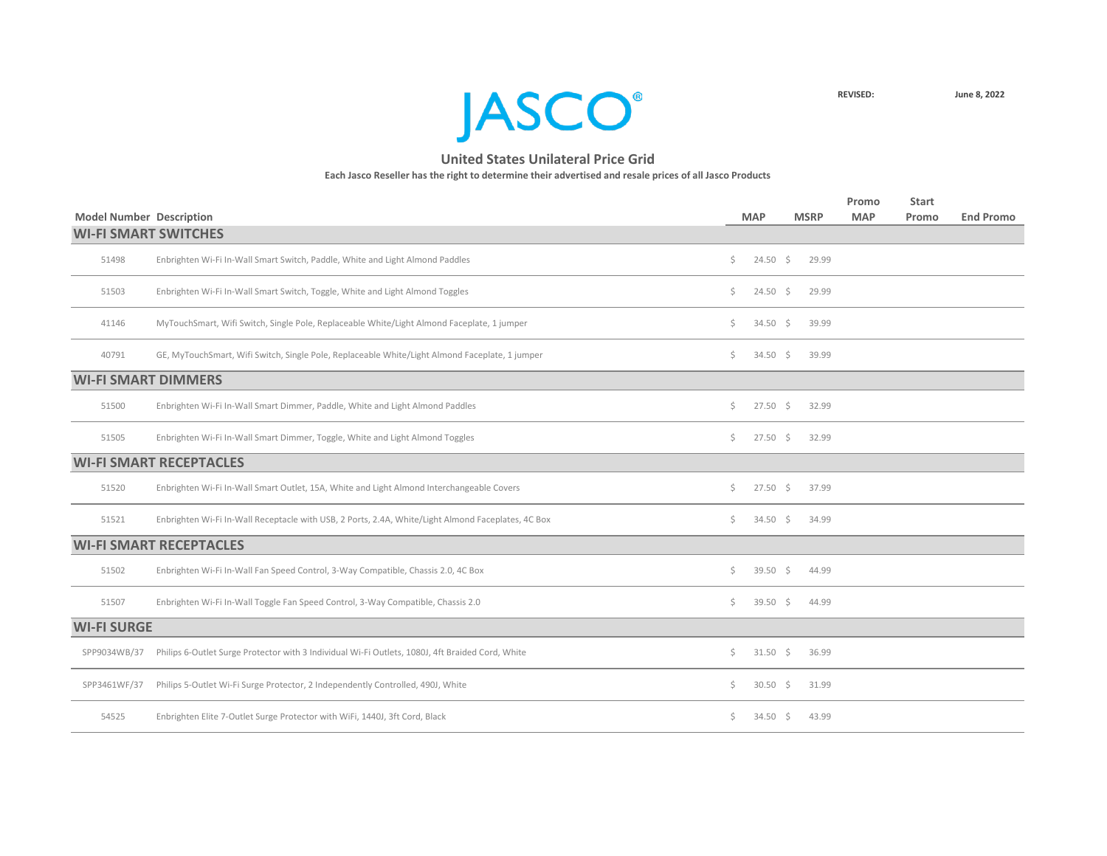

|                                 |                                                                                                    |     |                    |             | Promo      | <b>Start</b> |                  |
|---------------------------------|----------------------------------------------------------------------------------------------------|-----|--------------------|-------------|------------|--------------|------------------|
| <b>Model Number Description</b> |                                                                                                    |     | <b>MAP</b>         | <b>MSRP</b> | <b>MAP</b> | Promo        | <b>End Promo</b> |
| <b>WI-FI SMART SWITCHES</b>     |                                                                                                    |     |                    |             |            |              |                  |
| 51498                           | Enbrighten Wi-Fi In-Wall Smart Switch, Paddle, White and Light Almond Paddles                      | \$. | $24.50\frac{1}{5}$ | 29.99       |            |              |                  |
| 51503                           | Enbrighten Wi-Fi In-Wall Smart Switch, Toggle, White and Light Almond Toggles                      | \$. | $24.50$ \$         | 29.99       |            |              |                  |
| 41146                           | MyTouchSmart, Wifi Switch, Single Pole, Replaceable White/Light Almond Faceplate, 1 jumper         | \$  | $34.50\frac{1}{5}$ | 39.99       |            |              |                  |
| 40791                           | GE, MyTouchSmart, Wifi Switch, Single Pole, Replaceable White/Light Almond Faceplate, 1 jumper     | \$  | $34.50\frac{1}{5}$ | 39.99       |            |              |                  |
| <b>WI-FI SMART DIMMERS</b>      |                                                                                                    |     |                    |             |            |              |                  |
| 51500                           | Enbrighten Wi-Fi In-Wall Smart Dimmer, Paddle, White and Light Almond Paddles                      | \$  | $27.50$ \$         | 32.99       |            |              |                  |
| 51505                           | Enbrighten Wi-Fi In-Wall Smart Dimmer, Toggle, White and Light Almond Toggles                      | \$  | $27.50 \pm 5$      | 32.99       |            |              |                  |
|                                 | <b>WI-FI SMART RECEPTACLES</b>                                                                     |     |                    |             |            |              |                  |
| 51520                           | Enbrighten Wi-Fi In-Wall Smart Outlet, 15A, White and Light Almond Interchangeable Covers          | \$  | $27.50$ \$         | 37.99       |            |              |                  |
| 51521                           | Enbrighten Wi-Fi In-Wall Receptacle with USB, 2 Ports, 2.4A, White/Light Almond Faceplates, 4C Box | Ś.  | $34.50$ \$         | 34.99       |            |              |                  |
|                                 | <b>WI-FI SMART RECEPTACLES</b>                                                                     |     |                    |             |            |              |                  |
| 51502                           | Enbrighten Wi-Fi In-Wall Fan Speed Control, 3-Way Compatible, Chassis 2.0, 4C Box                  | \$  | 39.50 \$           | 44.99       |            |              |                  |
| 51507                           | Enbrighten Wi-Fi In-Wall Toggle Fan Speed Control, 3-Way Compatible, Chassis 2.0                   | \$  | $39.50$ \$         | 44.99       |            |              |                  |
| <b>WI-FI SURGE</b>              |                                                                                                    |     |                    |             |            |              |                  |
| SPP9034WB/37                    | Philips 6-Outlet Surge Protector with 3 Individual Wi-Fi Outlets, 1080J, 4ft Braided Cord, White   | \$  | $31.50$ \$         | 36.99       |            |              |                  |
| SPP3461WF/37                    | Philips 5-Outlet Wi-Fi Surge Protector, 2 Independently Controlled, 490J, White                    | \$  | $30.50$ \$         | 31.99       |            |              |                  |
| 54525                           | Enbrighten Elite 7-Outlet Surge Protector with WiFi, 1440J, 3ft Cord, Black                        | \$  | $34.50\frac{1}{5}$ | 43.99       |            |              |                  |
|                                 |                                                                                                    |     |                    |             |            |              |                  |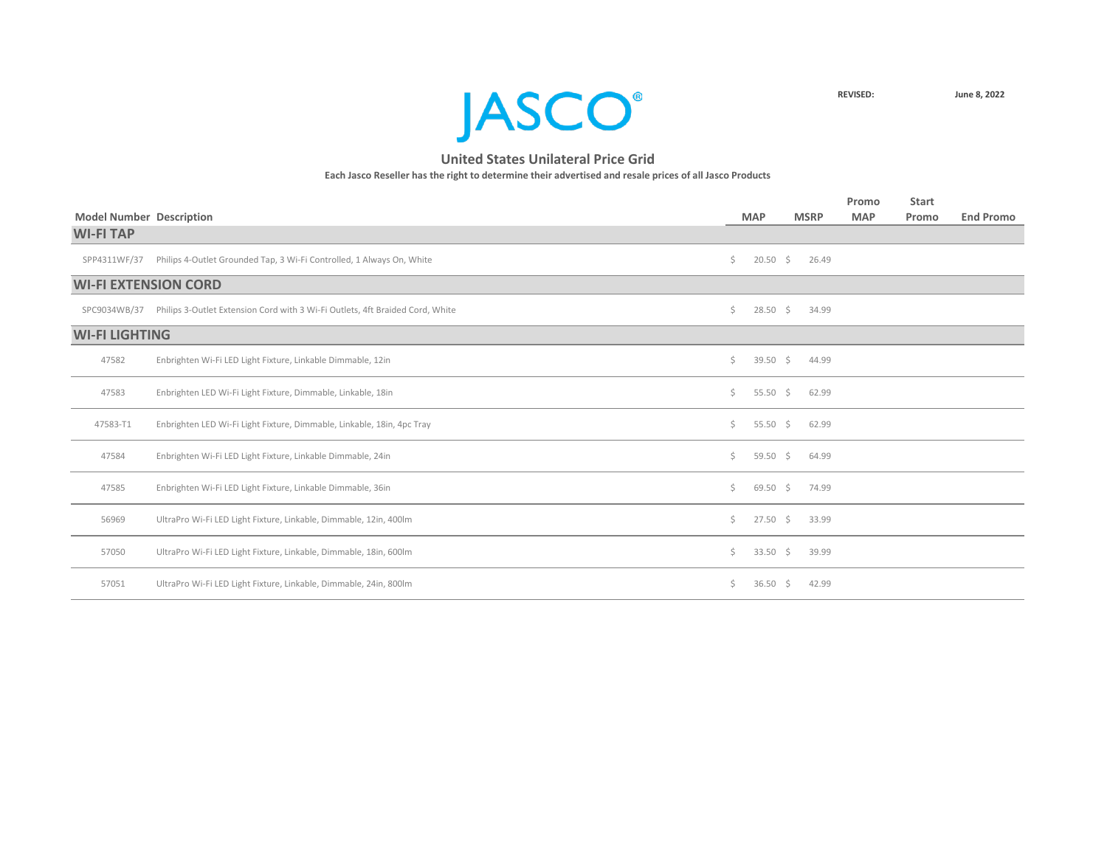

| <b>Model Number Description</b> |                                                                               |    | <b>MAP</b>         |    | <b>MSRP</b> | Promo<br><b>MAP</b> | <b>Start</b><br>Promo | <b>End Promo</b> |
|---------------------------------|-------------------------------------------------------------------------------|----|--------------------|----|-------------|---------------------|-----------------------|------------------|
| <b>WI-FITAP</b>                 |                                                                               |    |                    |    |             |                     |                       |                  |
| SPP4311WF/37                    | Philips 4-Outlet Grounded Tap, 3 Wi-Fi Controlled, 1 Always On, White         | Ś. | $20.50$ \$         |    | 26.49       |                     |                       |                  |
| <b>WI-FI EXTENSION CORD</b>     |                                                                               |    |                    |    |             |                     |                       |                  |
| SPC9034WB/37                    | Philips 3-Outlet Extension Cord with 3 Wi-Fi Outlets, 4ft Braided Cord, White | Ś. | $28.50\frac{1}{5}$ |    | 34.99       |                     |                       |                  |
| <b>WI-FI LIGHTING</b>           |                                                                               |    |                    |    |             |                     |                       |                  |
| 47582                           | Enbrighten Wi-Fi LED Light Fixture, Linkable Dimmable, 12in                   | Ś. | 39.50 \$           |    | 44.99       |                     |                       |                  |
| 47583                           | Enbrighten LED Wi-Fi Light Fixture, Dimmable, Linkable, 18in                  | Ś. | 55.50 \$           |    | 62.99       |                     |                       |                  |
| 47583-T1                        | Enbrighten LED Wi-Fi Light Fixture, Dimmable, Linkable, 18in, 4pc Tray        | Ś. | 55.50 \$           |    | 62.99       |                     |                       |                  |
| 47584                           | Enbrighten Wi-Fi LED Light Fixture, Linkable Dimmable, 24in                   | Ś. | 59.50 \$           |    | 64.99       |                     |                       |                  |
| 47585                           | Enbrighten Wi-Fi LED Light Fixture, Linkable Dimmable, 36in                   | Ś. | $69.50 \div$       |    | 74.99       |                     |                       |                  |
| 56969                           | UltraPro Wi-Fi LED Light Fixture, Linkable, Dimmable, 12in, 400lm             | Ś. | $27.50$ \$         |    | 33.99       |                     |                       |                  |
| 57050                           | UltraPro Wi-Fi LED Light Fixture, Linkable, Dimmable, 18in, 600lm             | Ś. | $33.50$ \$         |    | 39.99       |                     |                       |                  |
| 57051                           | UltraPro Wi-Fi LED Light Fixture, Linkable, Dimmable, 24in, 800lm             | Ś. | 36.50              | S. | 42.99       |                     |                       |                  |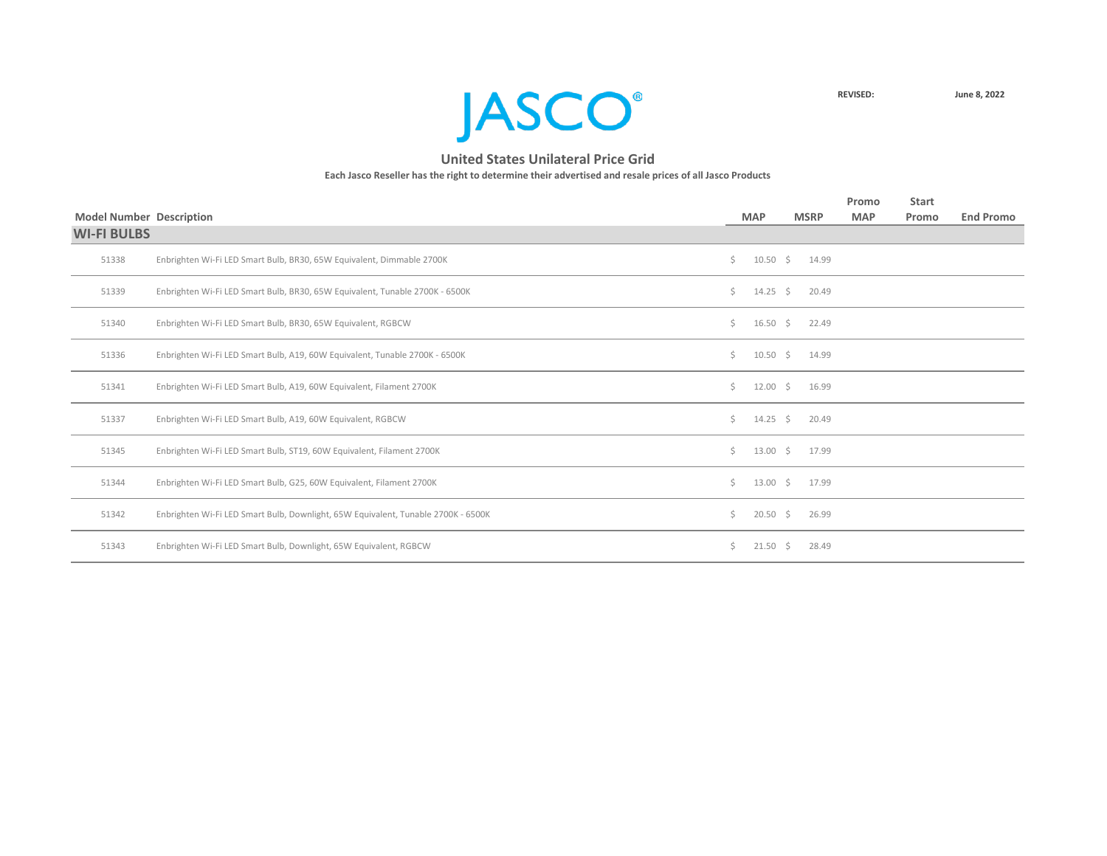

|                                 |                                                                                   |    |               |             | Promo      | <b>Start</b> |                  |
|---------------------------------|-----------------------------------------------------------------------------------|----|---------------|-------------|------------|--------------|------------------|
| <b>Model Number Description</b> |                                                                                   |    | <b>MAP</b>    | <b>MSRP</b> | <b>MAP</b> | Promo        | <b>End Promo</b> |
| <b>WI-FI BULBS</b>              |                                                                                   |    |               |             |            |              |                  |
| 51338                           | Enbrighten Wi-Fi LED Smart Bulb, BR30, 65W Equivalent, Dimmable 2700K             | \$ | $10.50 \div$  | 14.99       |            |              |                  |
| 51339                           | Enbrighten Wi-Fi LED Smart Bulb, BR30, 65W Equivalent, Tunable 2700K - 6500K      | Ś. | $14.25 \div$  | 20.49       |            |              |                  |
| 51340                           | Enbrighten Wi-Fi LED Smart Bulb, BR30, 65W Equivalent, RGBCW                      | Ś. | $16.50 \div$  | 22.49       |            |              |                  |
| 51336                           | Enbrighten Wi-Fi LED Smart Bulb, A19, 60W Equivalent, Tunable 2700K - 6500K       | Ś. | $10.50 \div$  | 14.99       |            |              |                  |
| 51341                           | Enbrighten Wi-Fi LED Smart Bulb, A19, 60W Equivalent, Filament 2700K              | Ś. | $12.00 \div$  | 16.99       |            |              |                  |
| 51337                           | Enbrighten Wi-Fi LED Smart Bulb, A19, 60W Equivalent, RGBCW                       | Ś. | 14.25 \$      | 20.49       |            |              |                  |
| 51345                           | Enbrighten Wi-Fi LED Smart Bulb, ST19, 60W Equivalent, Filament 2700K             | Ś. | $13.00 \div$  | 17.99       |            |              |                  |
| 51344                           | Enbrighten Wi-Fi LED Smart Bulb, G25, 60W Equivalent, Filament 2700K              | Ś. | $13.00 \div$  | 17.99       |            |              |                  |
| 51342                           | Enbrighten Wi-Fi LED Smart Bulb, Downlight, 65W Equivalent, Tunable 2700K - 6500K | Ś. | $20.50 \div$  | 26.99       |            |              |                  |
| 51343                           | Enbrighten Wi-Fi LED Smart Bulb, Downlight, 65W Equivalent, RGBCW                 | Ś. | $21.50 \pm 5$ | 28.49       |            |              |                  |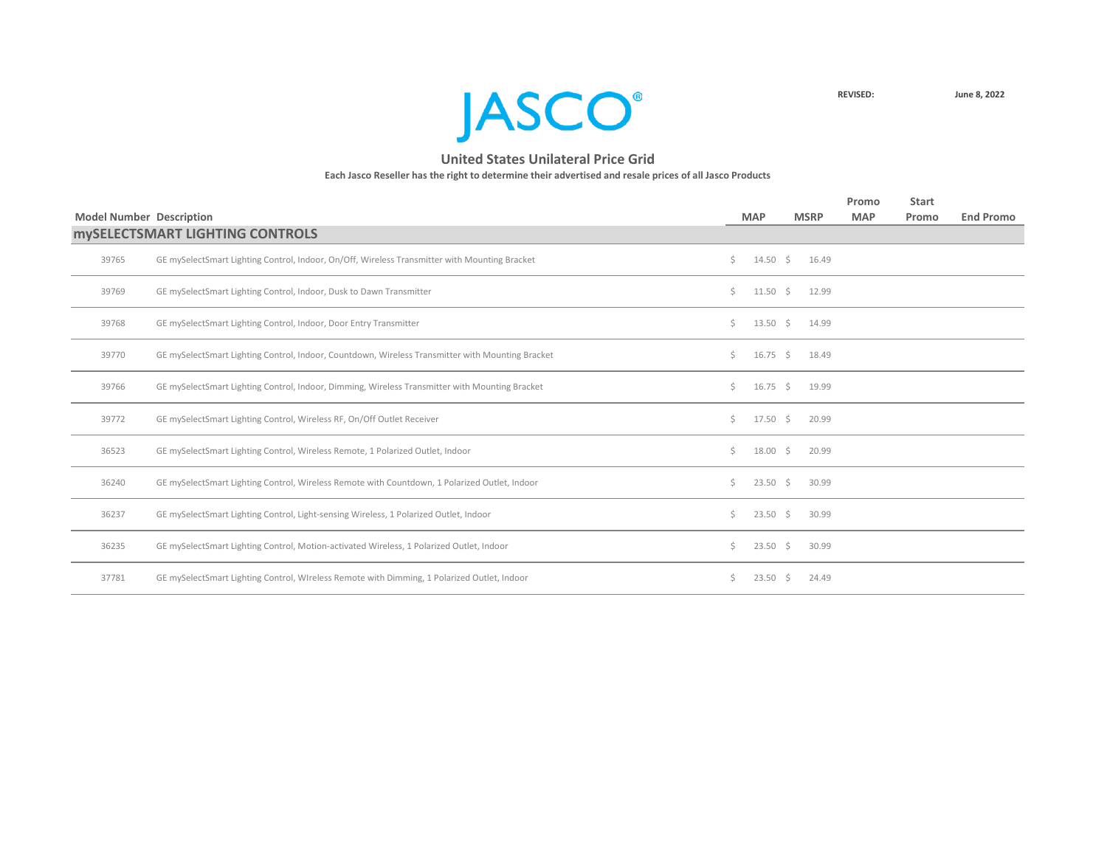**JASCO**<sup>®</sup>

|                                 |                                                                                                  |    |                    |              | Promo      | <b>Start</b> |                  |
|---------------------------------|--------------------------------------------------------------------------------------------------|----|--------------------|--------------|------------|--------------|------------------|
| <b>Model Number Description</b> |                                                                                                  |    | <b>MAP</b>         | <b>MSRP</b>  | <b>MAP</b> | Promo        | <b>End Promo</b> |
|                                 | <b>MYSELECTSMART LIGHTING CONTROLS</b>                                                           |    |                    |              |            |              |                  |
| 39765                           | GE mySelectSmart Lighting Control, Indoor, On/Off, Wireless Transmitter with Mounting Bracket    | Ś. | $14.50 \div$       | 16.49        |            |              |                  |
| 39769                           | GE mySelectSmart Lighting Control, Indoor, Dusk to Dawn Transmitter                              | Ś. | $11.50 \div$       | 12.99        |            |              |                  |
| 39768                           | GE mySelectSmart Lighting Control, Indoor, Door Entry Transmitter                                | Ś. | $13.50 \div$       | 14.99        |            |              |                  |
| 39770                           | GE mySelectSmart Lighting Control, Indoor, Countdown, Wireless Transmitter with Mounting Bracket | S. | $16.75 \div$       | 18.49        |            |              |                  |
| 39766                           | GE mySelectSmart Lighting Control, Indoor, Dimming, Wireless Transmitter with Mounting Bracket   | Ś. | $16.75 \quad$ \$   | 19.99        |            |              |                  |
| 39772                           | GE mySelectSmart Lighting Control, Wireless RF, On/Off Outlet Receiver                           | Ś. | $17.50 \div$       | 20.99        |            |              |                  |
| 36523                           | GE mySelectSmart Lighting Control, Wireless Remote, 1 Polarized Outlet, Indoor                   | Ś. | $18.00 \div$       | 20.99        |            |              |                  |
| 36240                           | GE mySelectSmart Lighting Control, Wireless Remote with Countdown, 1 Polarized Outlet, Indoor    | Ś. | $23.50 \div$       | 30.99        |            |              |                  |
| 36237                           | GE mySelectSmart Lighting Control, Light-sensing Wireless, 1 Polarized Outlet, Indoor            | Ś. | $23.50 \div$       | 30.99        |            |              |                  |
| 36235                           | GE mySelectSmart Lighting Control, Motion-activated Wireless, 1 Polarized Outlet, Indoor         | Ś. | $23.50\frac{1}{2}$ | 30.99        |            |              |                  |
| 37781                           | GE mySelectSmart Lighting Control, WIreless Remote with Dimming, 1 Polarized Outlet, Indoor      | S. | 23.50              | 24.49<br>- S |            |              |                  |
|                                 |                                                                                                  |    |                    |              |            |              |                  |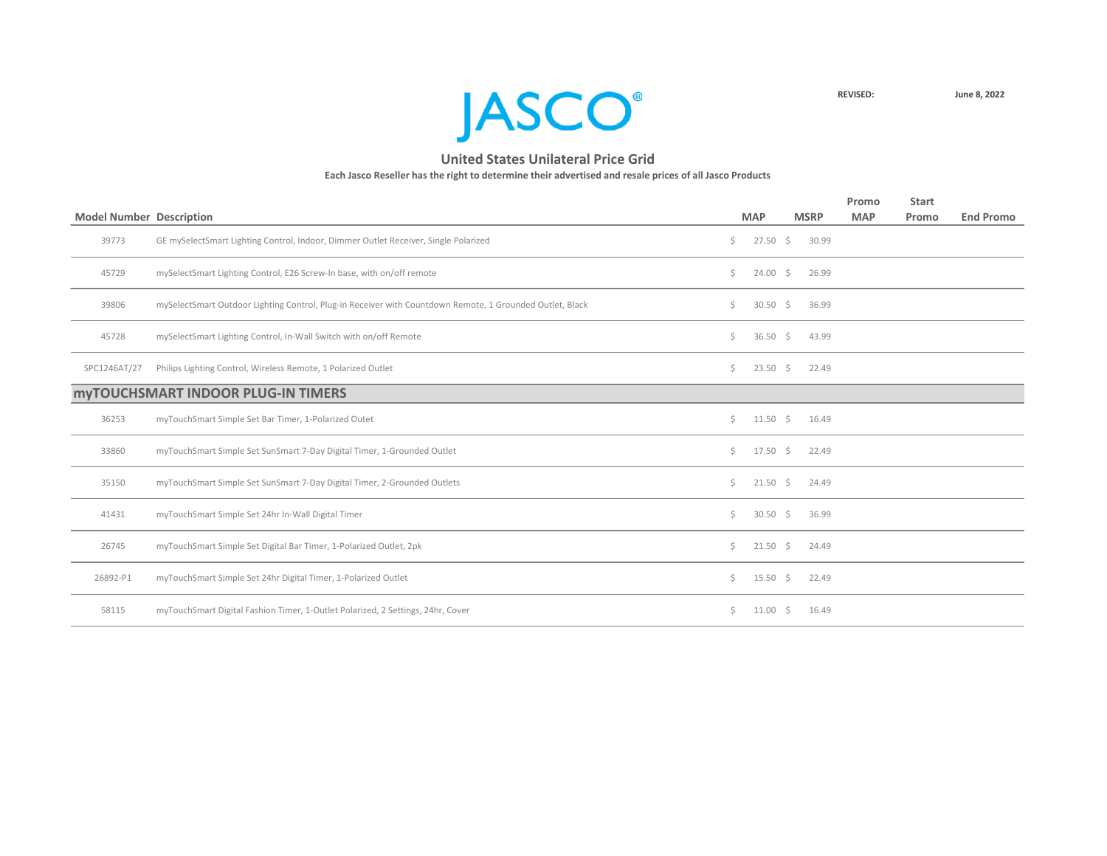

| <b>Model Number Description</b> |                                                                                                          |    | <b>MAP</b>          |      | <b>MSRP</b> | Promo<br><b>MAP</b> | <b>Start</b><br>Promo | <b>End Promo</b> |
|---------------------------------|----------------------------------------------------------------------------------------------------------|----|---------------------|------|-------------|---------------------|-----------------------|------------------|
| 39773                           | GE mySelectSmart Lighting Control, Indoor, Dimmer Outlet Receiver, Single Polarized                      | Ś. | $27.50 \div$        |      | 30.99       |                     |                       |                  |
| 45729                           | mySelectSmart Lighting Control, E26 Screw-In base, with on/off remote                                    | Ś. | $24.00 \div$        |      | 26.99       |                     |                       |                  |
| 39806                           | mySelectSmart Outdoor Lighting Control, Plug-in Receiver with Countdown Remote, 1 Grounded Outlet, Black | Ś. | 30.50 $\frac{1}{5}$ |      | 36.99       |                     |                       |                  |
| 45728                           | mySelectSmart Lighting Control, In-Wall Switch with on/off Remote                                        | \$ | 36.50 \$            |      | 43.99       |                     |                       |                  |
| SPC1246AT/27                    | Philips Lighting Control, Wireless Remote, 1 Polarized Outlet                                            | \$ | $23.50 \div$        |      | 22.49       |                     |                       |                  |
|                                 | <b>MYTOUCHSMART INDOOR PLUG-IN TIMERS</b>                                                                |    |                     |      |             |                     |                       |                  |
| 36253                           | myTouchSmart Simple Set Bar Timer, 1-Polarized Outet                                                     | Ś. | $11.50 \div$        |      | 16.49       |                     |                       |                  |
| 33860                           | myTouchSmart Simple Set SunSmart 7-Day Digital Timer, 1-Grounded Outlet                                  | Ś. | $17.50 \pm 5$       |      | 22.49       |                     |                       |                  |
| 35150                           | myTouchSmart Simple Set SunSmart 7-Day Digital Timer, 2-Grounded Outlets                                 | Ś. | $21.50 \div$        |      | 24.49       |                     |                       |                  |
| 41431                           | myTouchSmart Simple Set 24hr In-Wall Digital Timer                                                       | Ś. | 30.50 $\frac{1}{5}$ |      | 36.99       |                     |                       |                  |
| 26745                           | myTouchSmart Simple Set Digital Bar Timer, 1-Polarized Outlet, 2pk                                       | Ś. | $21.50 \div$        |      | 24.49       |                     |                       |                  |
| 26892-P1                        | myTouchSmart Simple Set 24hr Digital Timer, 1-Polarized Outlet                                           | \$ | $15.50 \div$        |      | 22.49       |                     |                       |                  |
| 58115                           | myTouchSmart Digital Fashion Timer, 1-Outlet Polarized, 2 Settings, 24hr, Cover                          | \$ | 11.00               | - \$ | 16.49       |                     |                       |                  |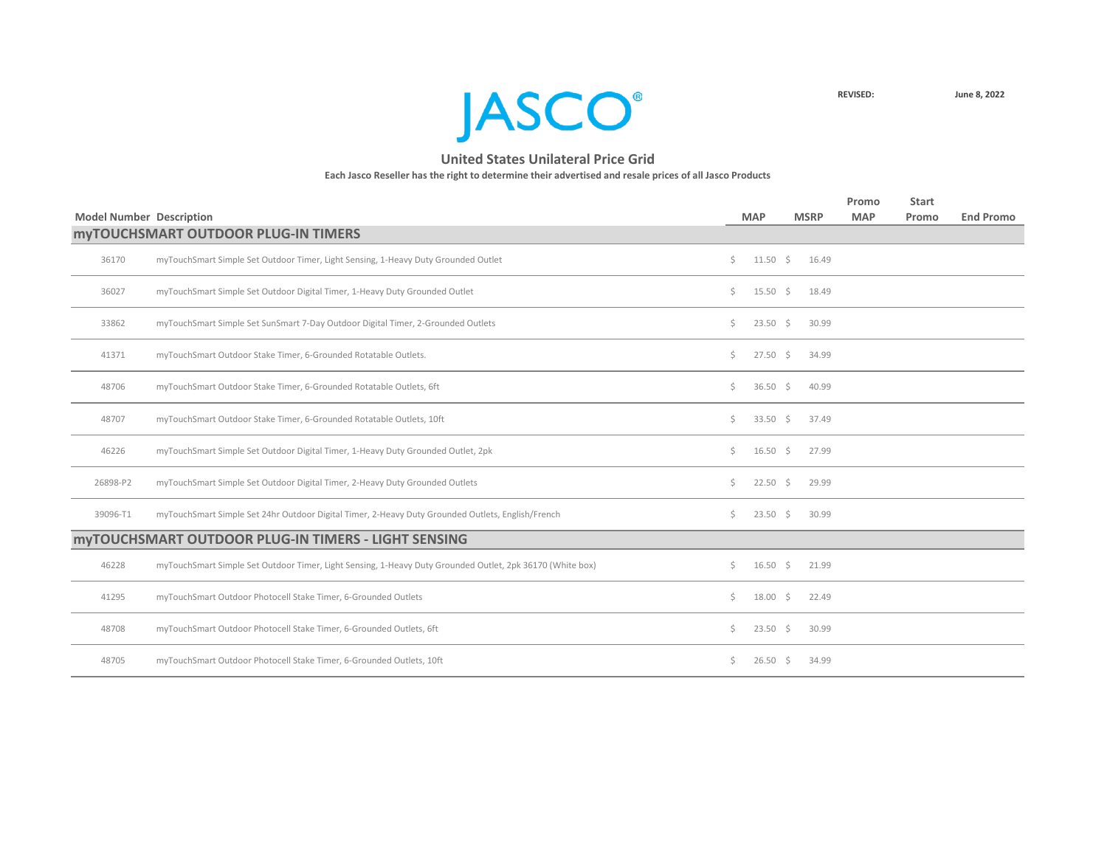

|                                                                                                           |                                                                                                                                             |            |                                                                                                                                                                                                           | Promo       | <b>Start</b> |                  |
|-----------------------------------------------------------------------------------------------------------|---------------------------------------------------------------------------------------------------------------------------------------------|------------|-----------------------------------------------------------------------------------------------------------------------------------------------------------------------------------------------------------|-------------|--------------|------------------|
|                                                                                                           |                                                                                                                                             |            |                                                                                                                                                                                                           | <b>MAP</b>  | Promo        | <b>End Promo</b> |
|                                                                                                           |                                                                                                                                             |            |                                                                                                                                                                                                           |             |              |                  |
| myTouchSmart Simple Set Outdoor Timer, Light Sensing, 1-Heavy Duty Grounded Outlet                        | \$                                                                                                                                          |            | 16.49                                                                                                                                                                                                     |             |              |                  |
| myTouchSmart Simple Set Outdoor Digital Timer, 1-Heavy Duty Grounded Outlet                               | \$                                                                                                                                          |            | 18.49                                                                                                                                                                                                     |             |              |                  |
| myTouchSmart Simple Set SunSmart 7-Day Outdoor Digital Timer, 2-Grounded Outlets                          | \$                                                                                                                                          |            | 30.99                                                                                                                                                                                                     |             |              |                  |
| myTouchSmart Outdoor Stake Timer, 6-Grounded Rotatable Outlets.                                           | \$                                                                                                                                          |            | 34.99                                                                                                                                                                                                     |             |              |                  |
| myTouchSmart Outdoor Stake Timer, 6-Grounded Rotatable Outlets, 6ft                                       | Ś.                                                                                                                                          |            | 40.99                                                                                                                                                                                                     |             |              |                  |
| myTouchSmart Outdoor Stake Timer, 6-Grounded Rotatable Outlets, 10ft                                      | \$                                                                                                                                          |            | 37.49                                                                                                                                                                                                     |             |              |                  |
| myTouchSmart Simple Set Outdoor Digital Timer, 1-Heavy Duty Grounded Outlet, 2pk                          | \$                                                                                                                                          |            | 27.99                                                                                                                                                                                                     |             |              |                  |
| myTouchSmart Simple Set Outdoor Digital Timer, 2-Heavy Duty Grounded Outlets                              | Ś.                                                                                                                                          |            | 29.99                                                                                                                                                                                                     |             |              |                  |
| myTouchSmart Simple Set 24hr Outdoor Digital Timer, 2-Heavy Duty Grounded Outlets, English/French         | \$                                                                                                                                          |            | 30.99                                                                                                                                                                                                     |             |              |                  |
|                                                                                                           |                                                                                                                                             |            |                                                                                                                                                                                                           |             |              |                  |
| myTouchSmart Simple Set Outdoor Timer, Light Sensing, 1-Heavy Duty Grounded Outlet, 2pk 36170 (White box) | Ś.                                                                                                                                          |            | 21.99                                                                                                                                                                                                     |             |              |                  |
| myTouchSmart Outdoor Photocell Stake Timer, 6-Grounded Outlets                                            | Ś.                                                                                                                                          |            | 22.49                                                                                                                                                                                                     |             |              |                  |
| myTouchSmart Outdoor Photocell Stake Timer, 6-Grounded Outlets, 6ft                                       | Ś.                                                                                                                                          |            | 30.99                                                                                                                                                                                                     |             |              |                  |
| myTouchSmart Outdoor Photocell Stake Timer, 6-Grounded Outlets, 10ft                                      | Ś.                                                                                                                                          |            | 34.99                                                                                                                                                                                                     |             |              |                  |
|                                                                                                           | <b>Model Number Description</b><br><b>MYTOUCHSMART OUTDOOR PLUG-IN TIMERS</b><br><b>MYTOUCHSMART OUTDOOR PLUG-IN TIMERS - LIGHT SENSING</b> | <b>MAP</b> | $11.50 \div$<br>$15.50 \div$<br>$23.50 \div$<br>$27.50 \div$<br>36.50 \$<br>33.50 \$<br>$16.50 \div$<br>$22.50$ \$<br>$23.50 \div$<br>$16.50 \pm 5$<br>$18.00 \div$<br>$23.50 \div$<br>$26.50\frac{1}{2}$ | <b>MSRP</b> |              |                  |